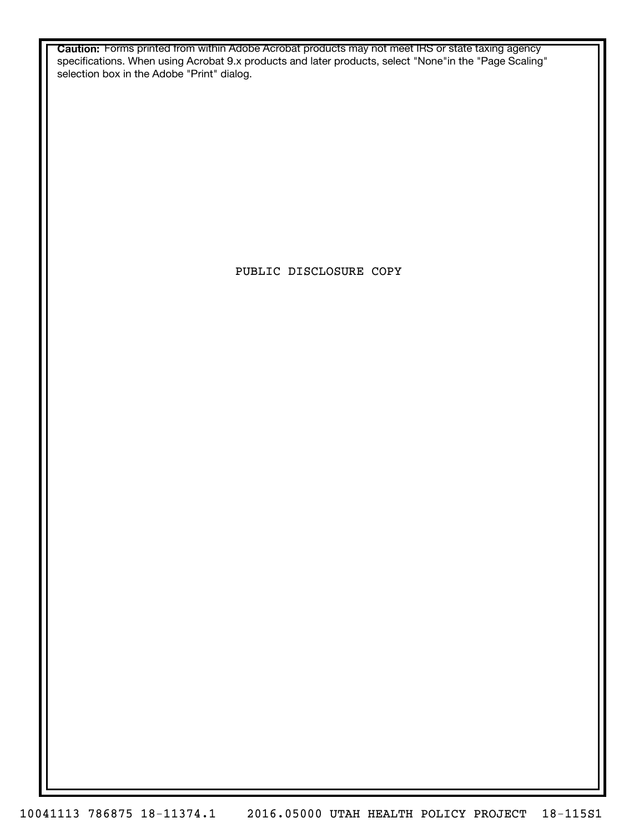**Caution:** Forms printed from within Adobe Acrobat products may not meet IRS or state taxing agency specifications. When using Acrobat 9.x products and later products, select "None"in the "Page Scaling" selection box in the Adobe "Print" dialog.

PUBLIC DISCLOSURE COPY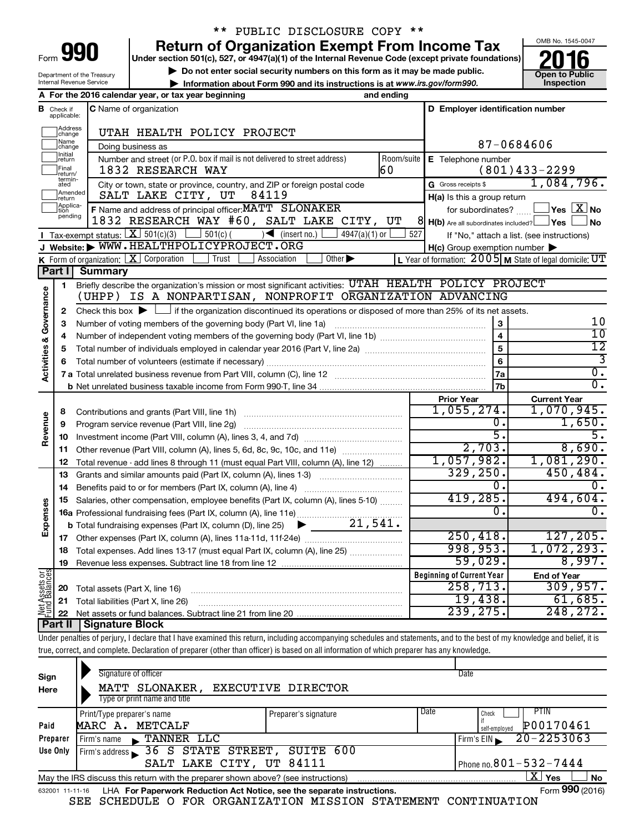| orm<br>◢ |  |
|----------|--|

# \*\* PUBLIC DISCLOSURE COPY \*\*

**Under section 501(c), 527, or 4947(a)(1) of the Internal Revenue Code (except private foundations) Return of Organization Exempt From Income Tax**<br>Under section 501(c), 527, or 4947(a)(1) of the Internal Revenue Code (except private foundations)<br> **2016** 

▶ Do not enter social security numbers on this form as it may be made public.<br>▶ Information about Form 990 and its instructions is at www.irs.gov/form990. Inspection **• Information about Form 990 and its instructions is at www.irs.gov/form990. and inspection** 



Department of the Treasury Internal Revenue Service

|                                |                               | A For the 2016 calendar year, or tax year beginning<br>and ending                                                                                              |                                                        |                                                             |  |  |  |  |
|--------------------------------|-------------------------------|----------------------------------------------------------------------------------------------------------------------------------------------------------------|--------------------------------------------------------|-------------------------------------------------------------|--|--|--|--|
|                                | <b>B</b> Check if applicable: | <b>C</b> Name of organization                                                                                                                                  | D Employer identification number                       |                                                             |  |  |  |  |
|                                | Address<br> change            | UTAH HEALTH POLICY PROJECT                                                                                                                                     |                                                        |                                                             |  |  |  |  |
|                                | Name<br>change                | Doing business as                                                                                                                                              |                                                        | 87-0684606                                                  |  |  |  |  |
|                                | Initial<br> return            | Number and street (or P.O. box if mail is not delivered to street address)<br>Room/suite                                                                       | E Telephone number                                     |                                                             |  |  |  |  |
|                                | Final<br> return/             | 60<br>1832 RESEARCH WAY                                                                                                                                        |                                                        | $(801)433 - 2299$                                           |  |  |  |  |
|                                | termin-<br>ated               | City or town, state or province, country, and ZIP or foreign postal code                                                                                       | G Gross receipts \$                                    | 1,084,796.                                                  |  |  |  |  |
|                                | Amended<br>return             | SALT LAKE CITY, UT<br>84119                                                                                                                                    | H(a) Is this a group return                            |                                                             |  |  |  |  |
|                                | Applica-<br>pending           | F Name and address of principal officer: MATT SLONAKER                                                                                                         | for subordinates?                                      | $\Box$ Yes $[\overline{\mathrm{X}}]$ No                     |  |  |  |  |
|                                |                               | 1832 RESEARCH WAY #60, SALT LAKE CITY, UT                                                                                                                      | 81<br>$H(b)$ Are all subordinates included? $\Box$ Yes | No                                                          |  |  |  |  |
|                                |                               | <b>I</b> Tax-exempt status: $X \ 501(c)(3)$<br>$\sqrt{\frac{1}{1}}$ (insert no.)<br>$4947(a)(1)$ or<br>$501(c)$ (                                              | 527                                                    | If "No," attach a list. (see instructions)                  |  |  |  |  |
|                                |                               | J Website: WWW.HEALTHPOLICYPROJECT.ORG                                                                                                                         | $H(c)$ Group exemption number $\blacktriangleright$    |                                                             |  |  |  |  |
|                                |                               | K Form of organization: $X$ Corporation<br>Trust<br>Association<br>Other $\blacktriangleright$                                                                 |                                                        | L Year of formation: $2005$ M State of legal domicile: $UT$ |  |  |  |  |
|                                | Part I                        | <b>Summary</b>                                                                                                                                                 |                                                        |                                                             |  |  |  |  |
|                                | 1                             | Briefly describe the organization's mission or most significant activities: UTAH HEALTH POLICY PROJECT                                                         |                                                        |                                                             |  |  |  |  |
|                                |                               | (UHPP) IS A NONPARTISAN, NONPROFIT ORGANIZATION ADVANCING                                                                                                      |                                                        |                                                             |  |  |  |  |
| Activities & Governance        | $\mathbf{2}$                  | Check this box $\blacktriangleright$ $\Box$ if the organization discontinued its operations or disposed of more than 25% of its net assets.                    |                                                        |                                                             |  |  |  |  |
|                                | 3                             | Number of voting members of the governing body (Part VI, line 1a)                                                                                              | 3                                                      | 10<br>$\overline{10}$                                       |  |  |  |  |
|                                | 4                             |                                                                                                                                                                | $\overline{\mathbf{4}}$                                | $\overline{12}$                                             |  |  |  |  |
|                                | 5                             |                                                                                                                                                                | $\overline{5}$                                         |                                                             |  |  |  |  |
|                                | 6                             |                                                                                                                                                                | $\overline{6}$                                         | 3<br>$\overline{0}$ .                                       |  |  |  |  |
|                                |                               |                                                                                                                                                                | 7a                                                     | $\overline{0}$ .                                            |  |  |  |  |
|                                |                               |                                                                                                                                                                | 7 <sub>b</sub>                                         |                                                             |  |  |  |  |
|                                |                               |                                                                                                                                                                | <b>Prior Year</b><br>1,055,274.                        | <b>Current Year</b><br>1,070,945.                           |  |  |  |  |
| Revenue                        | 8                             |                                                                                                                                                                | О.                                                     | 1,650.                                                      |  |  |  |  |
|                                | 9                             | Program service revenue (Part VIII, line 2g)                                                                                                                   | 5.                                                     | 5.                                                          |  |  |  |  |
|                                | 10                            |                                                                                                                                                                | 2,703.                                                 | 8,690.                                                      |  |  |  |  |
|                                | 11<br>12                      | Other revenue (Part VIII, column (A), lines 5, 6d, 8c, 9c, 10c, and 11e)<br>Total revenue - add lines 8 through 11 (must equal Part VIII, column (A), line 12) | 1,057,982.                                             | 1,081,290.                                                  |  |  |  |  |
|                                | 13                            | Grants and similar amounts paid (Part IX, column (A), lines 1-3)                                                                                               | 329, 250.                                              | 450,484.                                                    |  |  |  |  |
|                                | 14                            | Benefits paid to or for members (Part IX, column (A), line 4)                                                                                                  | Ο.                                                     | 0.                                                          |  |  |  |  |
|                                | 15                            | Salaries, other compensation, employee benefits (Part IX, column (A), lines 5-10)                                                                              | 419,285.                                               | 494,604.                                                    |  |  |  |  |
|                                |                               |                                                                                                                                                                | 0.                                                     | 0.                                                          |  |  |  |  |
| Expenses                       |                               | $\blacktriangleright$ 21,541.<br><b>b</b> Total fundraising expenses (Part IX, column (D), line 25)                                                            |                                                        |                                                             |  |  |  |  |
|                                | 17                            |                                                                                                                                                                | 250, 418.                                              | 127, 205.                                                   |  |  |  |  |
|                                | 18                            | Total expenses. Add lines 13-17 (must equal Part IX, column (A), line 25)                                                                                      | 998,953.                                               | 1,072,293.                                                  |  |  |  |  |
|                                | 19                            |                                                                                                                                                                | 59,029.                                                | 8,997.                                                      |  |  |  |  |
|                                |                               |                                                                                                                                                                | <b>Beginning of Current Year</b>                       | <b>End of Year</b>                                          |  |  |  |  |
| Net Assets or<br>Fund Balances | 20                            | Total assets (Part X, line 16)                                                                                                                                 | 258, 713.                                              | 309, 957.                                                   |  |  |  |  |
|                                | 21                            | Total liabilities (Part X, line 26)                                                                                                                            | 19,438.                                                | 61,685.                                                     |  |  |  |  |
|                                | 22                            |                                                                                                                                                                | 239, 275.                                              | 248, 272.                                                   |  |  |  |  |
|                                | <b>Part II</b>                | <b>Signature Block</b>                                                                                                                                         |                                                        |                                                             |  |  |  |  |
|                                |                               | and the children and an artist<br>and the production of the absolute<br>فبالمنافذ والمستحل والمستحقق والمتعاونة والمتحاول والمتحدث                             |                                                        |                                                             |  |  |  |  |

Under penalties of perjury, I declare that I have examined this return, including accompanying schedules and statements, and to the best of my knowledge and belief, it is true, correct, and complete. Declaration of preparer (other than officer) is based on all information of which preparer has any knowledge.

| Sign<br>Here                                                                                                          | Signature of officer<br>MATT SLONAKER,<br>Type or print name and title | EXECUTIVE DIRECTOR   |      | Date                                               |  |  |  |
|-----------------------------------------------------------------------------------------------------------------------|------------------------------------------------------------------------|----------------------|------|----------------------------------------------------|--|--|--|
| Paid                                                                                                                  | Print/Type preparer's name<br>MARC A. METCALF                          | Preparer's signature | Date | <b>PTIN</b><br>Check<br>P00170461<br>self-employed |  |  |  |
| Preparer                                                                                                              | <b>TANNER LLC</b><br>Firm's name                                       |                      |      | $20 - 2253063$<br>Firm's $EIN$                     |  |  |  |
| Use Only                                                                                                              | Firm's address $\overline{\phantom{1}}$ 36 S STATE STREET,             | SUITE 600            |      |                                                    |  |  |  |
|                                                                                                                       | SALT LAKE CITY, UT 84111                                               |                      |      | Phone no. $801 - 532 - 7444$                       |  |  |  |
| $\mathbf{X}$<br>Yes<br><b>No</b><br>May the IRS discuss this return with the preparer shown above? (see instructions) |                                                                        |                      |      |                                                    |  |  |  |
| 632001 11-11-16                                                                                                       | LHA For Paperwork Reduction Act Notice, see the separate instructions. |                      |      | Form 990 (2016)                                    |  |  |  |

SEE SCHEDULE O FOR ORGANIZATION MISSION STATEMENT CONTINUATION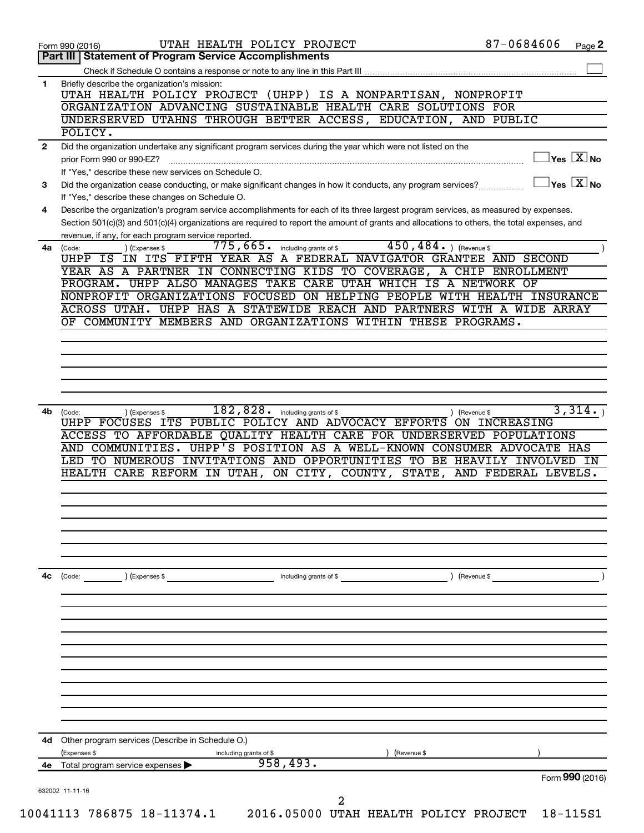|              | 87-0684606<br>UTAH HEALTH POLICY PROJECT<br>Form 990 (2016)                                                                                  | Page 2                                    |
|--------------|----------------------------------------------------------------------------------------------------------------------------------------------|-------------------------------------------|
|              | <b>Statement of Program Service Accomplishments</b><br>Part III                                                                              |                                           |
|              | Check if Schedule O contains a response or note to any line in this Part III                                                                 |                                           |
| 1            | Briefly describe the organization's mission:                                                                                                 |                                           |
|              | UTAH HEALTH POLICY PROJECT (UHPP) IS A NONPARTISAN, NONPROFIT                                                                                |                                           |
|              | ORGANIZATION ADVANCING SUSTAINABLE HEALTH CARE SOLUTIONS FOR<br>UNDERSERVED UTAHNS THROUGH BETTER ACCESS, EDUCATION, AND PUBLIC              |                                           |
|              | POLICY.                                                                                                                                      |                                           |
| $\mathbf{2}$ |                                                                                                                                              |                                           |
|              | Did the organization undertake any significant program services during the year which were not listed on the<br>prior Form 990 or 990-EZ?    | $\sqrt{\mathsf{Yes}\ \mathbb{X}}$ No      |
|              | If "Yes," describe these new services on Schedule O.                                                                                         |                                           |
| 3            | Did the organization cease conducting, or make significant changes in how it conducts, any program services?                                 | $\overline{\ }$ Yes $\overline{\rm X}$ No |
|              | If "Yes," describe these changes on Schedule O.                                                                                              |                                           |
| 4            | Describe the organization's program service accomplishments for each of its three largest program services, as measured by expenses.         |                                           |
|              | Section 501(c)(3) and 501(c)(4) organizations are required to report the amount of grants and allocations to others, the total expenses, and |                                           |
|              | revenue, if any, for each program service reported.                                                                                          |                                           |
| 4a           | $450, 484.$ (Revenue \$)<br>775,665.<br>including grants of \$<br>(Expenses \$<br>(Code:                                                     |                                           |
|              | UHPP IS IN ITS FIFTH YEAR AS A FEDERAL NAVIGATOR GRANTEE AND SECOND                                                                          |                                           |
|              | YEAR AS A PARTNER IN CONNECTING KIDS TO COVERAGE, A CHIP ENROLLMENT                                                                          |                                           |
|              | PROGRAM. UHPP ALSO MANAGES TAKE CARE UTAH WHICH IS A NETWORK OF                                                                              |                                           |
|              | NONPROFIT ORGANIZATIONS FOCUSED ON HELPING PEOPLE WITH HEALTH INSURANCE                                                                      |                                           |
|              | UHPP HAS A STATEWIDE REACH AND PARTNERS WITH A WIDE ARRAY<br>ACROSS UTAH.                                                                    |                                           |
|              | OF COMMUNITY MEMBERS AND ORGANIZATIONS WITHIN THESE PROGRAMS.                                                                                |                                           |
|              |                                                                                                                                              |                                           |
|              |                                                                                                                                              |                                           |
|              |                                                                                                                                              |                                           |
|              |                                                                                                                                              |                                           |
|              |                                                                                                                                              |                                           |
| 4b           | $\overline{182,828\cdot}$ including grants of \$<br>) (Revenue \$<br>(Code:<br>) (Expenses \$                                                | 3,314.                                    |
|              | UHPP FOCUSES ITS PUBLIC POLICY AND ADVOCACY EFFORTS<br>ON INCREASING                                                                         |                                           |
|              | ACCESS TO AFFORDABLE QUALITY HEALTH CARE FOR UNDERSERVED POPULATIONS                                                                         |                                           |
|              |                                                                                                                                              |                                           |
|              | AND COMMUNITIES. UHPP'S POSITION AS A WELL-KNOWN CONSUMER ADVOCATE HAS                                                                       |                                           |
|              | LED TO NUMEROUS INVITATIONS AND OPPORTUNITIES TO BE HEAVILY INVOLVED                                                                         | IN                                        |
|              | ON CITY, COUNTY, STATE,<br>HEALTH CARE REFORM IN UTAH,<br>AND FEDERAL LEVELS.                                                                |                                           |
|              |                                                                                                                                              |                                           |
|              |                                                                                                                                              |                                           |
|              |                                                                                                                                              |                                           |
|              |                                                                                                                                              |                                           |
|              |                                                                                                                                              |                                           |
|              |                                                                                                                                              |                                           |
|              |                                                                                                                                              |                                           |
|              | ) (Revenue \$<br>(Code:<br>) (Expenses \$<br>including grants of \$                                                                          |                                           |
|              |                                                                                                                                              |                                           |
|              |                                                                                                                                              |                                           |
|              |                                                                                                                                              |                                           |
|              |                                                                                                                                              |                                           |
|              |                                                                                                                                              |                                           |
|              |                                                                                                                                              |                                           |
|              |                                                                                                                                              |                                           |
|              |                                                                                                                                              |                                           |
|              |                                                                                                                                              |                                           |
|              |                                                                                                                                              |                                           |
|              |                                                                                                                                              |                                           |
| 4c           | 4d Other program services (Describe in Schedule O.)                                                                                          |                                           |
|              | (Expenses \$<br>) (Revenue \$<br>including grants of \$                                                                                      |                                           |
|              | 958,493.<br>4e Total program service expenses                                                                                                |                                           |
|              |                                                                                                                                              | Form 990 (2016)                           |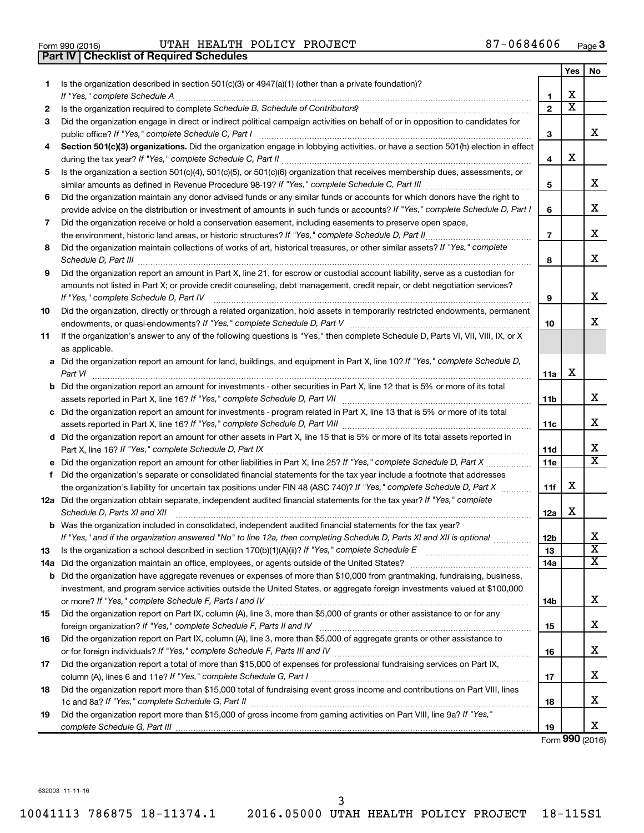| Form 990 (2016) |  |  |
|-----------------|--|--|

Form 990 (2016) Page UTAH HEALTH POLICY PROJECT 87-0684606

|     | <b>Part IV   Checklist of Required Schedules</b>                                                                                                                                                                                    |                 |                         |                         |
|-----|-------------------------------------------------------------------------------------------------------------------------------------------------------------------------------------------------------------------------------------|-----------------|-------------------------|-------------------------|
|     |                                                                                                                                                                                                                                     |                 | Yes                     | No                      |
| 1   | Is the organization described in section 501(c)(3) or 4947(a)(1) (other than a private foundation)?                                                                                                                                 |                 |                         |                         |
|     |                                                                                                                                                                                                                                     | 1               | х                       |                         |
| 2   | Is the organization required to complete Schedule B, Schedule of Contributors? [11] The organization required to complete Schedule B, Schedule of Contributors?                                                                     | $\mathbf{2}$    | $\overline{\textbf{x}}$ |                         |
| 3   | Did the organization engage in direct or indirect political campaign activities on behalf of or in opposition to candidates for                                                                                                     |                 |                         |                         |
|     |                                                                                                                                                                                                                                     | 3               |                         | x                       |
| 4   | Section 501(c)(3) organizations. Did the organization engage in lobbying activities, or have a section 501(h) election in effect                                                                                                    |                 |                         |                         |
|     |                                                                                                                                                                                                                                     | 4               | X                       |                         |
| 5   | Is the organization a section 501(c)(4), 501(c)(5), or 501(c)(6) organization that receives membership dues, assessments, or                                                                                                        |                 |                         |                         |
|     |                                                                                                                                                                                                                                     | 5               |                         | x                       |
| 6   | Did the organization maintain any donor advised funds or any similar funds or accounts for which donors have the right to                                                                                                           |                 |                         |                         |
|     | provide advice on the distribution or investment of amounts in such funds or accounts? If "Yes," complete Schedule D, Part I                                                                                                        | 6               |                         | X                       |
| 7   | Did the organization receive or hold a conservation easement, including easements to preserve open space,                                                                                                                           |                 |                         |                         |
|     |                                                                                                                                                                                                                                     | $\overline{7}$  |                         | х                       |
| 8   | Did the organization maintain collections of works of art, historical treasures, or other similar assets? If "Yes," complete                                                                                                        |                 |                         |                         |
|     | Schedule D, Part III <b>Marting Community</b> Construction of the Construction of the Construction of the Construction of the Construction of the Construction of the Construction of the Construction of the Construction of the C | 8               |                         | х                       |
| 9   | Did the organization report an amount in Part X, line 21, for escrow or custodial account liability, serve as a custodian for                                                                                                       |                 |                         |                         |
|     | amounts not listed in Part X; or provide credit counseling, debt management, credit repair, or debt negotiation services?                                                                                                           |                 |                         |                         |
|     | If "Yes," complete Schedule D, Part IV                                                                                                                                                                                              | 9               |                         | x                       |
| 10  | Did the organization, directly or through a related organization, hold assets in temporarily restricted endowments, permanent                                                                                                       |                 |                         |                         |
|     |                                                                                                                                                                                                                                     | 10              |                         | x                       |
| 11  | If the organization's answer to any of the following questions is "Yes," then complete Schedule D, Parts VI, VII, VIII, IX, or X                                                                                                    |                 |                         |                         |
|     | as applicable.                                                                                                                                                                                                                      |                 |                         |                         |
|     | a Did the organization report an amount for land, buildings, and equipment in Part X, line 10? If "Yes," complete Schedule D,                                                                                                       |                 |                         |                         |
|     |                                                                                                                                                                                                                                     | 11a             | X                       |                         |
|     | <b>b</b> Did the organization report an amount for investments - other securities in Part X, line 12 that is 5% or more of its total                                                                                                |                 |                         |                         |
|     |                                                                                                                                                                                                                                     | 11b             |                         | x                       |
|     | c Did the organization report an amount for investments - program related in Part X, line 13 that is 5% or more of its total                                                                                                        |                 |                         |                         |
|     |                                                                                                                                                                                                                                     | 11c             |                         | х                       |
|     | d Did the organization report an amount for other assets in Part X, line 15 that is 5% or more of its total assets reported in                                                                                                      |                 |                         |                         |
|     |                                                                                                                                                                                                                                     | 11d             |                         | х                       |
|     |                                                                                                                                                                                                                                     | 11 <sub>c</sub> |                         | $\overline{\texttt{x}}$ |
|     | f Did the organization's separate or consolidated financial statements for the tax year include a footnote that addresses                                                                                                           |                 |                         |                         |
|     | the organization's liability for uncertain tax positions under FIN 48 (ASC 740)? If "Yes," complete Schedule D, Part X                                                                                                              | 11f             | х                       |                         |
|     | 12a Did the organization obtain separate, independent audited financial statements for the tax year? If "Yes," complete                                                                                                             |                 |                         |                         |
|     | Schedule D, Parts XI and XII                                                                                                                                                                                                        | 12a             | x                       |                         |
|     | <b>b</b> Was the organization included in consolidated, independent audited financial statements for the tax year?                                                                                                                  |                 |                         |                         |
|     | If "Yes," and if the organization answered "No" to line 12a, then completing Schedule D, Parts XI and XII is optional                                                                                                               | 12b             |                         | х                       |
| 13  |                                                                                                                                                                                                                                     | 13              |                         | $\overline{\mathbf{X}}$ |
| 14a |                                                                                                                                                                                                                                     | 14a             |                         | X                       |
|     | <b>b</b> Did the organization have aggregate revenues or expenses of more than \$10,000 from grantmaking, fundraising, business,                                                                                                    |                 |                         |                         |
|     | investment, and program service activities outside the United States, or aggregate foreign investments valued at \$100,000                                                                                                          |                 |                         |                         |
|     |                                                                                                                                                                                                                                     | 14b             |                         | х                       |
| 15  | Did the organization report on Part IX, column (A), line 3, more than \$5,000 of grants or other assistance to or for any                                                                                                           |                 |                         |                         |
|     |                                                                                                                                                                                                                                     | 15              |                         | х                       |
| 16  | Did the organization report on Part IX, column (A), line 3, more than \$5,000 of aggregate grants or other assistance to                                                                                                            |                 |                         |                         |
|     |                                                                                                                                                                                                                                     | 16              |                         | х                       |
| 17  | Did the organization report a total of more than \$15,000 of expenses for professional fundraising services on Part IX,                                                                                                             |                 |                         |                         |
|     |                                                                                                                                                                                                                                     | 17              |                         | х                       |
| 18  | Did the organization report more than \$15,000 total of fundraising event gross income and contributions on Part VIII, lines                                                                                                        |                 |                         |                         |
|     |                                                                                                                                                                                                                                     | 18              |                         | х                       |
| 19  | Did the organization report more than \$15,000 of gross income from gaming activities on Part VIII, line 9a? If "Yes,"                                                                                                              |                 |                         |                         |
|     |                                                                                                                                                                                                                                     | 19              |                         | x                       |
|     |                                                                                                                                                                                                                                     |                 |                         |                         |

Form (2016) **990**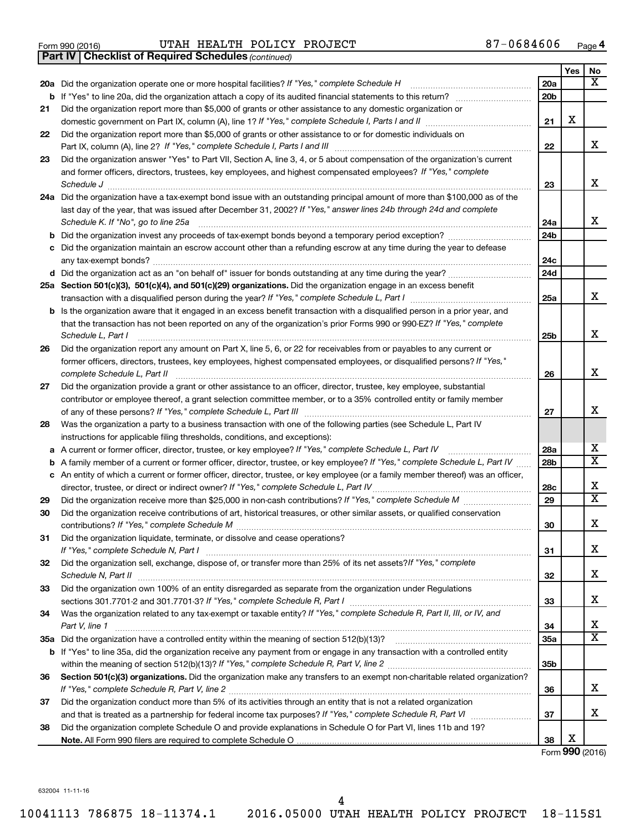|  | Form 990 (2016) |  |
|--|-----------------|--|
|  |                 |  |

Form 990 (2016) Page UTAH HEALTH POLICY PROJECT 87-0684606

*(continued)* **Part IV Checklist of Required Schedules**

|    |                                                                                                                                             |                 | Yes | No                      |
|----|---------------------------------------------------------------------------------------------------------------------------------------------|-----------------|-----|-------------------------|
|    | 20a Did the organization operate one or more hospital facilities? If "Yes," complete Schedule H                                             | 20a             |     | x                       |
|    | <b>b</b> If "Yes" to line 20a, did the organization attach a copy of its audited financial statements to this return?                       | 20 <sub>b</sub> |     |                         |
| 21 | Did the organization report more than \$5,000 of grants or other assistance to any domestic organization or                                 |                 |     |                         |
|    |                                                                                                                                             | 21              | х   |                         |
| 22 | Did the organization report more than \$5,000 of grants or other assistance to or for domestic individuals on                               |                 |     |                         |
|    | Part IX, column (A), line 2? If "Yes," complete Schedule I, Parts I and III [11]] [11]] [11] [11] [11] [11] [1                              | 22              |     | x                       |
| 23 | Did the organization answer "Yes" to Part VII, Section A, line 3, 4, or 5 about compensation of the organization's current                  |                 |     |                         |
|    | and former officers, directors, trustees, key employees, and highest compensated employees? If "Yes," complete                              |                 |     |                         |
|    | Schedule J                                                                                                                                  | 23              |     | x                       |
|    | 24a Did the organization have a tax-exempt bond issue with an outstanding principal amount of more than \$100,000 as of the                 |                 |     |                         |
|    | last day of the year, that was issued after December 31, 2002? If "Yes," answer lines 24b through 24d and complete                          |                 |     |                         |
|    | Schedule K. If "No", go to line 25a                                                                                                         | 24a             |     | x                       |
|    | <b>b</b> Did the organization invest any proceeds of tax-exempt bonds beyond a temporary period exception?                                  | 24 <sub>b</sub> |     |                         |
| с  | Did the organization maintain an escrow account other than a refunding escrow at any time during the year to defease                        |                 |     |                         |
|    |                                                                                                                                             | 24c             |     |                         |
|    | d Did the organization act as an "on behalf of" issuer for bonds outstanding at any time during the year?                                   | 24d             |     |                         |
|    | 25a Section 501(c)(3), 501(c)(4), and 501(c)(29) organizations. Did the organization engage in an excess benefit                            |                 |     |                         |
|    |                                                                                                                                             | 25a             |     | х                       |
|    | <b>b</b> Is the organization aware that it engaged in an excess benefit transaction with a disqualified person in a prior year, and         |                 |     |                         |
|    | that the transaction has not been reported on any of the organization's prior Forms 990 or 990-EZ? If "Yes," complete                       |                 |     | X                       |
|    | Schedule L, Part I<br>Did the organization report any amount on Part X, line 5, 6, or 22 for receivables from or payables to any current or | 25b             |     |                         |
| 26 | former officers, directors, trustees, key employees, highest compensated employees, or disqualified persons? If "Yes,"                      |                 |     |                         |
|    | complete Schedule L, Part II                                                                                                                | 26              |     | X                       |
| 27 | Did the organization provide a grant or other assistance to an officer, director, trustee, key employee, substantial                        |                 |     |                         |
|    | contributor or employee thereof, a grant selection committee member, or to a 35% controlled entity or family member                         |                 |     |                         |
|    |                                                                                                                                             | 27              |     | х                       |
| 28 | Was the organization a party to a business transaction with one of the following parties (see Schedule L, Part IV                           |                 |     |                         |
|    | instructions for applicable filing thresholds, conditions, and exceptions):                                                                 |                 |     |                         |
| а  | A current or former officer, director, trustee, or key employee? If "Yes," complete Schedule L, Part IV                                     | 28a             |     | х                       |
| b  | A family member of a current or former officer, director, trustee, or key employee? If "Yes," complete Schedule L, Part IV                  | 28 <sub>b</sub> |     | $\overline{\mathbf{X}}$ |
|    | c An entity of which a current or former officer, director, trustee, or key employee (or a family member thereof) was an officer,           |                 |     |                         |
|    | director, trustee, or direct or indirect owner? If "Yes," complete Schedule L, Part IV                                                      | 28c             |     | х                       |
| 29 |                                                                                                                                             | 29              |     | $\overline{\mathbf{X}}$ |
| 30 | Did the organization receive contributions of art, historical treasures, or other similar assets, or qualified conservation                 |                 |     |                         |
|    |                                                                                                                                             | 30              |     | х                       |
| 31 | Did the organization liquidate, terminate, or dissolve and cease operations?                                                                |                 |     |                         |
|    | If "Yes," complete Schedule N, Part I                                                                                                       | 31              |     | х                       |
| 32 | Did the organization sell, exchange, dispose of, or transfer more than 25% of its net assets? If "Yes," complete                            |                 |     |                         |
|    |                                                                                                                                             | 32              |     | x                       |
| 33 | Did the organization own 100% of an entity disregarded as separate from the organization under Regulations                                  |                 |     |                         |
|    |                                                                                                                                             | 33              |     | х                       |
| 34 | Was the organization related to any tax-exempt or taxable entity? If "Yes," complete Schedule R, Part II, III, or IV, and                   |                 |     |                         |
|    | Part V, line 1                                                                                                                              | 34              |     | x                       |
|    |                                                                                                                                             | 35a             |     | х                       |
|    | b If "Yes" to line 35a, did the organization receive any payment from or engage in any transaction with a controlled entity                 |                 |     |                         |
|    |                                                                                                                                             | 35 <sub>b</sub> |     |                         |
| 36 | Section 501(c)(3) organizations. Did the organization make any transfers to an exempt non-charitable related organization?                  |                 |     | х                       |
|    | Did the organization conduct more than 5% of its activities through an entity that is not a related organization                            | 36              |     |                         |
| 37 |                                                                                                                                             | 37              |     | x                       |
| 38 | Did the organization complete Schedule O and provide explanations in Schedule O for Part VI, lines 11b and 19?                              |                 |     |                         |
|    |                                                                                                                                             | 38              | х   |                         |
|    |                                                                                                                                             |                 |     |                         |

Form (2016) **990**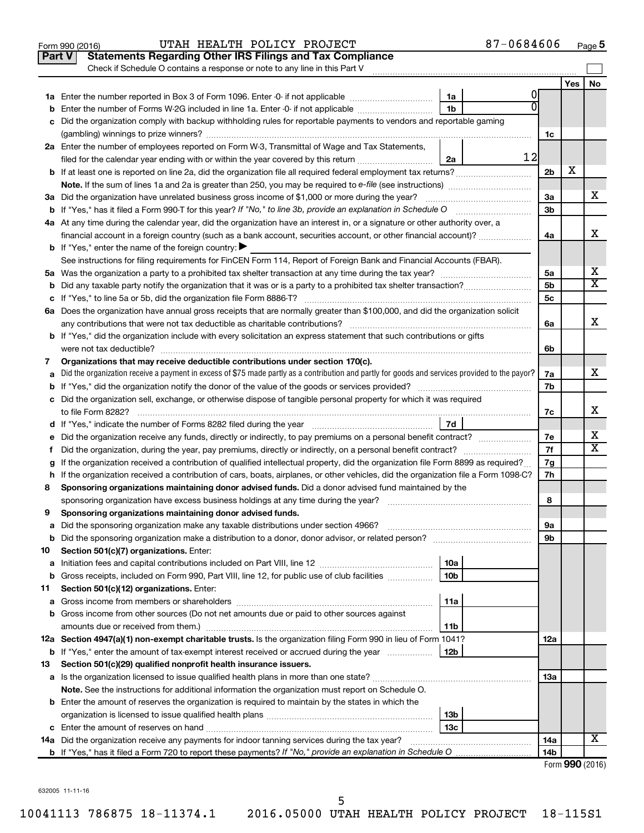|               | 87-0684606<br>UTAH HEALTH POLICY PROJECT<br>Form 990 (2016)                                                                                     |                |     | Page 5                  |
|---------------|-------------------------------------------------------------------------------------------------------------------------------------------------|----------------|-----|-------------------------|
| <b>Part V</b> | <b>Statements Regarding Other IRS Filings and Tax Compliance</b>                                                                                |                |     |                         |
|               | Check if Schedule O contains a response or note to any line in this Part V                                                                      |                |     |                         |
|               |                                                                                                                                                 |                | Yes | No                      |
|               | 1a                                                                                                                                              |                |     |                         |
| b             | Enter the number of Forms W-2G included in line 1a. Enter -0- if not applicable<br>1b                                                           |                |     |                         |
| с             | Did the organization comply with backup withholding rules for reportable payments to vendors and reportable gaming                              |                |     |                         |
|               |                                                                                                                                                 | 1c             |     |                         |
|               | 2a Enter the number of employees reported on Form W-3, Transmittal of Wage and Tax Statements,                                                  |                |     |                         |
|               | 12<br>filed for the calendar year ending with or within the year covered by this return<br>2a                                                   |                |     |                         |
|               |                                                                                                                                                 | 2 <sub>b</sub> | х   |                         |
|               | Note. If the sum of lines 1a and 2a is greater than 250, you may be required to e-file (see instructions) <i>managererigion</i> ,               |                |     |                         |
|               | 3a Did the organization have unrelated business gross income of \$1,000 or more during the year?                                                | 3a             |     | x.                      |
|               | <b>b</b> If "Yes," has it filed a Form 990-T for this year? If "No," to line 3b, provide an explanation in Schedule O                           | 3b             |     |                         |
|               | 4a At any time during the calendar year, did the organization have an interest in, or a signature or other authority over, a                    |                |     |                         |
|               | financial account in a foreign country (such as a bank account, securities account, or other financial account)?                                | 4a             |     | x                       |
|               | <b>b</b> If "Yes," enter the name of the foreign country: $\blacktriangleright$                                                                 |                |     |                         |
|               | See instructions for filing requirements for FinCEN Form 114, Report of Foreign Bank and Financial Accounts (FBAR).                             |                |     |                         |
|               |                                                                                                                                                 | 5a             |     | х                       |
| b             |                                                                                                                                                 | 5b             |     | $\overline{\mathtt{x}}$ |
|               |                                                                                                                                                 | 5c             |     |                         |
|               | 6a Does the organization have annual gross receipts that are normally greater than \$100,000, and did the organization solicit                  |                |     |                         |
|               |                                                                                                                                                 | 6a             |     | x                       |
|               | <b>b</b> If "Yes," did the organization include with every solicitation an express statement that such contributions or gifts                   |                |     |                         |
|               |                                                                                                                                                 | 6b             |     |                         |
| 7             | Organizations that may receive deductible contributions under section 170(c).                                                                   |                |     |                         |
| а             | Did the organization receive a payment in excess of \$75 made partly as a contribution and partly for goods and services provided to the payor? | 7a             |     | x                       |
| b             |                                                                                                                                                 | 7b             |     |                         |
|               | c Did the organization sell, exchange, or otherwise dispose of tangible personal property for which it was required                             |                |     |                         |
|               | to file Form 8282?                                                                                                                              | 7c             |     | x                       |
|               | 7d                                                                                                                                              |                |     |                         |
| е             | Did the organization receive any funds, directly or indirectly, to pay premiums on a personal benefit contract?                                 | 7е             |     | х                       |
| f.            | Did the organization, during the year, pay premiums, directly or indirectly, on a personal benefit contract?                                    | 7f             |     | $\overline{\mathbf{X}}$ |
| g             | If the organization received a contribution of qualified intellectual property, did the organization file Form 8899 as required?                | 7g             |     |                         |
|               | h If the organization received a contribution of cars, boats, airplanes, or other vehicles, did the organization file a Form 1098-C?            | 7h             |     |                         |
| 8             | Sponsoring organizations maintaining donor advised funds. Did a donor advised fund maintained by the                                            |                |     |                         |
|               | sponsoring organization have excess business holdings at any time during the year?                                                              | 8              |     |                         |
| 9             | Sponsoring organizations maintaining donor advised funds.                                                                                       |                |     |                         |
| а             | Did the sponsoring organization make any taxable distributions under section 4966?                                                              | 9а             |     |                         |
| b             |                                                                                                                                                 | 9b             |     |                         |
| 10            | Section 501(c)(7) organizations. Enter:                                                                                                         |                |     |                         |
| а             | 10a                                                                                                                                             |                |     |                         |
| b             | Gross receipts, included on Form 990, Part VIII, line 12, for public use of club facilities<br>10 <sub>b</sub>                                  |                |     |                         |
| 11            | Section 501(c)(12) organizations. Enter:                                                                                                        |                |     |                         |
| а             | 11a                                                                                                                                             |                |     |                         |
| b             | Gross income from other sources (Do not net amounts due or paid to other sources against                                                        |                |     |                         |
|               | 11b                                                                                                                                             |                |     |                         |
|               | 12a Section 4947(a)(1) non-exempt charitable trusts. Is the organization filing Form 990 in lieu of Form 1041?                                  | 12a            |     |                         |
| b             | If "Yes," enter the amount of tax-exempt interest received or accrued during the year<br>12b                                                    |                |     |                         |
| 13            | Section 501(c)(29) qualified nonprofit health insurance issuers.                                                                                |                |     |                         |
|               |                                                                                                                                                 | 13a            |     |                         |
|               | Note. See the instructions for additional information the organization must report on Schedule O.                                               |                |     |                         |
|               | <b>b</b> Enter the amount of reserves the organization is required to maintain by the states in which the                                       |                |     |                         |
|               | 13 <sub>b</sub>                                                                                                                                 |                |     |                         |
|               | 13c                                                                                                                                             |                |     |                         |
| 14a           | Did the organization receive any payments for indoor tanning services during the tax year?                                                      | 14a            |     | X                       |
|               |                                                                                                                                                 | 14b            |     |                         |
|               |                                                                                                                                                 |                |     | Form 990 (2016)         |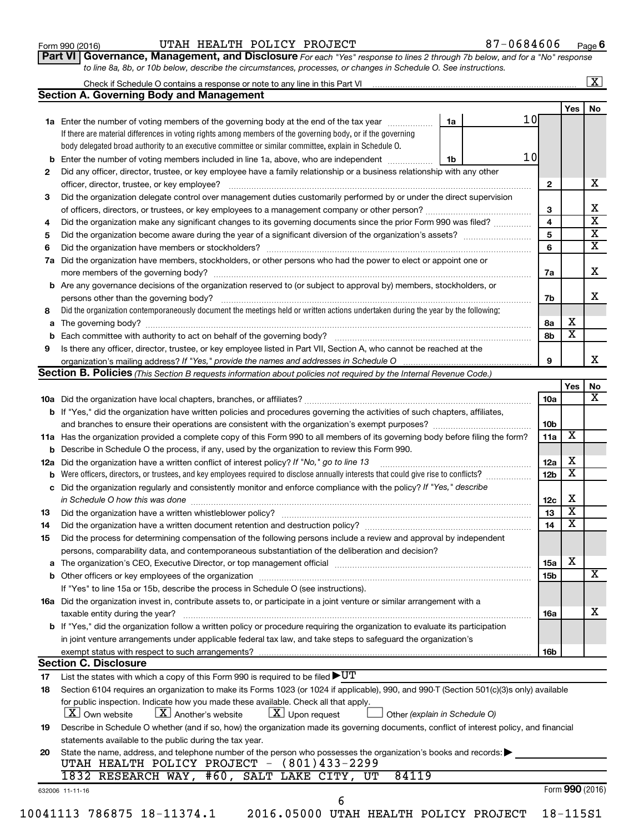| Form 990 (2016) |  |
|-----------------|--|
|-----------------|--|

#### Form 990 (2016) Page UTAH HEALTH POLICY PROJECT 87-0684606

**Part VI** Governance, Management, and Disclosure For each "Yes" response to lines 2 through 7b below, and for a "No" response *to line 8a, 8b, or 10b below, describe the circumstances, processes, or changes in Schedule O. See instructions.*

|          |                                                                                                                                                                                                                                                         |                               |                 |                         | $\overline{\mathbf{x}}$ |
|----------|---------------------------------------------------------------------------------------------------------------------------------------------------------------------------------------------------------------------------------------------------------|-------------------------------|-----------------|-------------------------|-------------------------|
|          | <b>Section A. Governing Body and Management</b>                                                                                                                                                                                                         |                               |                 |                         |                         |
|          |                                                                                                                                                                                                                                                         |                               |                 | Yes                     | No                      |
|          | 1a Enter the number of voting members of the governing body at the end of the tax year                                                                                                                                                                  | 10<br>1a                      |                 |                         |                         |
|          | If there are material differences in voting rights among members of the governing body, or if the governing                                                                                                                                             |                               |                 |                         |                         |
|          | body delegated broad authority to an executive committee or similar committee, explain in Schedule O.                                                                                                                                                   |                               |                 |                         |                         |
|          | <b>b</b> Enter the number of voting members included in line 1a, above, who are independent <i>manumum</i>                                                                                                                                              | 10<br>1b                      |                 |                         |                         |
| 2        | Did any officer, director, trustee, or key employee have a family relationship or a business relationship with any other                                                                                                                                |                               |                 |                         |                         |
|          |                                                                                                                                                                                                                                                         |                               | $\mathbf{2}$    |                         | x                       |
| 3        | Did the organization delegate control over management duties customarily performed by or under the direct supervision                                                                                                                                   |                               |                 |                         |                         |
|          |                                                                                                                                                                                                                                                         |                               | 3               |                         | х                       |
| 4        | Did the organization make any significant changes to its governing documents since the prior Form 990 was filed?                                                                                                                                        |                               | 4               |                         | $\overline{\mathbf{x}}$ |
| 5        |                                                                                                                                                                                                                                                         |                               | 5               |                         | $\overline{\mathbf{x}}$ |
| 6        |                                                                                                                                                                                                                                                         |                               | 6               |                         | $\overline{\textbf{x}}$ |
| 7a       | Did the organization have members, stockholders, or other persons who had the power to elect or appoint one or                                                                                                                                          |                               |                 |                         |                         |
|          |                                                                                                                                                                                                                                                         |                               | 7a              |                         | х                       |
|          | <b>b</b> Are any governance decisions of the organization reserved to (or subject to approval by) members, stockholders, or                                                                                                                             |                               |                 |                         |                         |
|          | persons other than the governing body?                                                                                                                                                                                                                  |                               | 7b              |                         | x                       |
| 8        | Did the organization contemporaneously document the meetings held or written actions undertaken during the year by the following:                                                                                                                       |                               |                 |                         |                         |
|          |                                                                                                                                                                                                                                                         |                               | 8a              | х                       |                         |
|          |                                                                                                                                                                                                                                                         |                               | 8b              | $\overline{\textbf{x}}$ |                         |
| 9        | Is there any officer, director, trustee, or key employee listed in Part VII, Section A, who cannot be reached at the                                                                                                                                    |                               |                 |                         |                         |
|          | organization's mailing address? If "Yes," provide the names and addresses in Schedule O multimarrow multimarrow                                                                                                                                         |                               | 9               |                         |                         |
|          | Section B. Policies (This Section B requests information about policies not required by the Internal Revenue Code.)                                                                                                                                     |                               |                 |                         |                         |
|          |                                                                                                                                                                                                                                                         |                               |                 | Yes                     | No                      |
|          |                                                                                                                                                                                                                                                         |                               | 10a             |                         |                         |
|          | <b>b</b> If "Yes," did the organization have written policies and procedures governing the activities of such chapters, affiliates,                                                                                                                     |                               |                 |                         |                         |
|          |                                                                                                                                                                                                                                                         |                               | 10b             |                         |                         |
|          | 11a Has the organization provided a complete copy of this Form 990 to all members of its governing body before filing the form?                                                                                                                         |                               | 11a             | X                       |                         |
|          | <b>b</b> Describe in Schedule O the process, if any, used by the organization to review this Form 990.                                                                                                                                                  |                               |                 |                         |                         |
|          | 12a Did the organization have a written conflict of interest policy? If "No," go to line 13                                                                                                                                                             |                               | 12a             | х                       |                         |
| b        |                                                                                                                                                                                                                                                         |                               | 12 <sub>b</sub> | $\overline{\textbf{x}}$ |                         |
|          | c Did the organization regularly and consistently monitor and enforce compliance with the policy? If "Yes," describe                                                                                                                                    |                               |                 |                         |                         |
|          | in Schedule O how this was done <i>manufacture contract to the set of the set of the set of the set of the set of t</i>                                                                                                                                 |                               | 12c             | х                       |                         |
| 13       |                                                                                                                                                                                                                                                         |                               | 13              | $\overline{\mathbf{x}}$ |                         |
| 14       | Did the organization have a written document retention and destruction policy? [11] manufaction manufaction in                                                                                                                                          |                               | 14              | $\overline{\mathbf{x}}$ |                         |
| 15       | Did the process for determining compensation of the following persons include a review and approval by independent                                                                                                                                      |                               |                 |                         |                         |
|          | persons, comparability data, and contemporaneous substantiation of the deliberation and decision?                                                                                                                                                       |                               |                 |                         |                         |
|          |                                                                                                                                                                                                                                                         |                               | 15a             | х                       |                         |
|          |                                                                                                                                                                                                                                                         |                               | 15b             |                         |                         |
|          | If "Yes" to line 15a or 15b, describe the process in Schedule O (see instructions).                                                                                                                                                                     |                               |                 |                         |                         |
|          | 16a Did the organization invest in, contribute assets to, or participate in a joint venture or similar arrangement with a                                                                                                                               |                               |                 |                         |                         |
|          |                                                                                                                                                                                                                                                         |                               | 16a             |                         |                         |
|          | taxable entity during the year?<br>b If "Yes," did the organization follow a written policy or procedure requiring the organization to evaluate its participation                                                                                       |                               |                 |                         |                         |
|          |                                                                                                                                                                                                                                                         |                               |                 |                         |                         |
|          | in joint venture arrangements under applicable federal tax law, and take steps to safeguard the organization's                                                                                                                                          |                               |                 |                         |                         |
|          | exempt status with respect to such arrangements?<br><b>Section C. Disclosure</b>                                                                                                                                                                        |                               | 16b             |                         |                         |
|          |                                                                                                                                                                                                                                                         |                               |                 |                         |                         |
| 17<br>18 | List the states with which a copy of this Form 990 is required to be filed $\blacktriangleright\texttt{UT}$<br>Section 6104 requires an organization to make its Forms 1023 (or 1024 if applicable), 990, and 990-T (Section 501(c)(3)s only) available |                               |                 |                         |                         |
|          |                                                                                                                                                                                                                                                         |                               |                 |                         |                         |
|          | for public inspection. Indicate how you made these available. Check all that apply.<br>$X$ Own website<br>$X$ Upon request<br>$\lfloor X \rfloor$ Another's website                                                                                     |                               |                 |                         |                         |
|          |                                                                                                                                                                                                                                                         | Other (explain in Schedule O) |                 |                         |                         |
| 19       | Describe in Schedule O whether (and if so, how) the organization made its governing documents, conflict of interest policy, and financial                                                                                                               |                               |                 |                         |                         |
|          | statements available to the public during the tax year.                                                                                                                                                                                                 |                               |                 |                         |                         |
| 20       | State the name, address, and telephone number of the person who possesses the organization's books and records:                                                                                                                                         |                               |                 |                         |                         |
|          | UTAH HEALTH POLICY PROJECT - (801)433-2299<br>1832 RESEARCH WAY, #60, SALT LAKE CITY, UT<br>84119                                                                                                                                                       |                               |                 |                         |                         |
|          |                                                                                                                                                                                                                                                         |                               |                 |                         |                         |
|          | 632006 11-11-16                                                                                                                                                                                                                                         |                               |                 | Form 990 (2016)         |                         |
|          | 6                                                                                                                                                                                                                                                       |                               |                 |                         |                         |
|          | 10041113 786875 18-11374.1<br>2016.05000 UTAH HEALTH POLICY PROJECT                                                                                                                                                                                     |                               |                 | $18 - 115S1$            |                         |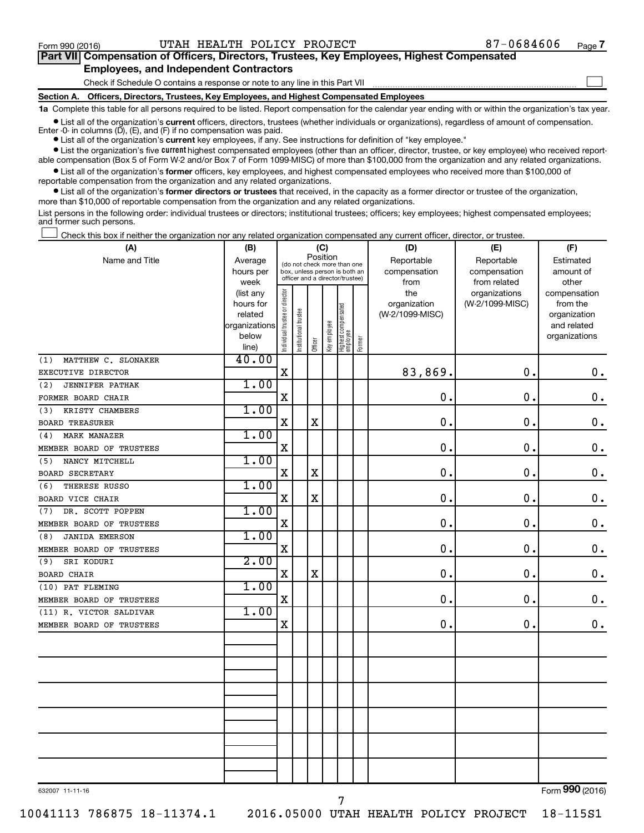$\Box$ 

| Part VII Compensation of Officers, Directors, Trustees, Key Employees, Highest Compensated |  |  |
|--------------------------------------------------------------------------------------------|--|--|
| <b>Employees, and Independent Contractors</b>                                              |  |  |

Check if Schedule O contains a response or note to any line in this Part VII

**Section A. Officers, Directors, Trustees, Key Employees, and Highest Compensated Employees**

**1a**  Complete this table for all persons required to be listed. Report compensation for the calendar year ending with or within the organization's tax year.

**•** List all of the organization's current officers, directors, trustees (whether individuals or organizations), regardless of amount of compensation. Enter -0- in columns  $(D)$ ,  $(E)$ , and  $(F)$  if no compensation was paid.

**•** List all of the organization's **current** key employees, if any. See instructions for definition of "key employee."

**•** List the organization's five current highest compensated employees (other than an officer, director, trustee, or key employee) who received reportable compensation (Box 5 of Form W-2 and/or Box 7 of Form 1099-MISC) of more than \$100,000 from the organization and any related organizations.

**•** List all of the organization's former officers, key employees, and highest compensated employees who received more than \$100,000 of reportable compensation from the organization and any related organizations.

**•** List all of the organization's former directors or trustees that received, in the capacity as a former director or trustee of the organization, more than \$10,000 of reportable compensation from the organization and any related organizations.

List persons in the following order: individual trustees or directors; institutional trustees; officers; key employees; highest compensated employees; and former such persons.

Check this box if neither the organization nor any related organization compensated any current officer, director, or trustee.  $\Box$ 

| (A)                           | (B)               | (C)                                     |                                                                  |                         |              |                                   |        | (D)                  | (E)                          | (F)                |  |  |
|-------------------------------|-------------------|-----------------------------------------|------------------------------------------------------------------|-------------------------|--------------|-----------------------------------|--------|----------------------|------------------------------|--------------------|--|--|
| Name and Title                | Average           | Position<br>(do not check more than one |                                                                  |                         |              |                                   |        | Reportable           | Reportable                   | Estimated          |  |  |
|                               | hours per<br>week |                                         | box, unless person is both an<br>officer and a director/trustee) |                         |              |                                   |        | compensation<br>from | compensation<br>from related | amount of<br>other |  |  |
|                               | (list any         |                                         |                                                                  |                         |              |                                   |        | the                  | organizations                | compensation       |  |  |
|                               | hours for         |                                         |                                                                  |                         |              |                                   |        | organization         | (W-2/1099-MISC)              | from the           |  |  |
|                               | related           |                                         |                                                                  |                         |              |                                   |        | (W-2/1099-MISC)      |                              | organization       |  |  |
|                               | organizations     |                                         |                                                                  |                         |              |                                   |        |                      |                              | and related        |  |  |
|                               | below             | Individual trustee or director          | Institutional trustee                                            | Officer                 | Key employee | Highest compensated<br>  employee | Former |                      |                              | organizations      |  |  |
|                               | line)<br>40.00    |                                         |                                                                  |                         |              |                                   |        |                      |                              |                    |  |  |
| MATTHEW C. SLONAKER<br>(1)    |                   | $\mathbf X$                             |                                                                  |                         |              |                                   |        | 83,869.              | 0.                           |                    |  |  |
| EXECUTIVE DIRECTOR            | 1.00              |                                         |                                                                  |                         |              |                                   |        |                      |                              | 0.                 |  |  |
| <b>JENNIFER PATHAK</b><br>(2) |                   |                                         |                                                                  |                         |              |                                   |        | 0.                   | $\mathbf 0$ .                | $\mathbf 0$ .      |  |  |
| FORMER BOARD CHAIR            | 1.00              | X                                       |                                                                  |                         |              |                                   |        |                      |                              |                    |  |  |
| KRISTY CHAMBERS<br>(3)        |                   |                                         |                                                                  |                         |              |                                   |        |                      |                              |                    |  |  |
| <b>BOARD TREASURER</b>        |                   | $\mathbf X$                             |                                                                  | X                       |              |                                   |        | $\mathbf 0$ .        | $\mathbf 0$ .                | $\mathbf 0$ .      |  |  |
| MARK MANAZER<br>(4)           | 1.00              |                                         |                                                                  |                         |              |                                   |        |                      |                              |                    |  |  |
| MEMBER BOARD OF TRUSTEES      |                   | $\mathbf X$                             |                                                                  |                         |              |                                   |        | $\mathbf 0$ .        | $\mathbf 0$ .                | $\boldsymbol{0}$ . |  |  |
| NANCY MITCHELL<br>(5)         | 1.00              |                                         |                                                                  |                         |              |                                   |        |                      |                              |                    |  |  |
| <b>BOARD SECRETARY</b>        |                   | X                                       |                                                                  | $\mathbf X$             |              |                                   |        | $\mathbf 0$          | $\mathbf 0$ .                | $\mathbf 0$ .      |  |  |
| THERESE RUSSO<br>(6)          | 1.00              |                                         |                                                                  |                         |              |                                   |        |                      |                              |                    |  |  |
| BOARD VICE CHAIR              |                   | $\mathbf X$                             |                                                                  | $\overline{\textbf{X}}$ |              |                                   |        | $\mathbf 0$ .        | $\mathbf 0$ .                | 0.                 |  |  |
| DR. SCOTT POPPEN<br>(7)       | 1.00              |                                         |                                                                  |                         |              |                                   |        |                      |                              |                    |  |  |
| MEMBER BOARD OF TRUSTEES      |                   | X                                       |                                                                  |                         |              |                                   |        | 0.                   | $\mathbf 0$ .                | $\mathbf 0$ .      |  |  |
| <b>JANIDA EMERSON</b><br>(8)  | 1.00              |                                         |                                                                  |                         |              |                                   |        |                      |                              |                    |  |  |
| MEMBER BOARD OF TRUSTEES      |                   | X                                       |                                                                  |                         |              |                                   |        | $\mathbf 0$ .        | $\mathbf 0$ .                | 0.                 |  |  |
| SRI KODURI<br>(9)             | 2.00              |                                         |                                                                  |                         |              |                                   |        |                      |                              |                    |  |  |
| <b>BOARD CHAIR</b>            |                   | $\mathbf X$                             |                                                                  | $\mathbf X$             |              |                                   |        | $\mathbf{0}$ .       | $\mathbf 0$ .                | $\mathbf 0$ .      |  |  |
| (10) PAT FLEMING              | 1.00              |                                         |                                                                  |                         |              |                                   |        |                      |                              |                    |  |  |
| MEMBER BOARD OF TRUSTEES      |                   | $\mathbf X$                             |                                                                  |                         |              |                                   |        | 0.                   | $\mathbf 0$ .                | 0.                 |  |  |
| (11) R. VICTOR SALDIVAR       | 1.00              |                                         |                                                                  |                         |              |                                   |        | $\mathbf 0$ .        |                              |                    |  |  |
| MEMBER BOARD OF TRUSTEES      |                   | $\mathbf X$                             |                                                                  |                         |              |                                   |        |                      | 0.                           | $0$ .              |  |  |
|                               |                   |                                         |                                                                  |                         |              |                                   |        |                      |                              |                    |  |  |
|                               |                   |                                         |                                                                  |                         |              |                                   |        |                      |                              |                    |  |  |
|                               |                   |                                         |                                                                  |                         |              |                                   |        |                      |                              |                    |  |  |
|                               |                   |                                         |                                                                  |                         |              |                                   |        |                      |                              |                    |  |  |
|                               |                   |                                         |                                                                  |                         |              |                                   |        |                      |                              |                    |  |  |
|                               |                   |                                         |                                                                  |                         |              |                                   |        |                      |                              |                    |  |  |
|                               |                   |                                         |                                                                  |                         |              |                                   |        |                      |                              |                    |  |  |
|                               |                   |                                         |                                                                  |                         |              |                                   |        |                      |                              |                    |  |  |
|                               |                   |                                         |                                                                  |                         |              |                                   |        |                      |                              |                    |  |  |
|                               |                   |                                         |                                                                  |                         |              |                                   |        |                      |                              |                    |  |  |
|                               |                   |                                         |                                                                  |                         |              |                                   |        |                      |                              |                    |  |  |
| 632007 11-11-16               |                   |                                         |                                                                  |                         |              |                                   |        |                      |                              | Form 990 (2016)    |  |  |
|                               |                   |                                         |                                                                  |                         |              |                                   |        |                      |                              |                    |  |  |

10041113 786875 18-11374.1 2016.05000 UTAH HEALTH POLICY PROJECT 18-115S1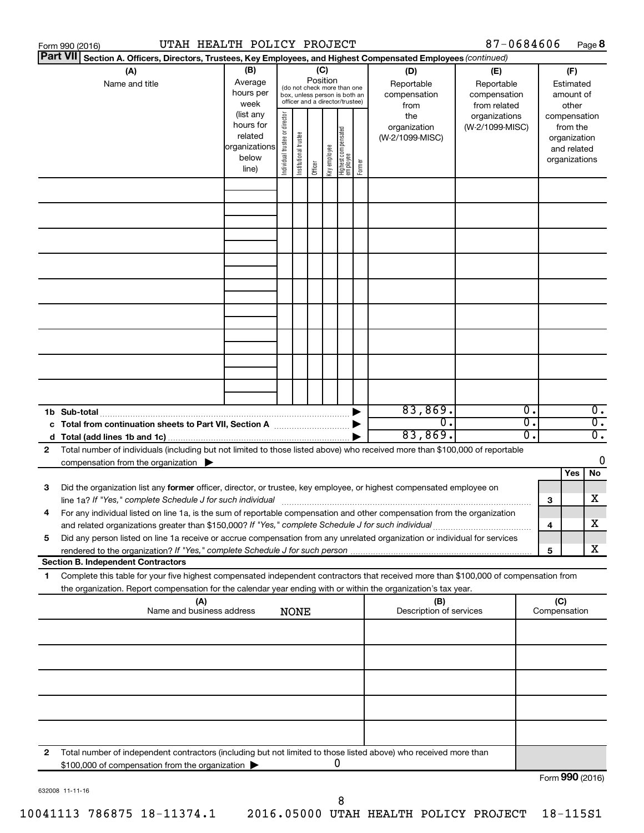| UTAH HEALTH POLICY PROJECT<br>87-0684606<br>Form 990 (2016) |                                                                                                                                                                                                                                        |                                                                      |                                                                                                                    |                       |         |              |                                   |        |                                           | Page 8                                            |              |     |                                                                          |
|-------------------------------------------------------------|----------------------------------------------------------------------------------------------------------------------------------------------------------------------------------------------------------------------------------------|----------------------------------------------------------------------|--------------------------------------------------------------------------------------------------------------------|-----------------------|---------|--------------|-----------------------------------|--------|-------------------------------------------|---------------------------------------------------|--------------|-----|--------------------------------------------------------------------------|
| <b>Part VII</b>                                             | Section A. Officers, Directors, Trustees, Key Employees, and Highest Compensated Employees (continued)                                                                                                                                 |                                                                      |                                                                                                                    |                       |         |              |                                   |        |                                           |                                                   |              |     |                                                                          |
|                                                             | (A)<br>Name and title                                                                                                                                                                                                                  | (B)<br>Average<br>hours per<br>week                                  | (C)<br>Position<br>(do not check more than one<br>box, unless person is both an<br>officer and a director/trustee) |                       |         |              |                                   |        | (D)<br>Reportable<br>compensation<br>from | (E)<br>Reportable<br>compensation<br>from related |              |     | (F)<br>Estimated<br>amount of<br>other                                   |
|                                                             |                                                                                                                                                                                                                                        | (list any<br>hours for<br>related<br>organizations<br>below<br>line) | Individual trustee or director                                                                                     | Institutional trustee | Officer | Key employee | Highest compensated<br>  employee | Former | the<br>organization<br>(W-2/1099-MISC)    | organizations<br>(W-2/1099-MISC)                  |              |     | compensation<br>from the<br>organization<br>and related<br>organizations |
|                                                             |                                                                                                                                                                                                                                        |                                                                      |                                                                                                                    |                       |         |              |                                   |        |                                           |                                                   |              |     |                                                                          |
|                                                             |                                                                                                                                                                                                                                        |                                                                      |                                                                                                                    |                       |         |              |                                   |        |                                           |                                                   |              |     |                                                                          |
|                                                             |                                                                                                                                                                                                                                        |                                                                      |                                                                                                                    |                       |         |              |                                   |        |                                           |                                                   |              |     |                                                                          |
|                                                             |                                                                                                                                                                                                                                        |                                                                      |                                                                                                                    |                       |         |              |                                   |        |                                           |                                                   |              |     |                                                                          |
|                                                             | 1b Sub-total                                                                                                                                                                                                                           |                                                                      |                                                                                                                    |                       |         |              |                                   |        | 83,869.                                   |                                                   | 0.           |     | $\overline{0}$ .                                                         |
| 2                                                           | c Total from continuation sheets to Part VII, Section A manufactured by<br>Total number of individuals (including but not limited to those listed above) who received more than \$100,000 of reportable                                |                                                                      |                                                                                                                    |                       |         |              |                                   |        | $\overline{0}$ .<br>83,869.               |                                                   | σ.<br>о.     |     | $\overline{0}$ .<br>$\overline{0}$ .                                     |
|                                                             | compensation from the organization $\blacktriangleright$                                                                                                                                                                               |                                                                      |                                                                                                                    |                       |         |              |                                   |        |                                           |                                                   |              |     | 0<br>Yes<br>No                                                           |
| 3                                                           | Did the organization list any former officer, director, or trustee, key employee, or highest compensated employee on<br>line 1a? If "Yes," complete Schedule J for such individual manufactured content to the set of the set of the s |                                                                      |                                                                                                                    |                       |         |              |                                   |        |                                           |                                                   |              | 3   | х                                                                        |
|                                                             | For any individual listed on line 1a, is the sum of reportable compensation and other compensation from the organization<br>and related organizations greater than \$150,000? If "Yes," complete Schedule J for such individual        |                                                                      |                                                                                                                    |                       |         |              |                                   |        |                                           |                                                   |              | 4   | х                                                                        |
| 5                                                           | Did any person listed on line 1a receive or accrue compensation from any unrelated organization or individual for services<br><b>Section B. Independent Contractors</b>                                                                |                                                                      |                                                                                                                    |                       |         |              |                                   |        |                                           |                                                   |              | 5   | х                                                                        |
| 1.                                                          | Complete this table for your five highest compensated independent contractors that received more than \$100,000 of compensation from                                                                                                   |                                                                      |                                                                                                                    |                       |         |              |                                   |        |                                           |                                                   |              |     |                                                                          |
|                                                             | the organization. Report compensation for the calendar year ending with or within the organization's tax year.<br>(A)                                                                                                                  |                                                                      |                                                                                                                    |                       |         |              |                                   |        | (B)                                       |                                                   |              | (C) |                                                                          |
|                                                             | Name and business address<br>Description of services<br><b>NONE</b>                                                                                                                                                                    |                                                                      |                                                                                                                    |                       |         |              |                                   |        |                                           |                                                   | Compensation |     |                                                                          |
|                                                             |                                                                                                                                                                                                                                        |                                                                      |                                                                                                                    |                       |         |              |                                   |        |                                           |                                                   |              |     |                                                                          |
|                                                             |                                                                                                                                                                                                                                        |                                                                      |                                                                                                                    |                       |         |              |                                   |        |                                           |                                                   |              |     |                                                                          |
|                                                             |                                                                                                                                                                                                                                        |                                                                      |                                                                                                                    |                       |         |              |                                   |        |                                           |                                                   |              |     |                                                                          |
| 2                                                           | Total number of independent contractors (including but not limited to those listed above) who received more than<br>\$100,000 of compensation from the organization                                                                    |                                                                      |                                                                                                                    |                       |         |              | 0                                 |        |                                           |                                                   |              |     |                                                                          |
|                                                             |                                                                                                                                                                                                                                        |                                                                      |                                                                                                                    |                       |         |              |                                   |        |                                           |                                                   |              |     | Form 990 (2016)                                                          |

632008 11-11-16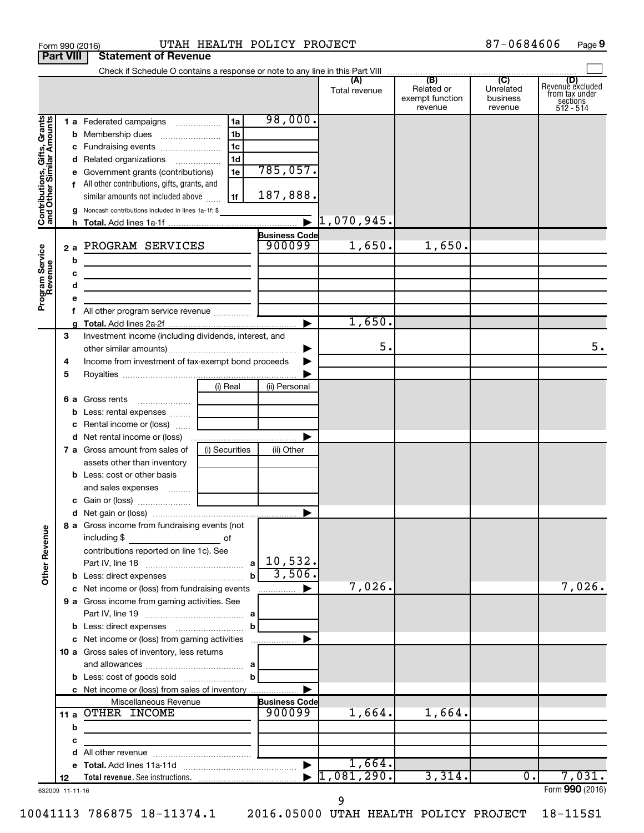| Form 990 (2016)                                           |                   |                                                                                                                                                                                                                                                                    |                                                                      | UTAH HEALTH POLICY PROJECT      |                      |                                          | 87-0684606                       | Page 9                                                             |
|-----------------------------------------------------------|-------------------|--------------------------------------------------------------------------------------------------------------------------------------------------------------------------------------------------------------------------------------------------------------------|----------------------------------------------------------------------|---------------------------------|----------------------|------------------------------------------|----------------------------------|--------------------------------------------------------------------|
| <b>Part VIII</b>                                          |                   | <b>Statement of Revenue</b>                                                                                                                                                                                                                                        |                                                                      |                                 |                      |                                          |                                  |                                                                    |
|                                                           |                   |                                                                                                                                                                                                                                                                    |                                                                      |                                 | Total revenue        | Related or<br>exempt function<br>revenue | Unrelated<br>business<br>revenue | (D)<br>Revenue excluded<br>from tax under<br>sections<br>512 - 514 |
| Contributions, Gifts, Grants<br>and Other Similar Amounts | d                 | 1 a Federated campaigns<br>c Fundraising events<br>Related organizations<br>Government grants (contributions)<br>f All other contributions, gifts, grants, and<br>similar amounts not included above<br><b>g</b> Noncash contributions included in lines 1a-1f: \$ | 1a<br>1 <sub>b</sub><br>1 <sub>c</sub><br>1 <sub>d</sub><br>1e<br>1f | 98,000.<br>785,057.<br>187,888. | $1,070,945$ .        |                                          |                                  |                                                                    |
| Program Service<br>Revenue                                | 2a<br>b<br>c<br>d | PROGRAM SERVICES<br>the contract of the contract of the contract of the contract of the contract of<br>the control of the control of the control of the control of the control of<br>the control of the control of the control of the control of the control of    |                                                                      | <b>Business Code</b><br>900099  | 1,650.               | 1,650.                                   |                                  |                                                                    |
|                                                           | е<br>f<br>a       |                                                                                                                                                                                                                                                                    |                                                                      |                                 | 1,650.               |                                          |                                  |                                                                    |
|                                                           | 3<br>4<br>5       | Investment income (including dividends, interest, and<br>Income from investment of tax-exempt bond proceeds                                                                                                                                                        | (i) Real                                                             | (ii) Personal                   | 5.                   |                                          |                                  | 5.                                                                 |
|                                                           | b                 | Less: rental expenses<br>Rental income or (loss)<br><b>d</b> Net rental income or (loss)<br>7 a Gross amount from sales of                                                                                                                                         | (i) Securities                                                       | (ii) Other                      |                      |                                          |                                  |                                                                    |
|                                                           |                   | assets other than inventory<br><b>b</b> Less: cost or other basis<br>and sales expenses                                                                                                                                                                            |                                                                      |                                 |                      |                                          |                                  |                                                                    |
| <b>Other Revenue</b>                                      |                   | 8 a Gross income from fundraising events (not<br>including \$<br>and the contract of the contract of<br>contributions reported on line 1c). See                                                                                                                    |                                                                      | 3,506.                          |                      |                                          |                                  |                                                                    |
|                                                           |                   | c Net income or (loss) from fundraising events<br>9 a Gross income from gaming activities. See<br><b>b</b> Less: direct expenses <b>container the less</b> : direct expenses                                                                                       |                                                                      |                                 | 7,026.               |                                          |                                  | 7,026.                                                             |
|                                                           |                   | c Net income or (loss) from gaming activities<br>10 a Gross sales of inventory, less returns<br><b>b</b> Less: cost of goods sold $\ldots$ <b>b</b>                                                                                                                |                                                                      |                                 |                      |                                          |                                  |                                                                    |
|                                                           | b<br>с            | c Net income or (loss) from sales of inventory<br>Miscellaneous Revenue<br>11 a OTHER INCOME                                                                                                                                                                       |                                                                      | <b>Business Code</b><br>900099  | 1,664.               | 1,664.                                   |                                  |                                                                    |
|                                                           | d<br>е<br>12      |                                                                                                                                                                                                                                                                    |                                                                      |                                 | 1,664.<br>1,081,290. | 3,314.                                   | $\overline{0}$ .                 | 7,031.<br>Form 990 (2016)                                          |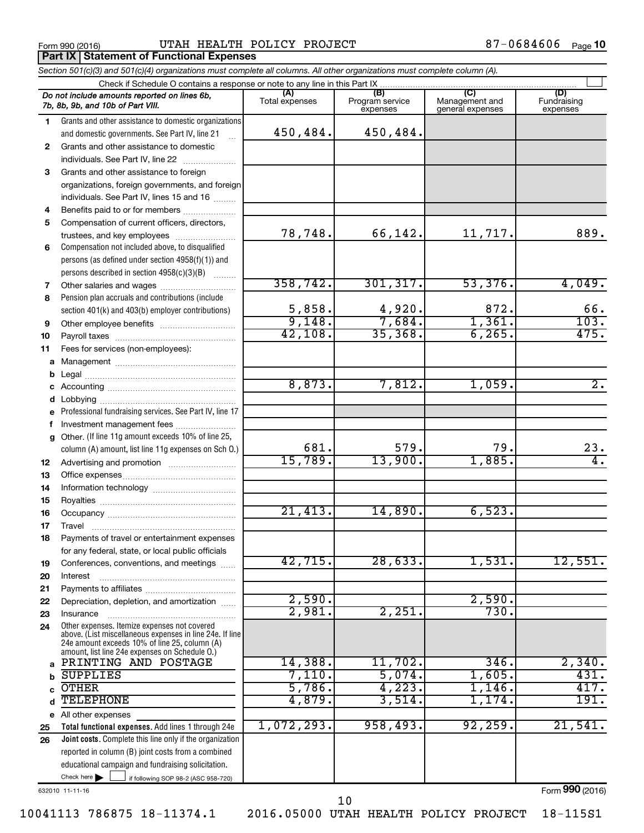**Part IX Statement of Functional Expenses** 

Form 990 (2016) Page UTAH HEALTH POLICY PROJECT 87-0684606

|    | Section 501(c)(3) and 501(c)(4) organizations must complete all columns. All other organizations must complete column (A).                                                                                  |                       |                                    |                                           |                                |
|----|-------------------------------------------------------------------------------------------------------------------------------------------------------------------------------------------------------------|-----------------------|------------------------------------|-------------------------------------------|--------------------------------|
|    | Check if Schedule O contains a response or note to any line in this Part IX                                                                                                                                 |                       |                                    |                                           |                                |
|    | Do not include amounts reported on lines 6b,<br>7b, 8b, 9b, and 10b of Part VIII.                                                                                                                           | (A)<br>Total expenses | (B)<br>Program service<br>expenses | (C)<br>Management and<br>general expenses | (D)<br>Fundraising<br>expenses |
| 1  | Grants and other assistance to domestic organizations                                                                                                                                                       |                       |                                    |                                           |                                |
|    | and domestic governments. See Part IV, line 21                                                                                                                                                              | 450,484.              | 450,484.                           |                                           |                                |
| 2  | Grants and other assistance to domestic                                                                                                                                                                     |                       |                                    |                                           |                                |
|    | individuals. See Part IV, line 22                                                                                                                                                                           |                       |                                    |                                           |                                |
| 3  | Grants and other assistance to foreign                                                                                                                                                                      |                       |                                    |                                           |                                |
|    | organizations, foreign governments, and foreign                                                                                                                                                             |                       |                                    |                                           |                                |
|    | individuals. See Part IV, lines 15 and 16                                                                                                                                                                   |                       |                                    |                                           |                                |
| 4  | Benefits paid to or for members                                                                                                                                                                             |                       |                                    |                                           |                                |
| 5  | Compensation of current officers, directors,                                                                                                                                                                |                       |                                    |                                           |                                |
|    | trustees, and key employees                                                                                                                                                                                 | 78,748.               | 66,142.                            | 11,717.                                   | 889.                           |
| 6  | Compensation not included above, to disqualified                                                                                                                                                            |                       |                                    |                                           |                                |
|    | persons (as defined under section 4958(f)(1)) and                                                                                                                                                           |                       |                                    |                                           |                                |
|    | persons described in section 4958(c)(3)(B)                                                                                                                                                                  |                       |                                    |                                           |                                |
| 7  |                                                                                                                                                                                                             | 358, 742.             | 301, 317.                          | 53,376.                                   | 4,049.                         |
| 8  | Pension plan accruals and contributions (include                                                                                                                                                            |                       |                                    |                                           |                                |
|    | section 401(k) and 403(b) employer contributions)                                                                                                                                                           | $\frac{5,858}{9,148}$ | $\frac{4,920}{7,684}$              | 872.                                      | 66.                            |
| 9  | Other employee benefits                                                                                                                                                                                     |                       |                                    | 1,361.                                    |                                |
| 10 |                                                                                                                                                                                                             | 42,108.               | 35,368.                            | 6, 265.                                   |                                |
| 11 | Fees for services (non-employees):                                                                                                                                                                          |                       |                                    |                                           |                                |
| a  |                                                                                                                                                                                                             |                       |                                    |                                           |                                |
| b  |                                                                                                                                                                                                             |                       |                                    |                                           |                                |
| с  |                                                                                                                                                                                                             | 8,873.                | 7,812.                             | 1,059.                                    | $\overline{2}$ .               |
| d  |                                                                                                                                                                                                             |                       |                                    |                                           |                                |
| е  | Professional fundraising services. See Part IV, line 17                                                                                                                                                     |                       |                                    |                                           |                                |
| f  | Investment management fees                                                                                                                                                                                  |                       |                                    |                                           |                                |
| g  | Other. (If line 11g amount exceeds 10% of line 25,                                                                                                                                                          | 681.                  | 579.                               | 79.                                       |                                |
|    | column (A) amount, list line 11g expenses on Sch O.)                                                                                                                                                        | 15,789.               | 13,900.                            | 1,885.                                    | 23.                            |
| 12 |                                                                                                                                                                                                             |                       |                                    |                                           |                                |
| 13 |                                                                                                                                                                                                             |                       |                                    |                                           |                                |
| 14 |                                                                                                                                                                                                             |                       |                                    |                                           |                                |
| 15 |                                                                                                                                                                                                             | 21,413.               | 14,890.                            | 6,523.                                    |                                |
| 16 |                                                                                                                                                                                                             |                       |                                    |                                           |                                |
| 17 | Payments of travel or entertainment expenses                                                                                                                                                                |                       |                                    |                                           |                                |
| 18 | for any federal, state, or local public officials                                                                                                                                                           |                       |                                    |                                           |                                |
| 19 | Conferences, conventions, and meetings                                                                                                                                                                      | 42,715.               | 28,633.                            | 1,531.                                    | 12,551.                        |
| 20 | Interest                                                                                                                                                                                                    |                       |                                    |                                           |                                |
| 21 |                                                                                                                                                                                                             |                       |                                    |                                           |                                |
| 22 | Depreciation, depletion, and amortization                                                                                                                                                                   | 2,590.                |                                    | 2,590.                                    |                                |
| 23 | Insurance                                                                                                                                                                                                   | 2,981                 | 2,251                              | 730.                                      |                                |
| 24 | Other expenses. Itemize expenses not covered<br>above. (List miscellaneous expenses in line 24e. If line<br>24e amount exceeds 10% of line 25, column (A)<br>amount, list line 24e expenses on Schedule O.) |                       |                                    |                                           |                                |
| a  | PRINTING AND POSTAGE                                                                                                                                                                                        | 14,388.               | 11,702.                            | 346.                                      | 2,340.                         |
| b  | <b>SUPPLIES</b>                                                                                                                                                                                             | 7,110.                | 5,074.                             | 1,605.                                    | 431.                           |
| C  | <b>OTHER</b>                                                                                                                                                                                                | 5,786.                | 4,223.                             | 1,146.                                    | 417.                           |
| d  | <b>TELEPHONE</b>                                                                                                                                                                                            | 4,879.                | 3,514.                             | 1,174                                     | 191.                           |
|    | e All other expenses                                                                                                                                                                                        |                       |                                    |                                           |                                |
| 25 | Total functional expenses. Add lines 1 through 24e                                                                                                                                                          | 1,072,293.            | 958,493.                           | 92, 259.                                  | 21,541.                        |
| 26 | Joint costs. Complete this line only if the organization                                                                                                                                                    |                       |                                    |                                           |                                |
|    | reported in column (B) joint costs from a combined                                                                                                                                                          |                       |                                    |                                           |                                |
|    | educational campaign and fundraising solicitation.                                                                                                                                                          |                       |                                    |                                           |                                |
|    | Check here $\blacktriangleright$<br>if following SOP 98-2 (ASC 958-720)                                                                                                                                     |                       |                                    |                                           |                                |

632010 11-11-16

Form (2016) **990**

10041113 786875 18-11374.1 2016.05000 UTAH HEALTH POLICY PROJECT 18-115S1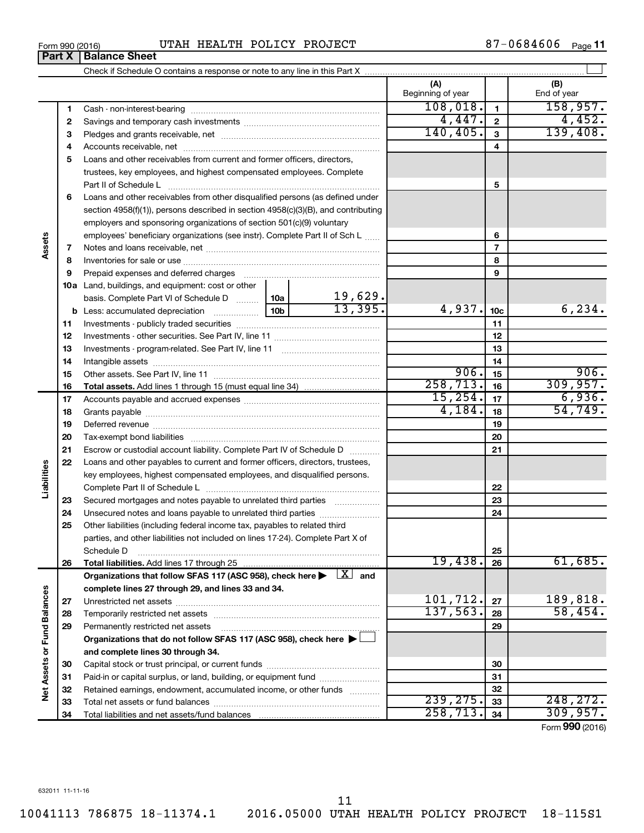| 11 |  |
|----|--|

10041113 786875 18-11374.1 2016.05000 UTAH HEALTH POLICY PROJECT 18-115S1

|                             |    |                                                                                                                         |        |           | (A)<br>Beginning of year |                 | (B)<br>End of year |
|-----------------------------|----|-------------------------------------------------------------------------------------------------------------------------|--------|-----------|--------------------------|-----------------|--------------------|
|                             | 1  |                                                                                                                         |        |           | 108,018.                 | $\mathbf{1}$    | 158, 957.          |
|                             | 2  |                                                                                                                         |        | 4,447.    | $\overline{\mathbf{2}}$  | 4,452.          |                    |
|                             | З  |                                                                                                                         |        | 140, 405. | $\overline{3}$           | 139,408.        |                    |
|                             | 4  |                                                                                                                         |        |           | 4                        |                 |                    |
|                             | 5  | Loans and other receivables from current and former officers, directors,                                                |        |           |                          |                 |                    |
|                             |    | trustees, key employees, and highest compensated employees. Complete                                                    |        |           |                          |                 |                    |
|                             |    |                                                                                                                         |        |           |                          | 5               |                    |
|                             | 6  | Loans and other receivables from other disqualified persons (as defined under                                           |        |           |                          |                 |                    |
|                             |    | section 4958(f)(1)), persons described in section 4958(c)(3)(B), and contributing                                       |        |           |                          |                 |                    |
|                             |    | employers and sponsoring organizations of section 501(c)(9) voluntary                                                   |        |           |                          |                 |                    |
|                             |    | employees' beneficiary organizations (see instr). Complete Part II of Sch L                                             |        |           |                          | 6               |                    |
|                             | 7  |                                                                                                                         |        |           |                          | $\overline{7}$  |                    |
|                             | 8  |                                                                                                                         |        |           |                          | 8               |                    |
|                             | 9  |                                                                                                                         |        |           |                          | 9               |                    |
|                             |    | 10a Land, buildings, and equipment: cost or other                                                                       |        |           |                          |                 |                    |
|                             |    | basis. Complete Part VI of Schedule D  10a                                                                              |        | 19,629.   |                          |                 |                    |
|                             | b  |                                                                                                                         |        | 13,395.   | 4,937.                   | 10 <sub>c</sub> | 6, 234.            |
|                             | 11 |                                                                                                                         |        |           |                          | 11              |                    |
|                             | 12 |                                                                                                                         |        |           |                          | 12              |                    |
|                             | 13 |                                                                                                                         |        |           | 13                       |                 |                    |
|                             | 14 |                                                                                                                         |        |           | 14                       |                 |                    |
|                             | 15 |                                                                                                                         |        |           | 906.                     | 15              | 906.               |
|                             | 16 |                                                                                                                         |        |           | 258, 713.                | 16              | 309, 957.          |
|                             | 17 |                                                                                                                         |        |           | 15,254.                  | 17              | 6,936.             |
|                             | 18 |                                                                                                                         | 4,184. | 18        | 54,749.                  |                 |                    |
|                             | 19 |                                                                                                                         |        |           |                          | 19              |                    |
|                             | 20 |                                                                                                                         |        |           |                          | 20              |                    |
|                             | 21 | Escrow or custodial account liability. Complete Part IV of Schedule D                                                   |        |           |                          | 21              |                    |
|                             | 22 | Loans and other payables to current and former officers, directors, trustees,                                           |        |           |                          |                 |                    |
| Liabilities                 |    | key employees, highest compensated employees, and disqualified persons.                                                 |        |           |                          |                 |                    |
|                             |    |                                                                                                                         |        |           |                          | 22              |                    |
|                             | 23 |                                                                                                                         |        |           |                          | 23              |                    |
|                             | 24 | Unsecured notes and loans payable to unrelated third parties                                                            |        |           |                          | 24              |                    |
|                             | 25 | Other liabilities (including federal income tax, payables to related third                                              |        |           |                          |                 |                    |
|                             |    | parties, and other liabilities not included on lines 17-24). Complete Part X of                                         |        |           |                          |                 |                    |
|                             |    | Schedule D                                                                                                              |        |           |                          | 25              |                    |
|                             | 26 | Total liabilities. Add lines 17 through 25                                                                              |        |           | 19,438.                  | 26              | 61,685.            |
|                             |    | Organizations that follow SFAS 117 (ASC 958), check here $\blacktriangleright \begin{array}{c} \perp X \end{array}$ and |        |           |                          |                 |                    |
|                             |    | complete lines 27 through 29, and lines 33 and 34.                                                                      |        |           |                          |                 |                    |
|                             | 27 |                                                                                                                         |        |           | 101,712.                 | 27              | 189,818.           |
|                             | 28 |                                                                                                                         |        | 137,563.  | 28                       | 58,454.         |                    |
|                             | 29 | Permanently restricted net assets                                                                                       |        | 29        |                          |                 |                    |
|                             |    | Organizations that do not follow SFAS 117 (ASC 958), check here $\blacktriangleright$                                   |        |           |                          |                 |                    |
|                             |    | and complete lines 30 through 34.                                                                                       |        |           |                          |                 |                    |
|                             | 30 |                                                                                                                         |        |           |                          | 30              |                    |
|                             | 31 | Paid-in or capital surplus, or land, building, or equipment fund                                                        |        |           |                          | 31              |                    |
| Net Assets or Fund Balances | 32 | Retained earnings, endowment, accumulated income, or other funds                                                        |        |           |                          | 32              |                    |
|                             | 33 |                                                                                                                         |        |           | 239, 275.                | 33              | 248, 272.          |
|                             | 34 |                                                                                                                         |        |           | 258, 713.                | 34              | 309, 957.          |
|                             |    |                                                                                                                         |        |           |                          |                 |                    |

Form (2016) **990**

87-0684606 Page 11

**Assets**

**Liabilities**

Net Assets or Fund Balances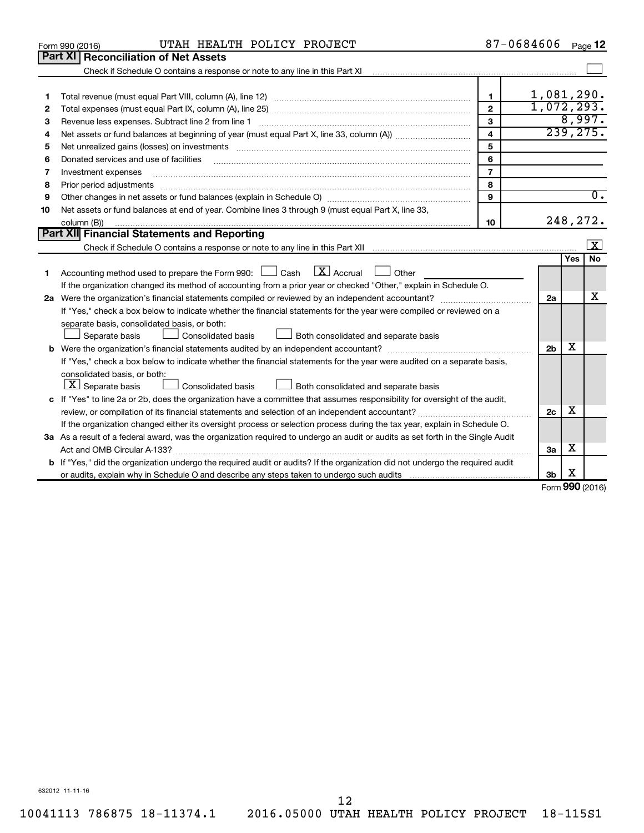|    | UTAH HEALTH POLICY PROJECT<br>Form 990 (2016)                                                                                                                                                                                                                                                                                                                                                                                                                           |                         | 87-0684606     |           | Page 12          |
|----|-------------------------------------------------------------------------------------------------------------------------------------------------------------------------------------------------------------------------------------------------------------------------------------------------------------------------------------------------------------------------------------------------------------------------------------------------------------------------|-------------------------|----------------|-----------|------------------|
|    | <b>Part XI   Reconciliation of Net Assets</b>                                                                                                                                                                                                                                                                                                                                                                                                                           |                         |                |           |                  |
|    |                                                                                                                                                                                                                                                                                                                                                                                                                                                                         |                         |                |           |                  |
|    |                                                                                                                                                                                                                                                                                                                                                                                                                                                                         |                         |                |           |                  |
| 1  |                                                                                                                                                                                                                                                                                                                                                                                                                                                                         | 1.                      | 1,081,290.     |           |                  |
| 2  |                                                                                                                                                                                                                                                                                                                                                                                                                                                                         | $\mathbf{2}$            | 1,072,293.     |           |                  |
| 3  | Revenue less expenses. Subtract line 2 from line 1                                                                                                                                                                                                                                                                                                                                                                                                                      | 3                       |                |           | 8,997.           |
| 4  |                                                                                                                                                                                                                                                                                                                                                                                                                                                                         | $\overline{\mathbf{4}}$ |                | 239, 275. |                  |
| 5  | Net unrealized gains (losses) on investments [111] www.martime.community.community.community.community.communi                                                                                                                                                                                                                                                                                                                                                          | 5                       |                |           |                  |
| 6  | Donated services and use of facilities                                                                                                                                                                                                                                                                                                                                                                                                                                  | 6                       |                |           |                  |
| 7  | Investment expenses                                                                                                                                                                                                                                                                                                                                                                                                                                                     | $\overline{7}$          |                |           |                  |
| 8  | Prior period adjustments<br>$\begin{minipage}{0.5\textwidth} \begin{tabular}{ l l l } \hline \multicolumn{1}{ l l l } \hline \multicolumn{1}{ l l } \multicolumn{1}{ l } \multicolumn{1}{ l } \multicolumn{1}{ l } \multicolumn{1}{ l } \multicolumn{1}{ l } \multicolumn{1}{ l } \multicolumn{1}{ l } \multicolumn{1}{ l } \multicolumn{1}{ l } \multicolumn{1}{ l } \multicolumn{1}{ l } \multicolumn{1}{ l } \multicolumn{1}{ l } \multicolumn{1}{ l } \multicolumn$ | 8                       |                |           |                  |
| 9  |                                                                                                                                                                                                                                                                                                                                                                                                                                                                         | 9                       |                |           | $\overline{0}$ . |
| 10 | Net assets or fund balances at end of year. Combine lines 3 through 9 (must equal Part X, line 33,                                                                                                                                                                                                                                                                                                                                                                      |                         |                |           |                  |
|    | column (B))                                                                                                                                                                                                                                                                                                                                                                                                                                                             | 10                      |                | 248, 272. |                  |
|    | Part XII Financial Statements and Reporting                                                                                                                                                                                                                                                                                                                                                                                                                             |                         |                |           |                  |
|    |                                                                                                                                                                                                                                                                                                                                                                                                                                                                         |                         |                |           | X                |
|    |                                                                                                                                                                                                                                                                                                                                                                                                                                                                         |                         |                | Yes       | No.              |
| 1  | $\lfloor x \rfloor$ Accrual<br>Accounting method used to prepare the Form 990: $\Box$ Cash<br>$\Box$ Other                                                                                                                                                                                                                                                                                                                                                              |                         |                |           |                  |
|    | If the organization changed its method of accounting from a prior year or checked "Other," explain in Schedule O.                                                                                                                                                                                                                                                                                                                                                       |                         |                |           |                  |
|    |                                                                                                                                                                                                                                                                                                                                                                                                                                                                         |                         | 2a             |           | x                |
|    | If "Yes," check a box below to indicate whether the financial statements for the year were compiled or reviewed on a                                                                                                                                                                                                                                                                                                                                                    |                         |                |           |                  |
|    | separate basis, consolidated basis, or both:                                                                                                                                                                                                                                                                                                                                                                                                                            |                         |                |           |                  |
|    | Both consolidated and separate basis<br>Separate basis<br>Consolidated basis                                                                                                                                                                                                                                                                                                                                                                                            |                         |                |           |                  |
|    |                                                                                                                                                                                                                                                                                                                                                                                                                                                                         |                         | 2 <sub>b</sub> | х         |                  |
|    | If "Yes," check a box below to indicate whether the financial statements for the year were audited on a separate basis,                                                                                                                                                                                                                                                                                                                                                 |                         |                |           |                  |
|    | consolidated basis, or both:                                                                                                                                                                                                                                                                                                                                                                                                                                            |                         |                |           |                  |
|    | $ \mathbf{X} $ Separate basis<br>Consolidated basis<br>Both consolidated and separate basis                                                                                                                                                                                                                                                                                                                                                                             |                         |                |           |                  |
|    | c If "Yes" to line 2a or 2b, does the organization have a committee that assumes responsibility for oversight of the audit,                                                                                                                                                                                                                                                                                                                                             |                         |                |           |                  |
|    |                                                                                                                                                                                                                                                                                                                                                                                                                                                                         |                         | 2c             | X         |                  |
|    | If the organization changed either its oversight process or selection process during the tax year, explain in Schedule O.                                                                                                                                                                                                                                                                                                                                               |                         |                |           |                  |
|    | 3a As a result of a federal award, was the organization required to undergo an audit or audits as set forth in the Single Audit                                                                                                                                                                                                                                                                                                                                         |                         |                |           |                  |
|    |                                                                                                                                                                                                                                                                                                                                                                                                                                                                         |                         | 3a             | x         |                  |
|    | <b>b</b> If "Yes," did the organization undergo the required audit or audits? If the organization did not undergo the required audit                                                                                                                                                                                                                                                                                                                                    |                         |                |           |                  |
|    | or audits, explain why in Schedule O and describe any steps taken to undergo such audits matures and the matur                                                                                                                                                                                                                                                                                                                                                          |                         | 3b             | х<br>nn n |                  |

Form (2016) **990**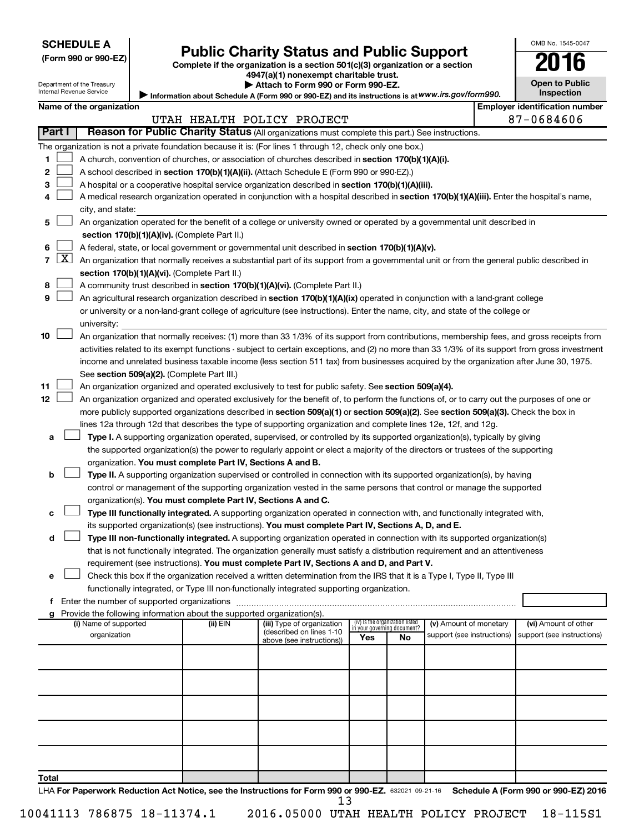Department of the Treasury Internal Revenue Service

| (Form 990 or 990-EZ |  |  |  |  |
|---------------------|--|--|--|--|
|---------------------|--|--|--|--|

# Form 990 or 990-EZ) **Public Charity Status and Public Support**<br>
Complete if the organization is a section 501(c)(3) organization or a section<br> **2016**

**4947(a)(1) nonexempt charitable trust. | Attach to Form 990 or Form 990-EZ.** 

| 10<br>IJ                                   |  |
|--------------------------------------------|--|
| <b>Open to Public</b><br><b>Inspection</b> |  |

 $\Box$ 

OMB No. 1545-0047

Information about Schedule A (Form 990 or 990-EZ) and its instructions is at WWW.irs.gov/form990.

|        | Name of the organization                                                                                                                      |          |                                                        |                                                                |    |                                                      |  | <b>Employer identification number</b>              |  |  |  |
|--------|-----------------------------------------------------------------------------------------------------------------------------------------------|----------|--------------------------------------------------------|----------------------------------------------------------------|----|------------------------------------------------------|--|----------------------------------------------------|--|--|--|
|        |                                                                                                                                               |          | UTAH HEALTH POLICY PROJECT                             |                                                                |    |                                                      |  | 87-0684606                                         |  |  |  |
| Part I | Reason for Public Charity Status (All organizations must complete this part.) See instructions.                                               |          |                                                        |                                                                |    |                                                      |  |                                                    |  |  |  |
|        | The organization is not a private foundation because it is: (For lines 1 through 12, check only one box.)                                     |          |                                                        |                                                                |    |                                                      |  |                                                    |  |  |  |
| 1      | A church, convention of churches, or association of churches described in section 170(b)(1)(A)(i).                                            |          |                                                        |                                                                |    |                                                      |  |                                                    |  |  |  |
| 2      | A school described in section 170(b)(1)(A)(ii). (Attach Schedule E (Form 990 or 990-EZ).)                                                     |          |                                                        |                                                                |    |                                                      |  |                                                    |  |  |  |
| З      | A hospital or a cooperative hospital service organization described in section 170(b)(1)(A)(iii).                                             |          |                                                        |                                                                |    |                                                      |  |                                                    |  |  |  |
| 4      | A medical research organization operated in conjunction with a hospital described in section 170(b)(1)(A)(iii). Enter the hospital's name,    |          |                                                        |                                                                |    |                                                      |  |                                                    |  |  |  |
|        | city, and state:                                                                                                                              |          |                                                        |                                                                |    |                                                      |  |                                                    |  |  |  |
| 5.     | An organization operated for the benefit of a college or university owned or operated by a governmental unit described in                     |          |                                                        |                                                                |    |                                                      |  |                                                    |  |  |  |
|        | section 170(b)(1)(A)(iv). (Complete Part II.)                                                                                                 |          |                                                        |                                                                |    |                                                      |  |                                                    |  |  |  |
| 6      | A federal, state, or local government or governmental unit described in section 170(b)(1)(A)(v).                                              |          |                                                        |                                                                |    |                                                      |  |                                                    |  |  |  |
| 7      | $X$ An organization that normally receives a substantial part of its support from a governmental unit or from the general public described in |          |                                                        |                                                                |    |                                                      |  |                                                    |  |  |  |
|        | section 170(b)(1)(A)(vi). (Complete Part II.)                                                                                                 |          |                                                        |                                                                |    |                                                      |  |                                                    |  |  |  |
| 8      | A community trust described in section 170(b)(1)(A)(vi). (Complete Part II.)                                                                  |          |                                                        |                                                                |    |                                                      |  |                                                    |  |  |  |
| 9      | An agricultural research organization described in section 170(b)(1)(A)(ix) operated in conjunction with a land-grant college                 |          |                                                        |                                                                |    |                                                      |  |                                                    |  |  |  |
|        | or university or a non-land-grant college of agriculture (see instructions). Enter the name, city, and state of the college or                |          |                                                        |                                                                |    |                                                      |  |                                                    |  |  |  |
|        | university:                                                                                                                                   |          |                                                        |                                                                |    |                                                      |  |                                                    |  |  |  |
| 10     | An organization that normally receives: (1) more than 33 1/3% of its support from contributions, membership fees, and gross receipts from     |          |                                                        |                                                                |    |                                                      |  |                                                    |  |  |  |
|        | activities related to its exempt functions - subject to certain exceptions, and (2) no more than 33 1/3% of its support from gross investment |          |                                                        |                                                                |    |                                                      |  |                                                    |  |  |  |
|        | income and unrelated business taxable income (less section 511 tax) from businesses acquired by the organization after June 30, 1975.         |          |                                                        |                                                                |    |                                                      |  |                                                    |  |  |  |
|        | See section 509(a)(2). (Complete Part III.)                                                                                                   |          |                                                        |                                                                |    |                                                      |  |                                                    |  |  |  |
| 11     | An organization organized and operated exclusively to test for public safety. See section 509(a)(4).                                          |          |                                                        |                                                                |    |                                                      |  |                                                    |  |  |  |
| 12     | An organization organized and operated exclusively for the benefit of, to perform the functions of, or to carry out the purposes of one or    |          |                                                        |                                                                |    |                                                      |  |                                                    |  |  |  |
|        | more publicly supported organizations described in section 509(a)(1) or section 509(a)(2). See section 509(a)(3). Check the box in            |          |                                                        |                                                                |    |                                                      |  |                                                    |  |  |  |
|        | lines 12a through 12d that describes the type of supporting organization and complete lines 12e, 12f, and 12g.                                |          |                                                        |                                                                |    |                                                      |  |                                                    |  |  |  |
| а      | Type I. A supporting organization operated, supervised, or controlled by its supported organization(s), typically by giving                   |          |                                                        |                                                                |    |                                                      |  |                                                    |  |  |  |
|        | the supported organization(s) the power to regularly appoint or elect a majority of the directors or trustees of the supporting               |          |                                                        |                                                                |    |                                                      |  |                                                    |  |  |  |
|        | organization. You must complete Part IV, Sections A and B.                                                                                    |          |                                                        |                                                                |    |                                                      |  |                                                    |  |  |  |
| b      | Type II. A supporting organization supervised or controlled in connection with its supported organization(s), by having                       |          |                                                        |                                                                |    |                                                      |  |                                                    |  |  |  |
|        | control or management of the supporting organization vested in the same persons that control or manage the supported                          |          |                                                        |                                                                |    |                                                      |  |                                                    |  |  |  |
|        | organization(s). You must complete Part IV, Sections A and C.                                                                                 |          |                                                        |                                                                |    |                                                      |  |                                                    |  |  |  |
| с      | Type III functionally integrated. A supporting organization operated in connection with, and functionally integrated with,                    |          |                                                        |                                                                |    |                                                      |  |                                                    |  |  |  |
|        | its supported organization(s) (see instructions). You must complete Part IV, Sections A, D, and E.                                            |          |                                                        |                                                                |    |                                                      |  |                                                    |  |  |  |
| d      | Type III non-functionally integrated. A supporting organization operated in connection with its supported organization(s)                     |          |                                                        |                                                                |    |                                                      |  |                                                    |  |  |  |
|        | that is not functionally integrated. The organization generally must satisfy a distribution requirement and an attentiveness                  |          |                                                        |                                                                |    |                                                      |  |                                                    |  |  |  |
|        | requirement (see instructions). You must complete Part IV, Sections A and D, and Part V.                                                      |          |                                                        |                                                                |    |                                                      |  |                                                    |  |  |  |
| е      | Check this box if the organization received a written determination from the IRS that it is a Type I, Type II, Type III                       |          |                                                        |                                                                |    |                                                      |  |                                                    |  |  |  |
|        | functionally integrated, or Type III non-functionally integrated supporting organization.                                                     |          |                                                        |                                                                |    |                                                      |  |                                                    |  |  |  |
|        | f Enter the number of supported organizations                                                                                                 |          |                                                        |                                                                |    |                                                      |  |                                                    |  |  |  |
|        | Provide the following information about the supported organization(s).                                                                        |          |                                                        |                                                                |    |                                                      |  |                                                    |  |  |  |
|        | (i) Name of supported<br>organization                                                                                                         | (ii) EIN | (iii) Type of organization<br>(described on lines 1-10 | (iv) Is the organization listed<br>in your governing document? |    | (v) Amount of monetary<br>support (see instructions) |  | (vi) Amount of other<br>support (see instructions) |  |  |  |
|        |                                                                                                                                               |          | above (see instructions))                              | Yes                                                            | No |                                                      |  |                                                    |  |  |  |
|        |                                                                                                                                               |          |                                                        |                                                                |    |                                                      |  |                                                    |  |  |  |
|        |                                                                                                                                               |          |                                                        |                                                                |    |                                                      |  |                                                    |  |  |  |
|        |                                                                                                                                               |          |                                                        |                                                                |    |                                                      |  |                                                    |  |  |  |
|        |                                                                                                                                               |          |                                                        |                                                                |    |                                                      |  |                                                    |  |  |  |
|        |                                                                                                                                               |          |                                                        |                                                                |    |                                                      |  |                                                    |  |  |  |
|        |                                                                                                                                               |          |                                                        |                                                                |    |                                                      |  |                                                    |  |  |  |
|        |                                                                                                                                               |          |                                                        |                                                                |    |                                                      |  |                                                    |  |  |  |
|        |                                                                                                                                               |          |                                                        |                                                                |    |                                                      |  |                                                    |  |  |  |
|        |                                                                                                                                               |          |                                                        |                                                                |    |                                                      |  |                                                    |  |  |  |
| Total  |                                                                                                                                               |          |                                                        |                                                                |    |                                                      |  |                                                    |  |  |  |
|        |                                                                                                                                               |          |                                                        |                                                                |    |                                                      |  |                                                    |  |  |  |

LHA For Paperwork Reduction Act Notice, see the Instructions for Form 990 or 990-EZ. 632021 09-21-16 Schedule A (Form 990 or 990-EZ) 2016 13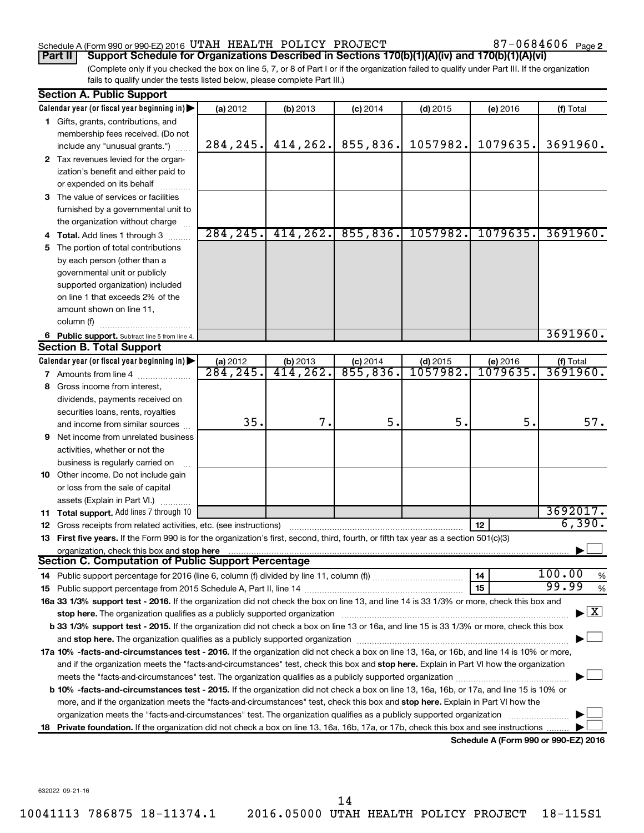#### Schedule A (Form 990 or 990-EZ) 2016 UTAH HEALTH POLICY PROJECT  $87-0684606$  Page

87-0684606 Page 2

(Complete only if you checked the box on line 5, 7, or 8 of Part I or if the organization failed to qualify under Part III. If the organization fails to qualify under the tests listed below, please complete Part III.) **Part II Support Schedule for Organizations Described in Sections 170(b)(1)(A)(iv) and 170(b)(1)(A)(vi)**

|    | <b>Section A. Public Support</b>                                                                                                                                                                                              |           |           |            |            |                                      |                                          |
|----|-------------------------------------------------------------------------------------------------------------------------------------------------------------------------------------------------------------------------------|-----------|-----------|------------|------------|--------------------------------------|------------------------------------------|
|    | Calendar year (or fiscal year beginning in)                                                                                                                                                                                   | (a) 2012  | (b) 2013  | $(c)$ 2014 | $(d)$ 2015 | (e) 2016                             | (f) Total                                |
|    | 1 Gifts, grants, contributions, and                                                                                                                                                                                           |           |           |            |            |                                      |                                          |
|    | membership fees received. (Do not                                                                                                                                                                                             |           |           |            |            |                                      |                                          |
|    | include any "unusual grants.")                                                                                                                                                                                                | 284, 245. | 414, 262. | 855,836.   | 1057982.   | 1079635.                             | 3691960.                                 |
|    | 2 Tax revenues levied for the organ-                                                                                                                                                                                          |           |           |            |            |                                      |                                          |
|    | ization's benefit and either paid to                                                                                                                                                                                          |           |           |            |            |                                      |                                          |
|    | or expended on its behalf                                                                                                                                                                                                     |           |           |            |            |                                      |                                          |
|    | 3 The value of services or facilities                                                                                                                                                                                         |           |           |            |            |                                      |                                          |
|    | furnished by a governmental unit to                                                                                                                                                                                           |           |           |            |            |                                      |                                          |
|    | the organization without charge                                                                                                                                                                                               |           |           |            |            |                                      |                                          |
|    | 4 Total. Add lines 1 through 3                                                                                                                                                                                                | 284, 245. | 414, 262. | 855,836.   | 1057982.   | 1079635.                             | 3691960.                                 |
| 5. | The portion of total contributions                                                                                                                                                                                            |           |           |            |            |                                      |                                          |
|    | by each person (other than a                                                                                                                                                                                                  |           |           |            |            |                                      |                                          |
|    | governmental unit or publicly                                                                                                                                                                                                 |           |           |            |            |                                      |                                          |
|    | supported organization) included                                                                                                                                                                                              |           |           |            |            |                                      |                                          |
|    | on line 1 that exceeds 2% of the                                                                                                                                                                                              |           |           |            |            |                                      |                                          |
|    | amount shown on line 11,                                                                                                                                                                                                      |           |           |            |            |                                      |                                          |
|    | column (f)                                                                                                                                                                                                                    |           |           |            |            |                                      |                                          |
|    | 6 Public support. Subtract line 5 from line 4.                                                                                                                                                                                |           |           |            |            |                                      | 3691960.                                 |
|    | <b>Section B. Total Support</b>                                                                                                                                                                                               |           |           |            |            |                                      |                                          |
|    | Calendar year (or fiscal year beginning in)                                                                                                                                                                                   | (a) 2012  | (b) 2013  | $(c)$ 2014 | $(d)$ 2015 | (e) 2016                             | (f) Total                                |
|    | <b>7</b> Amounts from line 4                                                                                                                                                                                                  | 284, 245. | 414, 262. | 855,836.   | 1057982.   | 1079635.                             | 3691960.                                 |
| 8  | Gross income from interest,                                                                                                                                                                                                   |           |           |            |            |                                      |                                          |
|    | dividends, payments received on                                                                                                                                                                                               |           |           |            |            |                                      |                                          |
|    | securities loans, rents, royalties                                                                                                                                                                                            |           |           |            |            |                                      |                                          |
|    | and income from similar sources                                                                                                                                                                                               | 35.       | 7.        | 5.         | 5.         | 5.                                   | 57.                                      |
|    | <b>9</b> Net income from unrelated business                                                                                                                                                                                   |           |           |            |            |                                      |                                          |
|    | activities, whether or not the                                                                                                                                                                                                |           |           |            |            |                                      |                                          |
|    | business is regularly carried on                                                                                                                                                                                              |           |           |            |            |                                      |                                          |
|    | 10 Other income. Do not include gain                                                                                                                                                                                          |           |           |            |            |                                      |                                          |
|    | or loss from the sale of capital                                                                                                                                                                                              |           |           |            |            |                                      |                                          |
|    | assets (Explain in Part VI.)                                                                                                                                                                                                  |           |           |            |            |                                      |                                          |
|    | 11 Total support. Add lines 7 through 10                                                                                                                                                                                      |           |           |            |            |                                      | 3692017.                                 |
|    | <b>12</b> Gross receipts from related activities, etc. (see instructions)                                                                                                                                                     |           |           |            |            | 12                                   | 6,390.                                   |
|    | 13 First five years. If the Form 990 is for the organization's first, second, third, fourth, or fifth tax year as a section 501(c)(3)                                                                                         |           |           |            |            |                                      |                                          |
|    | organization, check this box and stop here                                                                                                                                                                                    |           |           |            |            |                                      |                                          |
|    | Section C. Computation of Public Support Percentage                                                                                                                                                                           |           |           |            |            |                                      |                                          |
|    |                                                                                                                                                                                                                               |           |           |            |            | 14                                   | 100.00<br>%                              |
|    |                                                                                                                                                                                                                               |           |           |            |            | 15                                   | 99.99<br>%                               |
|    | 16a 33 1/3% support test - 2016. If the organization did not check the box on line 13, and line 14 is 33 1/3% or more, check this box and                                                                                     |           |           |            |            |                                      |                                          |
|    | stop here. The organization qualifies as a publicly supported organization manufaction manufacture or the organization manufacture or the organization manufacture or the organization of the state of the state of the state |           |           |            |            |                                      | $\blacktriangleright$ $\boxed{\text{X}}$ |
|    | b 33 1/3% support test - 2015. If the organization did not check a box on line 13 or 16a, and line 15 is 33 1/3% or more, check this box                                                                                      |           |           |            |            |                                      |                                          |
|    |                                                                                                                                                                                                                               |           |           |            |            |                                      |                                          |
|    | 17a 10% -facts-and-circumstances test - 2016. If the organization did not check a box on line 13, 16a, or 16b, and line 14 is 10% or more,                                                                                    |           |           |            |            |                                      |                                          |
|    | and if the organization meets the "facts-and-circumstances" test, check this box and stop here. Explain in Part VI how the organization                                                                                       |           |           |            |            |                                      |                                          |
|    |                                                                                                                                                                                                                               |           |           |            |            |                                      |                                          |
|    | <b>b 10%</b> -facts-and-circumstances test - 2015. If the organization did not check a box on line 13, 16a, 16b, or 17a, and line 15 is 10% or                                                                                |           |           |            |            |                                      |                                          |
|    | more, and if the organization meets the "facts-and-circumstances" test, check this box and stop here. Explain in Part VI how the                                                                                              |           |           |            |            |                                      |                                          |
|    | organization meets the "facts-and-circumstances" test. The organization qualifies as a publicly supported organization                                                                                                        |           |           |            |            |                                      |                                          |
|    | 18 Private foundation. If the organization did not check a box on line 13, 16a, 16b, 17a, or 17b, check this box and see instructions                                                                                         |           |           |            |            |                                      |                                          |
|    |                                                                                                                                                                                                                               |           |           |            |            | Schedule A (Form 990 or 990-F7) 2016 |                                          |

**Schedule A (Form 990 or 990-EZ) 2016**

632022 09-21-16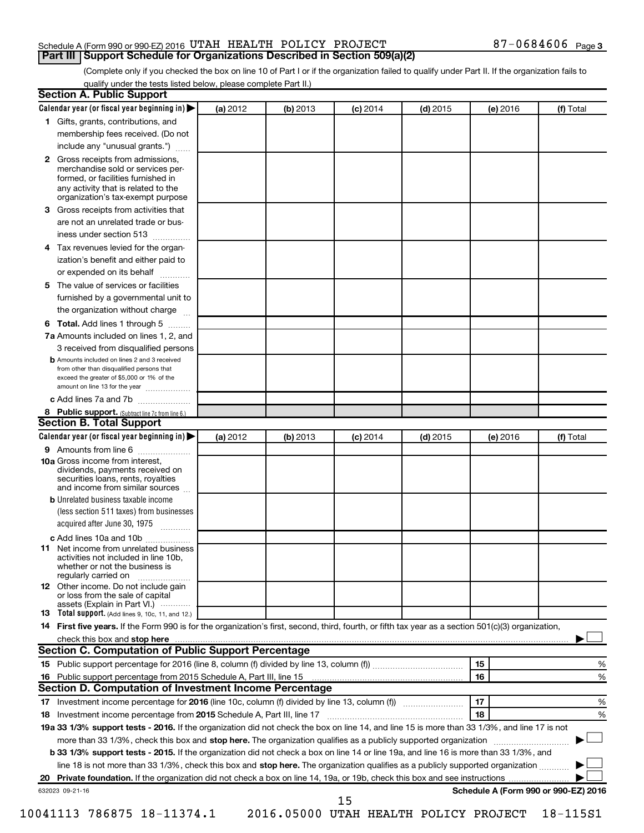#### Schedule A (Form 990 or 990-EZ) 2016 UTAH HEALTH POLICY PROJECT  $87-0684606$  Page **Part III Support Schedule for Organizations Described in Section 509(a)(2)**

(Complete only if you checked the box on line 10 of Part I or if the organization failed to qualify under Part II. If the organization fails to qualify under the tests listed below, please complete Part II.)

|    | Calendar year (or fiscal year beginning in)                                                                                                                                                                                                                      | (a) 2012 | (b) 2013 | $(c)$ 2014 | $(d)$ 2015 |    | (e) 2016 | (f) Total                            |
|----|------------------------------------------------------------------------------------------------------------------------------------------------------------------------------------------------------------------------------------------------------------------|----------|----------|------------|------------|----|----------|--------------------------------------|
|    | 1 Gifts, grants, contributions, and                                                                                                                                                                                                                              |          |          |            |            |    |          |                                      |
|    | membership fees received. (Do not                                                                                                                                                                                                                                |          |          |            |            |    |          |                                      |
|    | include any "unusual grants.")                                                                                                                                                                                                                                   |          |          |            |            |    |          |                                      |
|    | 2 Gross receipts from admissions,<br>merchandise sold or services per-<br>formed, or facilities furnished in<br>any activity that is related to the<br>organization's tax-exempt purpose                                                                         |          |          |            |            |    |          |                                      |
| 3. |                                                                                                                                                                                                                                                                  |          |          |            |            |    |          |                                      |
|    | Gross receipts from activities that                                                                                                                                                                                                                              |          |          |            |            |    |          |                                      |
|    | are not an unrelated trade or bus-<br>iness under section 513                                                                                                                                                                                                    |          |          |            |            |    |          |                                      |
| 4  | Tax revenues levied for the organ-                                                                                                                                                                                                                               |          |          |            |            |    |          |                                      |
|    | ization's benefit and either paid to<br>or expended on its behalf<br>.                                                                                                                                                                                           |          |          |            |            |    |          |                                      |
| 5. | The value of services or facilities                                                                                                                                                                                                                              |          |          |            |            |    |          |                                      |
|    | furnished by a governmental unit to<br>the organization without charge                                                                                                                                                                                           |          |          |            |            |    |          |                                      |
|    |                                                                                                                                                                                                                                                                  |          |          |            |            |    |          |                                      |
| 6  | Total. Add lines 1 through 5<br>7a Amounts included on lines 1, 2, and                                                                                                                                                                                           |          |          |            |            |    |          |                                      |
|    |                                                                                                                                                                                                                                                                  |          |          |            |            |    |          |                                      |
|    | 3 received from disqualified persons<br><b>b</b> Amounts included on lines 2 and 3 received                                                                                                                                                                      |          |          |            |            |    |          |                                      |
|    | from other than disqualified persons that<br>exceed the greater of \$5,000 or 1% of the<br>amount on line 13 for the year                                                                                                                                        |          |          |            |            |    |          |                                      |
|    | c Add lines 7a and 7b                                                                                                                                                                                                                                            |          |          |            |            |    |          |                                      |
|    | 8 Public support. (Subtract line 7c from line 6.)                                                                                                                                                                                                                |          |          |            |            |    |          |                                      |
|    | <b>Section B. Total Support</b>                                                                                                                                                                                                                                  |          |          |            |            |    |          |                                      |
|    | Calendar year (or fiscal year beginning in)                                                                                                                                                                                                                      | (a) 2012 | (b) 2013 | $(c)$ 2014 | $(d)$ 2015 |    | (e) 2016 | (f) Total                            |
|    | 9 Amounts from line 6                                                                                                                                                                                                                                            |          |          |            |            |    |          |                                      |
|    | <b>10a</b> Gross income from interest,<br>dividends, payments received on<br>securities loans, rents, royalties<br>and income from similar sources                                                                                                               |          |          |            |            |    |          |                                      |
|    | <b>b</b> Unrelated business taxable income                                                                                                                                                                                                                       |          |          |            |            |    |          |                                      |
|    | (less section 511 taxes) from businesses<br>acquired after June 30, 1975                                                                                                                                                                                         |          |          |            |            |    |          |                                      |
|    | c Add lines 10a and 10b                                                                                                                                                                                                                                          |          |          |            |            |    |          |                                      |
| 11 | Net income from unrelated business<br>activities not included in line 10b.<br>whether or not the business is<br>regularly carried on                                                                                                                             |          |          |            |            |    |          |                                      |
|    | <b>12</b> Other income. Do not include gain<br>or loss from the sale of capital<br>assets (Explain in Part VI.)                                                                                                                                                  |          |          |            |            |    |          |                                      |
|    | <b>13</b> Total support. (Add lines 9, 10c, 11, and 12.)                                                                                                                                                                                                         |          |          |            |            |    |          |                                      |
|    | 14 First five years. If the Form 990 is for the organization's first, second, third, fourth, or fifth tax year as a section 501(c)(3) organization,                                                                                                              |          |          |            |            |    |          |                                      |
|    | check this box and stop here <b>construction and construction</b> check this box and stop here <b>construction</b> and construction of the construction of the construction of the construction of the construction of the construction                          |          |          |            |            |    |          |                                      |
|    | Section C. Computation of Public Support Percentage                                                                                                                                                                                                              |          |          |            |            |    |          |                                      |
|    |                                                                                                                                                                                                                                                                  |          |          |            |            | 15 |          | %                                    |
|    |                                                                                                                                                                                                                                                                  |          |          |            |            | 16 |          | %                                    |
|    | Section D. Computation of Investment Income Percentage                                                                                                                                                                                                           |          |          |            |            |    |          |                                      |
|    |                                                                                                                                                                                                                                                                  |          |          |            |            | 17 |          | %                                    |
|    |                                                                                                                                                                                                                                                                  |          |          |            |            | 18 |          | %                                    |
|    |                                                                                                                                                                                                                                                                  |          |          |            |            |    |          |                                      |
|    |                                                                                                                                                                                                                                                                  |          |          |            |            |    |          |                                      |
|    | 19a 33 1/3% support tests - 2016. If the organization did not check the box on line 14, and line 15 is more than 33 1/3%, and line 17 is not<br>more than 33 1/3%, check this box and stop here. The organization qualifies as a publicly supported organization |          |          |            |            |    |          |                                      |
|    | b 33 1/3% support tests - 2015. If the organization did not check a box on line 14 or line 19a, and line 16 is more than 33 1/3%, and                                                                                                                            |          |          |            |            |    |          |                                      |
|    | line 18 is not more than 33 1/3%, check this box and stop here. The organization qualifies as a publicly supported organization                                                                                                                                  |          |          |            |            |    |          |                                      |
|    | 632023 09-21-16                                                                                                                                                                                                                                                  |          |          |            |            |    |          | Schedule A (Form 990 or 990-EZ) 2016 |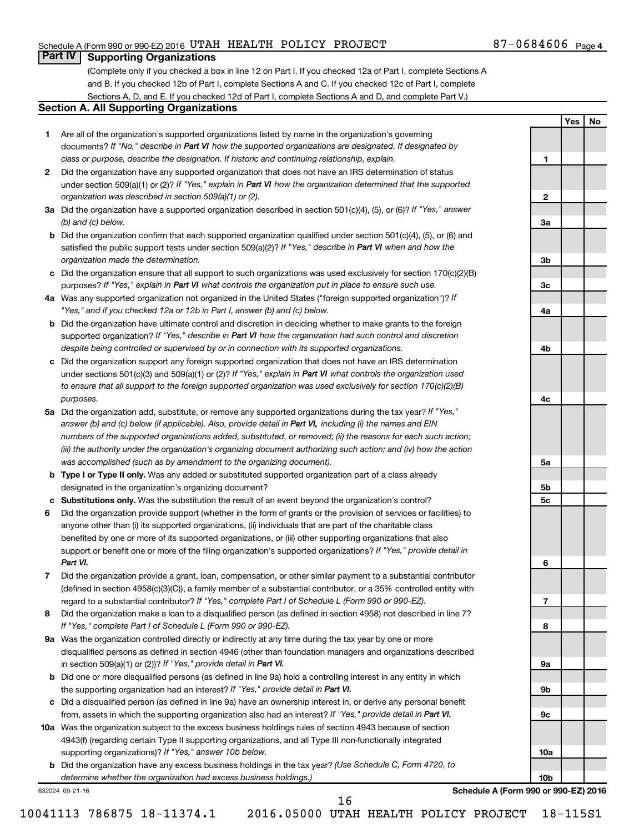#### Schedule A (Form 990 or 990-EZ) 2016 UTAH HEALTH POLICY PROJECT  $87-0684606$  Page

**1**

**2**

**3a**

**3b**

**3c**

**4a**

**4b**

**4c**

**5a**

**5b 5c**

**6**

**7**

**8**

**9a**

**9b**

**9c**

**10a**

**10b**

**Yes No**

### **Part IV Supporting Organizations**

(Complete only if you checked a box in line 12 on Part I. If you checked 12a of Part I, complete Sections A and B. If you checked 12b of Part I, complete Sections A and C. If you checked 12c of Part I, complete Sections A, D, and E. If you checked 12d of Part I, complete Sections A and D, and complete Part V.)

#### **Section A. All Supporting Organizations**

- **1** Are all of the organization's supported organizations listed by name in the organization's governing documents? If "No," describe in Part VI how the supported organizations are designated. If designated by *class or purpose, describe the designation. If historic and continuing relationship, explain.*
- **2** Did the organization have any supported organization that does not have an IRS determination of status under section 509(a)(1) or (2)? If "Yes," explain in Part VI how the organization determined that the supported *organization was described in section 509(a)(1) or (2).*
- **3a** Did the organization have a supported organization described in section 501(c)(4), (5), or (6)? If "Yes," answer *(b) and (c) below.*
- **b** Did the organization confirm that each supported organization qualified under section 501(c)(4), (5), or (6) and satisfied the public support tests under section 509(a)(2)? If "Yes," describe in Part VI when and how the *organization made the determination.*
- **c** Did the organization ensure that all support to such organizations was used exclusively for section 170(c)(2)(B) purposes? If "Yes," explain in Part VI what controls the organization put in place to ensure such use.
- **4 a** *If* Was any supported organization not organized in the United States ("foreign supported organization")? *"Yes," and if you checked 12a or 12b in Part I, answer (b) and (c) below.*
- **b** Did the organization have ultimate control and discretion in deciding whether to make grants to the foreign supported organization? If "Yes," describe in Part VI how the organization had such control and discretion *despite being controlled or supervised by or in connection with its supported organizations.*
- **c** Did the organization support any foreign supported organization that does not have an IRS determination under sections 501(c)(3) and 509(a)(1) or (2)? If "Yes," explain in Part VI what controls the organization used *to ensure that all support to the foreign supported organization was used exclusively for section 170(c)(2)(B) purposes.*
- **5a** Did the organization add, substitute, or remove any supported organizations during the tax year? If "Yes," answer (b) and (c) below (if applicable). Also, provide detail in Part VI, including (i) the names and EIN *numbers of the supported organizations added, substituted, or removed; (ii) the reasons for each such action; (iii) the authority under the organization's organizing document authorizing such action; and (iv) how the action was accomplished (such as by amendment to the organizing document).*
- **b** Type I or Type II only. Was any added or substituted supported organization part of a class already designated in the organization's organizing document?
- **c Substitutions only.**  Was the substitution the result of an event beyond the organization's control?
- **6** Did the organization provide support (whether in the form of grants or the provision of services or facilities) to support or benefit one or more of the filing organization's supported organizations? If "Yes," provide detail in anyone other than (i) its supported organizations, (ii) individuals that are part of the charitable class benefited by one or more of its supported organizations, or (iii) other supporting organizations that also *Part VI.*
- **7** Did the organization provide a grant, loan, compensation, or other similar payment to a substantial contributor regard to a substantial contributor? If "Yes," complete Part I of Schedule L (Form 990 or 990-EZ). (defined in section 4958(c)(3)(C)), a family member of a substantial contributor, or a 35% controlled entity with
- **8** Did the organization make a loan to a disqualified person (as defined in section 4958) not described in line 7? *If "Yes," complete Part I of Schedule L (Form 990 or 990-EZ).*
- **9 a** Was the organization controlled directly or indirectly at any time during the tax year by one or more in section 509(a)(1) or (2))? If "Yes," provide detail in Part VI. disqualified persons as defined in section 4946 (other than foundation managers and organizations described
- **b** Did one or more disqualified persons (as defined in line 9a) hold a controlling interest in any entity in which the supporting organization had an interest? If "Yes," provide detail in Part VI.
- **c** Did a disqualified person (as defined in line 9a) have an ownership interest in, or derive any personal benefit from, assets in which the supporting organization also had an interest? If "Yes," provide detail in Part VI.
- **10 a** Was the organization subject to the excess business holdings rules of section 4943 because of section supporting organizations)? If "Yes," answer 10b below. 4943(f) (regarding certain Type II supporting organizations, and all Type III non-functionally integrated
	- **b** Did the organization have any excess business holdings in the tax year? (Use Schedule C, Form 4720, to *determine whether the organization had excess business holdings.)*

632024 09-21-16

**Schedule A (Form 990 or 990-EZ) 2016**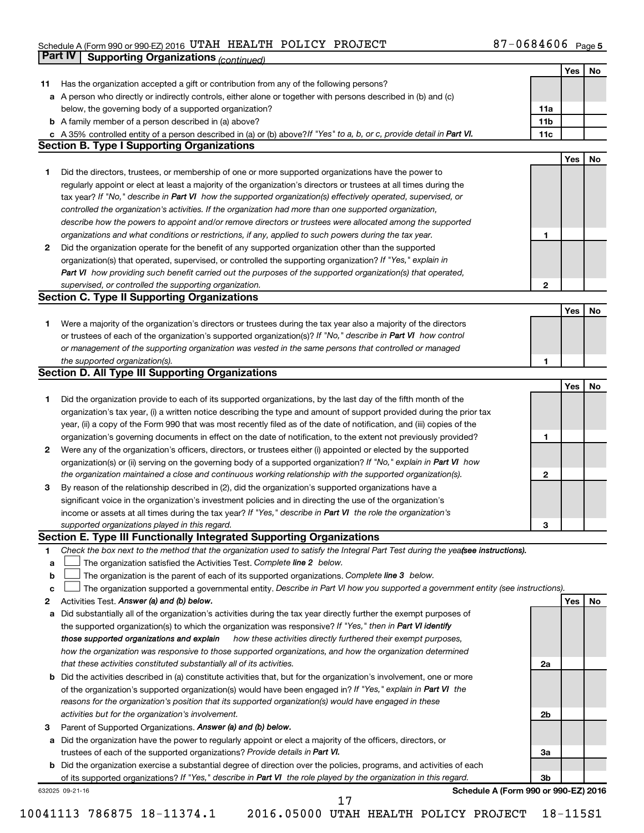#### Schedule A (Form 990 or 990-EZ) 2016 UTAH HEALTH POLICY PROJECT NERTH AND RESERVED BY THE BOOK Page UTAH HEALTH POLICY PROJECT 87-0684606

|    | Part IV         | <b>Supporting Organizations (continued)</b>                                                                                     |                 |     |    |
|----|-----------------|---------------------------------------------------------------------------------------------------------------------------------|-----------------|-----|----|
|    |                 |                                                                                                                                 |                 | Yes | No |
| 11 |                 | Has the organization accepted a gift or contribution from any of the following persons?                                         |                 |     |    |
|    |                 | a A person who directly or indirectly controls, either alone or together with persons described in (b) and (c)                  |                 |     |    |
|    |                 | below, the governing body of a supported organization?                                                                          | 11a             |     |    |
|    |                 | <b>b</b> A family member of a person described in (a) above?                                                                    | 11 <sub>b</sub> |     |    |
|    |                 | c A 35% controlled entity of a person described in (a) or (b) above? If "Yes" to a, b, or c, provide detail in Part VI.         | 11c             |     |    |
|    |                 | <b>Section B. Type I Supporting Organizations</b>                                                                               |                 |     |    |
|    |                 |                                                                                                                                 |                 | Yes | No |
| 1  |                 | Did the directors, trustees, or membership of one or more supported organizations have the power to                             |                 |     |    |
|    |                 | regularly appoint or elect at least a majority of the organization's directors or trustees at all times during the              |                 |     |    |
|    |                 | tax year? If "No," describe in Part VI how the supported organization(s) effectively operated, supervised, or                   |                 |     |    |
|    |                 | controlled the organization's activities. If the organization had more than one supported organization,                         |                 |     |    |
|    |                 | describe how the powers to appoint and/or remove directors or trustees were allocated among the supported                       |                 |     |    |
|    |                 | organizations and what conditions or restrictions, if any, applied to such powers during the tax year.                          | $\mathbf{1}$    |     |    |
| 2  |                 | Did the organization operate for the benefit of any supported organization other than the supported                             |                 |     |    |
|    |                 | organization(s) that operated, supervised, or controlled the supporting organization? If "Yes," explain in                      |                 |     |    |
|    |                 | Part VI how providing such benefit carried out the purposes of the supported organization(s) that operated,                     |                 |     |    |
|    |                 | supervised, or controlled the supporting organization.                                                                          | $\mathbf{2}$    |     |    |
|    |                 | <b>Section C. Type II Supporting Organizations</b>                                                                              |                 |     |    |
|    |                 |                                                                                                                                 |                 | Yes | No |
| 1  |                 | Were a majority of the organization's directors or trustees during the tax year also a majority of the directors                |                 |     |    |
|    |                 | or trustees of each of the organization's supported organization(s)? If "No," describe in Part VI how control                   |                 |     |    |
|    |                 | or management of the supporting organization was vested in the same persons that controlled or managed                          |                 |     |    |
|    |                 | the supported organization(s).                                                                                                  | 1               |     |    |
|    |                 | <b>Section D. All Type III Supporting Organizations</b>                                                                         |                 |     |    |
|    |                 |                                                                                                                                 |                 | Yes | No |
| 1  |                 | Did the organization provide to each of its supported organizations, by the last day of the fifth month of the                  |                 |     |    |
|    |                 | organization's tax year, (i) a written notice describing the type and amount of support provided during the prior tax           |                 |     |    |
|    |                 | year, (ii) a copy of the Form 990 that was most recently filed as of the date of notification, and (iii) copies of the          |                 |     |    |
|    |                 | organization's governing documents in effect on the date of notification, to the extent not previously provided?                | 1               |     |    |
| 2  |                 | Were any of the organization's officers, directors, or trustees either (i) appointed or elected by the supported                |                 |     |    |
|    |                 | organization(s) or (ii) serving on the governing body of a supported organization? If "No," explain in Part VI how              |                 |     |    |
|    |                 | the organization maintained a close and continuous working relationship with the supported organization(s).                     | 2               |     |    |
| 3  |                 | By reason of the relationship described in (2), did the organization's supported organizations have a                           |                 |     |    |
|    |                 | significant voice in the organization's investment policies and in directing the use of the organization's                      |                 |     |    |
|    |                 | income or assets at all times during the tax year? If "Yes," describe in Part VI the role the organization's                    |                 |     |    |
|    |                 | supported organizations played in this regard.                                                                                  | з               |     |    |
|    |                 | Section E. Type III Functionally Integrated Supporting Organizations                                                            |                 |     |    |
| 1  |                 | Check the box next to the method that the organization used to satisfy the Integral Part Test during the yealsee instructions). |                 |     |    |
| a  |                 | The organization satisfied the Activities Test. Complete line 2 below.                                                          |                 |     |    |
| b  |                 | The organization is the parent of each of its supported organizations. Complete line 3 below.                                   |                 |     |    |
| c  |                 | The organization supported a governmental entity. Describe in Part VI how you supported a government entity (see instructions). |                 |     |    |
| 2  |                 | Activities Test. Answer (a) and (b) below.                                                                                      |                 | Yes | No |
| а  |                 | Did substantially all of the organization's activities during the tax year directly further the exempt purposes of              |                 |     |    |
|    |                 | the supported organization(s) to which the organization was responsive? If "Yes," then in Part VI identify                      |                 |     |    |
|    |                 | how these activities directly furthered their exempt purposes,<br>those supported organizations and explain                     |                 |     |    |
|    |                 | how the organization was responsive to those supported organizations, and how the organization determined                       |                 |     |    |
|    |                 | that these activities constituted substantially all of its activities.                                                          | 2a              |     |    |
| b  |                 | Did the activities described in (a) constitute activities that, but for the organization's involvement, one or more             |                 |     |    |
|    |                 | of the organization's supported organization(s) would have been engaged in? If "Yes," explain in Part VI the                    |                 |     |    |
|    |                 | reasons for the organization's position that its supported organization(s) would have engaged in these                          |                 |     |    |
|    |                 | activities but for the organization's involvement.                                                                              | 2b              |     |    |
| З  |                 | Parent of Supported Organizations. Answer (a) and (b) below.                                                                    |                 |     |    |
| а  |                 | Did the organization have the power to regularly appoint or elect a majority of the officers, directors, or                     |                 |     |    |
|    |                 | trustees of each of the supported organizations? Provide details in Part VI.                                                    | За              |     |    |
|    |                 | <b>b</b> Did the organization exercise a substantial degree of direction over the policies, programs, and activities of each    |                 |     |    |
|    |                 | of its supported organizations? If "Yes," describe in Part VI the role played by the organization in this regard.               | 3b              |     |    |
|    | 632025 09-21-16 | Schedule A (Form 990 or 990-EZ) 2016<br>17                                                                                      |                 |     |    |
|    |                 |                                                                                                                                 |                 |     |    |

<sup>10041113 786875 18-11374.1 2016.05000</sup> UTAH HEALTH POLICY PROJECT 18-115S1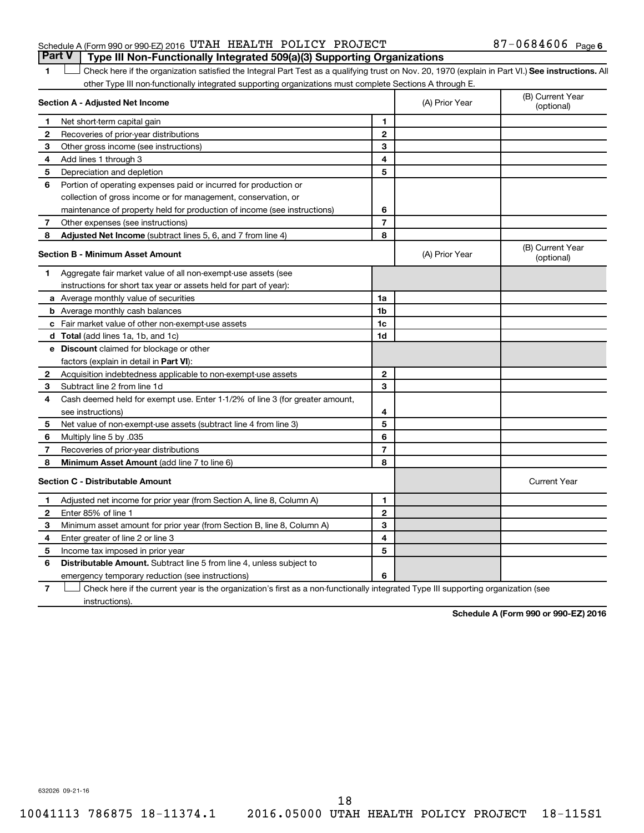#### Schedule A (Form 990 or 990-EZ) 2016 UTAH HEALTH POLICY PROJECT  $87-0684606$  Page **Part V Type III Non-Functionally Integrated 509(a)(3) Supporting Organizations**

1 **Letter See instructions.** All Check here if the organization satisfied the Integral Part Test as a qualifying trust on Nov. 20, 1970 (explain in Part VI.) See instructions. All other Type III non-functionally integrated supporting organizations must complete Sections A through E.

|                                         | Section A - Adjusted Net Income                                              | (A) Prior Year | (B) Current Year<br>(optional) |                                |
|-----------------------------------------|------------------------------------------------------------------------------|----------------|--------------------------------|--------------------------------|
| 1                                       | Net short-term capital gain                                                  | $\blacksquare$ |                                |                                |
| 2                                       | Recoveries of prior-year distributions                                       | $\mathbf{2}$   |                                |                                |
| 3                                       | Other gross income (see instructions)                                        | 3              |                                |                                |
| 4                                       | Add lines 1 through 3                                                        | 4              |                                |                                |
| 5                                       | Depreciation and depletion                                                   | 5              |                                |                                |
| 6                                       | Portion of operating expenses paid or incurred for production or             |                |                                |                                |
|                                         | collection of gross income or for management, conservation, or               |                |                                |                                |
|                                         | maintenance of property held for production of income (see instructions)     | 6              |                                |                                |
| 7                                       | Other expenses (see instructions)                                            | $\overline{7}$ |                                |                                |
| 8                                       | Adjusted Net Income (subtract lines 5, 6, and 7 from line 4)                 | 8              |                                |                                |
|                                         | <b>Section B - Minimum Asset Amount</b>                                      |                | (A) Prior Year                 | (B) Current Year<br>(optional) |
| 1                                       | Aggregate fair market value of all non-exempt-use assets (see                |                |                                |                                |
|                                         | instructions for short tax year or assets held for part of year):            |                |                                |                                |
|                                         | a Average monthly value of securities                                        | 1a             |                                |                                |
|                                         | <b>b</b> Average monthly cash balances                                       | 1 <sub>b</sub> |                                |                                |
|                                         | <b>c</b> Fair market value of other non-exempt-use assets                    | 1c             |                                |                                |
|                                         | d Total (add lines 1a, 1b, and 1c)                                           | 1d             |                                |                                |
|                                         | e Discount claimed for blockage or other                                     |                |                                |                                |
|                                         | factors (explain in detail in <b>Part VI</b> ):                              |                |                                |                                |
| 2                                       | Acquisition indebtedness applicable to non-exempt-use assets                 | $\mathbf{2}$   |                                |                                |
| 3                                       | Subtract line 2 from line 1d                                                 | 3              |                                |                                |
| 4                                       | Cash deemed held for exempt use. Enter 1-1/2% of line 3 (for greater amount, |                |                                |                                |
|                                         | see instructions)                                                            | 4              |                                |                                |
| 5                                       | Net value of non-exempt-use assets (subtract line 4 from line 3)             | 5              |                                |                                |
| 6                                       | Multiply line 5 by .035                                                      | 6              |                                |                                |
| 7                                       | Recoveries of prior-year distributions                                       | $\overline{7}$ |                                |                                |
| 8                                       | <b>Minimum Asset Amount (add line 7 to line 6)</b>                           | 8              |                                |                                |
| <b>Section C - Distributable Amount</b> |                                                                              |                |                                | <b>Current Year</b>            |
| 1                                       | Adjusted net income for prior year (from Section A, line 8, Column A)        | 1              |                                |                                |
| 2                                       | Enter 85% of line 1                                                          | $\mathbf{2}$   |                                |                                |
| 3                                       | Minimum asset amount for prior year (from Section B, line 8, Column A)       | 3              |                                |                                |
| 4                                       | Enter greater of line 2 or line 3                                            | 4              |                                |                                |
| 5                                       | Income tax imposed in prior year                                             | 5              |                                |                                |
| 6                                       | <b>Distributable Amount.</b> Subtract line 5 from line 4, unless subject to  |                |                                |                                |
|                                         | emergency temporary reduction (see instructions)                             | 6              |                                |                                |
|                                         |                                                                              |                |                                |                                |

**7** Check here if the current year is the organization's first as a non-functionally integrated Type III supporting organization (see † instructions).

**Schedule A (Form 990 or 990-EZ) 2016**

632026 09-21-16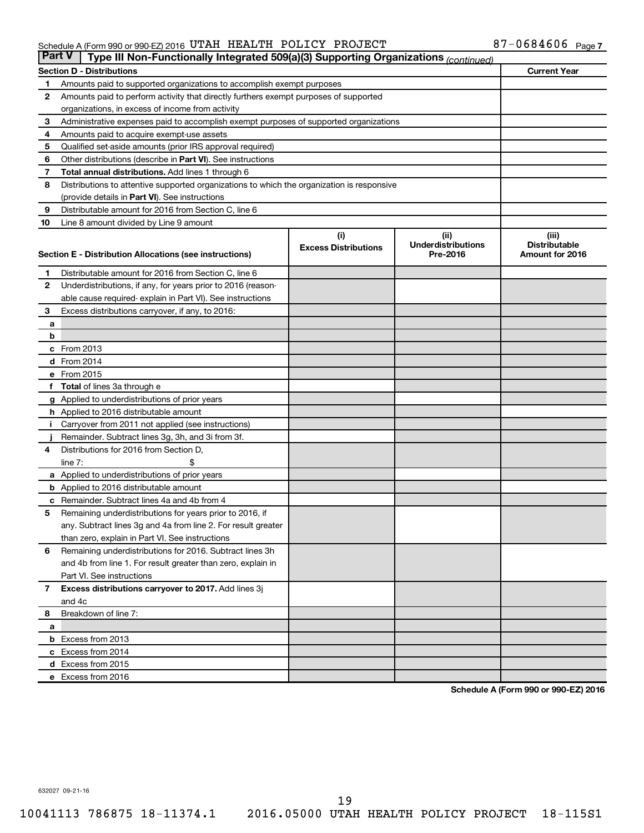#### Schedule A (Form 990 or 990-EZ) 2016 UTAH HEALTH POLICY PROJECT NERTH AND RESERVED BY THE BOOK Page UTAH HEALTH POLICY PROJECT 87-0684606

|                | <b>Part V</b><br>Type III Non-Functionally Integrated 509(a)(3) Supporting Organizations (continued) |                             |                                       |                                         |  |  |  |  |  |
|----------------|------------------------------------------------------------------------------------------------------|-----------------------------|---------------------------------------|-----------------------------------------|--|--|--|--|--|
|                | <b>Current Year</b><br><b>Section D - Distributions</b>                                              |                             |                                       |                                         |  |  |  |  |  |
| 1              | Amounts paid to supported organizations to accomplish exempt purposes                                |                             |                                       |                                         |  |  |  |  |  |
| $\mathbf{2}$   | Amounts paid to perform activity that directly furthers exempt purposes of supported                 |                             |                                       |                                         |  |  |  |  |  |
|                | organizations, in excess of income from activity                                                     |                             |                                       |                                         |  |  |  |  |  |
| 3              | Administrative expenses paid to accomplish exempt purposes of supported organizations                |                             |                                       |                                         |  |  |  |  |  |
| 4              | Amounts paid to acquire exempt-use assets                                                            |                             |                                       |                                         |  |  |  |  |  |
| 5              | Qualified set-aside amounts (prior IRS approval required)                                            |                             |                                       |                                         |  |  |  |  |  |
| 6              | Other distributions (describe in <b>Part VI</b> ). See instructions                                  |                             |                                       |                                         |  |  |  |  |  |
| 7              | <b>Total annual distributions.</b> Add lines 1 through 6                                             |                             |                                       |                                         |  |  |  |  |  |
| 8              | Distributions to attentive supported organizations to which the organization is responsive           |                             |                                       |                                         |  |  |  |  |  |
|                | (provide details in Part VI). See instructions                                                       |                             |                                       |                                         |  |  |  |  |  |
| 9              | Distributable amount for 2016 from Section C, line 6                                                 |                             |                                       |                                         |  |  |  |  |  |
| 10             | Line 8 amount divided by Line 9 amount                                                               |                             |                                       |                                         |  |  |  |  |  |
|                |                                                                                                      | (i)                         | (ii)                                  | (iii)                                   |  |  |  |  |  |
|                | Section E - Distribution Allocations (see instructions)                                              | <b>Excess Distributions</b> | <b>Underdistributions</b><br>Pre-2016 | <b>Distributable</b><br>Amount for 2016 |  |  |  |  |  |
|                |                                                                                                      |                             |                                       |                                         |  |  |  |  |  |
| 1              | Distributable amount for 2016 from Section C, line 6                                                 |                             |                                       |                                         |  |  |  |  |  |
| $\mathbf{2}$   | Underdistributions, if any, for years prior to 2016 (reason-                                         |                             |                                       |                                         |  |  |  |  |  |
|                | able cause required- explain in Part VI). See instructions                                           |                             |                                       |                                         |  |  |  |  |  |
| 3              | Excess distributions carryover, if any, to 2016:                                                     |                             |                                       |                                         |  |  |  |  |  |
| а              |                                                                                                      |                             |                                       |                                         |  |  |  |  |  |
| b              |                                                                                                      |                             |                                       |                                         |  |  |  |  |  |
|                | c From 2013                                                                                          |                             |                                       |                                         |  |  |  |  |  |
|                | <b>d</b> From 2014                                                                                   |                             |                                       |                                         |  |  |  |  |  |
|                | e From 2015                                                                                          |                             |                                       |                                         |  |  |  |  |  |
|                | f Total of lines 3a through e                                                                        |                             |                                       |                                         |  |  |  |  |  |
|                | <b>g</b> Applied to underdistributions of prior years                                                |                             |                                       |                                         |  |  |  |  |  |
|                | h Applied to 2016 distributable amount                                                               |                             |                                       |                                         |  |  |  |  |  |
| Ť.             | Carryover from 2011 not applied (see instructions)                                                   |                             |                                       |                                         |  |  |  |  |  |
|                | Remainder. Subtract lines 3g, 3h, and 3i from 3f.<br>Distributions for 2016 from Section D,          |                             |                                       |                                         |  |  |  |  |  |
| 4              | line $7:$                                                                                            |                             |                                       |                                         |  |  |  |  |  |
|                | a Applied to underdistributions of prior years                                                       |                             |                                       |                                         |  |  |  |  |  |
|                | <b>b</b> Applied to 2016 distributable amount                                                        |                             |                                       |                                         |  |  |  |  |  |
| с              | Remainder. Subtract lines 4a and 4b from 4                                                           |                             |                                       |                                         |  |  |  |  |  |
| 5              | Remaining underdistributions for years prior to 2016, if                                             |                             |                                       |                                         |  |  |  |  |  |
|                | any. Subtract lines 3g and 4a from line 2. For result greater                                        |                             |                                       |                                         |  |  |  |  |  |
|                | than zero, explain in Part VI. See instructions                                                      |                             |                                       |                                         |  |  |  |  |  |
| 6              | Remaining underdistributions for 2016. Subtract lines 3h                                             |                             |                                       |                                         |  |  |  |  |  |
|                | and 4b from line 1. For result greater than zero, explain in                                         |                             |                                       |                                         |  |  |  |  |  |
|                | Part VI. See instructions                                                                            |                             |                                       |                                         |  |  |  |  |  |
| $\overline{7}$ | Excess distributions carryover to 2017. Add lines 3j                                                 |                             |                                       |                                         |  |  |  |  |  |
|                | and 4c                                                                                               |                             |                                       |                                         |  |  |  |  |  |
| 8              | Breakdown of line 7:                                                                                 |                             |                                       |                                         |  |  |  |  |  |
| а              |                                                                                                      |                             |                                       |                                         |  |  |  |  |  |
|                | <b>b</b> Excess from 2013                                                                            |                             |                                       |                                         |  |  |  |  |  |
|                | c Excess from 2014                                                                                   |                             |                                       |                                         |  |  |  |  |  |
|                | d Excess from 2015                                                                                   |                             |                                       |                                         |  |  |  |  |  |
|                | e Excess from 2016                                                                                   |                             |                                       |                                         |  |  |  |  |  |

**Schedule A (Form 990 or 990-EZ) 2016**

632027 09-21-16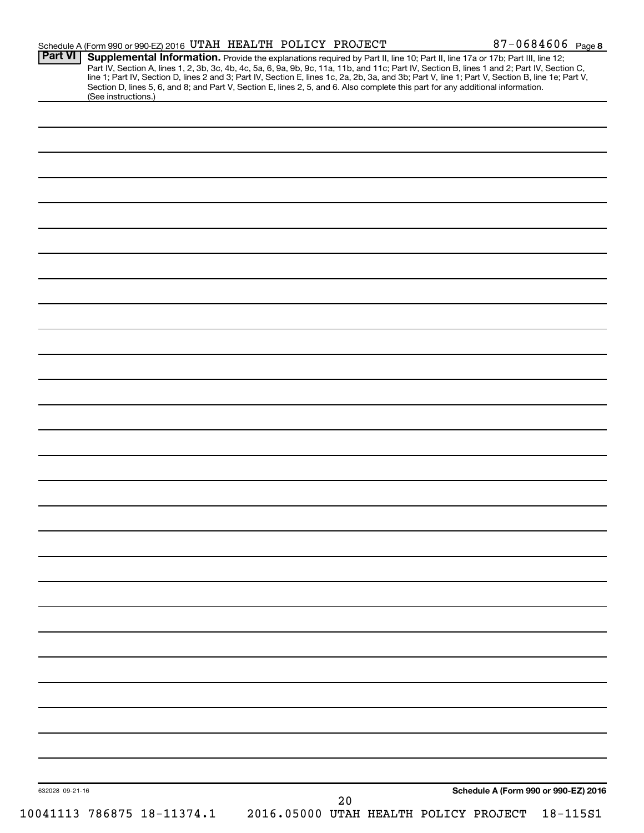| <b>Part VI</b>  | Schedule A (Form 990 or 990-EZ) 2016 UTAH HEALTH POLICY PROJECT<br>Supplemental Information. Provide the explanations required by Part II, line 10; Part II, line 17a or 17b; Part III, line 12;                                                                                                                                                                  |                                       |        |  |                                      | 87-0684606 Page 8 |
|-----------------|-------------------------------------------------------------------------------------------------------------------------------------------------------------------------------------------------------------------------------------------------------------------------------------------------------------------------------------------------------------------|---------------------------------------|--------|--|--------------------------------------|-------------------|
|                 | Part IV, Section A, lines 1, 2, 3b, 3c, 4b, 4c, 5a, 6, 9a, 9b, 9c, 11a, 11b, and 11c; Part IV, Section B, lines 1 and 2; Part IV, Section C, line 1; Part IV, Section D, lines 2 and 3; Part IV, Section E, lines 1 and 2; Par<br>Section D, lines 5, 6, and 8; and Part V, Section E, lines 2, 5, and 6. Also complete this part for any additional information. |                                       |        |  |                                      |                   |
|                 | (See instructions.)                                                                                                                                                                                                                                                                                                                                               |                                       |        |  |                                      |                   |
|                 |                                                                                                                                                                                                                                                                                                                                                                   |                                       |        |  |                                      |                   |
|                 |                                                                                                                                                                                                                                                                                                                                                                   |                                       |        |  |                                      |                   |
|                 |                                                                                                                                                                                                                                                                                                                                                                   |                                       |        |  |                                      |                   |
|                 |                                                                                                                                                                                                                                                                                                                                                                   |                                       |        |  |                                      |                   |
|                 |                                                                                                                                                                                                                                                                                                                                                                   |                                       |        |  |                                      |                   |
|                 |                                                                                                                                                                                                                                                                                                                                                                   |                                       |        |  |                                      |                   |
|                 |                                                                                                                                                                                                                                                                                                                                                                   |                                       |        |  |                                      |                   |
|                 |                                                                                                                                                                                                                                                                                                                                                                   |                                       |        |  |                                      |                   |
|                 |                                                                                                                                                                                                                                                                                                                                                                   |                                       |        |  |                                      |                   |
|                 |                                                                                                                                                                                                                                                                                                                                                                   |                                       |        |  |                                      |                   |
|                 |                                                                                                                                                                                                                                                                                                                                                                   |                                       |        |  |                                      |                   |
|                 |                                                                                                                                                                                                                                                                                                                                                                   |                                       |        |  |                                      |                   |
|                 |                                                                                                                                                                                                                                                                                                                                                                   |                                       |        |  |                                      |                   |
|                 |                                                                                                                                                                                                                                                                                                                                                                   |                                       |        |  |                                      |                   |
|                 |                                                                                                                                                                                                                                                                                                                                                                   |                                       |        |  |                                      |                   |
|                 |                                                                                                                                                                                                                                                                                                                                                                   |                                       |        |  |                                      |                   |
|                 |                                                                                                                                                                                                                                                                                                                                                                   |                                       |        |  |                                      |                   |
|                 |                                                                                                                                                                                                                                                                                                                                                                   |                                       |        |  |                                      |                   |
|                 |                                                                                                                                                                                                                                                                                                                                                                   |                                       |        |  |                                      |                   |
|                 |                                                                                                                                                                                                                                                                                                                                                                   |                                       |        |  |                                      |                   |
|                 |                                                                                                                                                                                                                                                                                                                                                                   |                                       |        |  |                                      |                   |
|                 |                                                                                                                                                                                                                                                                                                                                                                   |                                       |        |  |                                      |                   |
|                 |                                                                                                                                                                                                                                                                                                                                                                   |                                       |        |  |                                      |                   |
|                 |                                                                                                                                                                                                                                                                                                                                                                   |                                       |        |  |                                      |                   |
|                 |                                                                                                                                                                                                                                                                                                                                                                   |                                       |        |  |                                      |                   |
|                 |                                                                                                                                                                                                                                                                                                                                                                   |                                       |        |  |                                      |                   |
|                 |                                                                                                                                                                                                                                                                                                                                                                   |                                       |        |  |                                      |                   |
|                 |                                                                                                                                                                                                                                                                                                                                                                   |                                       |        |  |                                      |                   |
|                 |                                                                                                                                                                                                                                                                                                                                                                   |                                       |        |  |                                      |                   |
|                 |                                                                                                                                                                                                                                                                                                                                                                   |                                       |        |  |                                      |                   |
|                 |                                                                                                                                                                                                                                                                                                                                                                   |                                       |        |  |                                      |                   |
|                 |                                                                                                                                                                                                                                                                                                                                                                   |                                       |        |  |                                      |                   |
|                 |                                                                                                                                                                                                                                                                                                                                                                   |                                       |        |  |                                      |                   |
|                 |                                                                                                                                                                                                                                                                                                                                                                   |                                       |        |  |                                      |                   |
|                 |                                                                                                                                                                                                                                                                                                                                                                   |                                       |        |  |                                      |                   |
|                 |                                                                                                                                                                                                                                                                                                                                                                   |                                       |        |  |                                      |                   |
|                 |                                                                                                                                                                                                                                                                                                                                                                   |                                       |        |  |                                      |                   |
|                 |                                                                                                                                                                                                                                                                                                                                                                   |                                       |        |  |                                      |                   |
| 632028 09-21-16 |                                                                                                                                                                                                                                                                                                                                                                   |                                       | $2\,0$ |  | Schedule A (Form 990 or 990-EZ) 2016 |                   |
|                 | 10041113 786875 18-11374.1                                                                                                                                                                                                                                                                                                                                        | 2016.05000 UTAH HEALTH POLICY PROJECT |        |  |                                      | $18 - 115S1$      |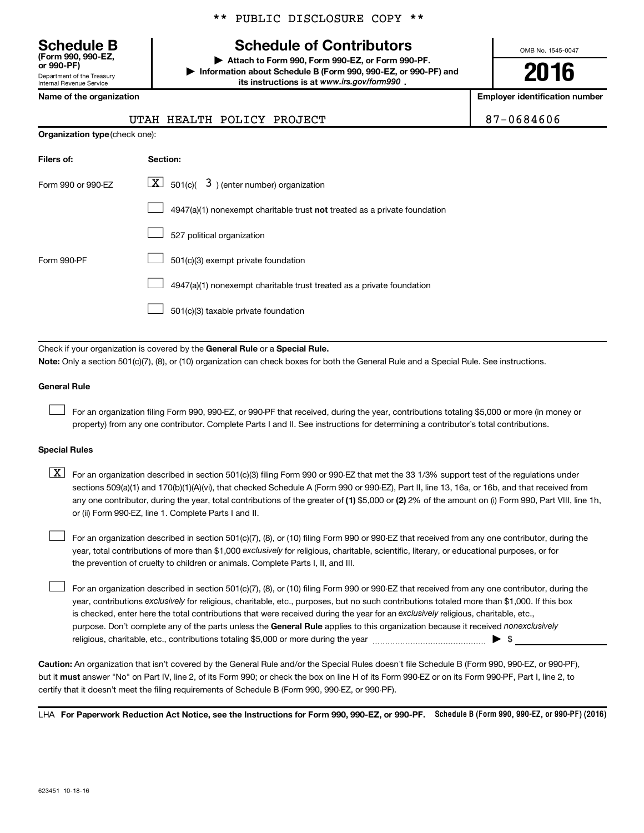Department of the Treasury **(Form 990, 990-EZ,**

Internal Revenue Service

\*\* PUBLIC DISCLOSURE COPY \*\*

# **Schedule B Schedule of Contributors**

**or 990-PF) | Attach to Form 990, Form 990-EZ, or Form 990-PF. | Information about Schedule B (Form 990, 990-EZ, or 990-PF) and** its instructions is at www.irs.gov/form990.

OMB No. 1545-0047

**2016**

**Name of the organization Employer identification number**

UTAH HEALTH POLICY PROJECT **87-0684606** 

|  | $\tilde{\phantom{a}}$<br>- |  |
|--|----------------------------|--|
|  |                            |  |
|  |                            |  |
|  |                            |  |

| <b>Organization type</b> (check one): |                                                                           |  |  |  |  |  |
|---------------------------------------|---------------------------------------------------------------------------|--|--|--|--|--|
| Filers of:                            | Section:                                                                  |  |  |  |  |  |
| Form 990 or 990-EZ                    | $\lfloor \underline{X} \rfloor$ 501(c)( 3) (enter number) organization    |  |  |  |  |  |
|                                       | 4947(a)(1) nonexempt charitable trust not treated as a private foundation |  |  |  |  |  |
|                                       | 527 political organization                                                |  |  |  |  |  |
| Form 990-PF                           | 501(c)(3) exempt private foundation                                       |  |  |  |  |  |
|                                       | 4947(a)(1) nonexempt charitable trust treated as a private foundation     |  |  |  |  |  |
|                                       | 501(c)(3) taxable private foundation                                      |  |  |  |  |  |

Check if your organization is covered by the General Rule or a Special Rule.

**Note:**  Only a section 501(c)(7), (8), or (10) organization can check boxes for both the General Rule and a Special Rule. See instructions.

#### **General Rule**

 $\Box$ 

For an organization filing Form 990, 990-EZ, or 990-PF that received, during the year, contributions totaling \$5,000 or more (in money or property) from any one contributor. Complete Parts I and II. See instructions for determining a contributor's total contributions.

#### **Special Rules**

any one contributor, during the year, total contributions of the greater of **(1)** \$5,000 or **(2)** 2% of the amount on (i) Form 990, Part VIII, line 1h,  $\boxed{\text{X}}$  For an organization described in section 501(c)(3) filing Form 990 or 990-EZ that met the 33 1/3% support test of the regulations under sections 509(a)(1) and 170(b)(1)(A)(vi), that checked Schedule A (Form 990 or 990-EZ), Part II, line 13, 16a, or 16b, and that received from or (ii) Form 990-EZ, line 1. Complete Parts I and II.

year, total contributions of more than \$1,000 *exclusively* for religious, charitable, scientific, literary, or educational purposes, or for For an organization described in section 501(c)(7), (8), or (10) filing Form 990 or 990-EZ that received from any one contributor, during the the prevention of cruelty to children or animals. Complete Parts I, II, and III.  $\Box$ 

purpose. Don't complete any of the parts unless the General Rule applies to this organization because it received nonexclusively year, contributions exclusively for religious, charitable, etc., purposes, but no such contributions totaled more than \$1,000. If this box is checked, enter here the total contributions that were received during the year for an exclusively religious, charitable, etc., For an organization described in section 501(c)(7), (8), or (10) filing Form 990 or 990-EZ that received from any one contributor, during the religious, charitable, etc., contributions totaling \$5,000 or more during the year  $\ldots$  $\ldots$  $\ldots$  $\ldots$  $\ldots$  $\ldots$  $\Box$ 

**Caution:**  An organization that isn't covered by the General Rule and/or the Special Rules doesn't file Schedule B (Form 990, 990-EZ, or 990-PF),  **must** but it answer "No" on Part IV, line 2, of its Form 990; or check the box on line H of its Form 990-EZ or on its Form 990-PF, Part I, line 2, to certify that it doesn't meet the filing requirements of Schedule B (Form 990, 990-EZ, or 990-PF).

LHA For Paperwork Reduction Act Notice, see the Instructions for Form 990, 990-EZ, or 990-PF. Schedule B (Form 990, 990-EZ, or 990-PF) (2016)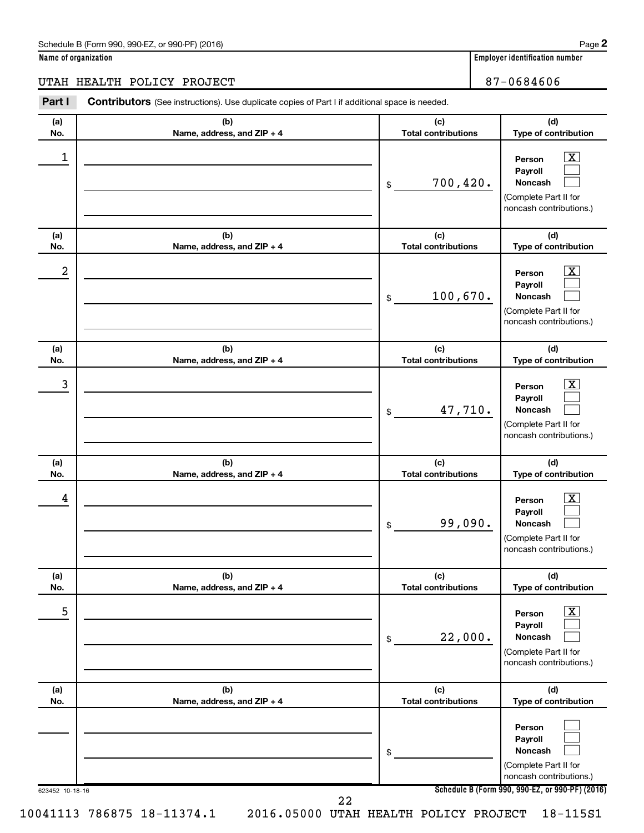#### Schedule B (Form 990, 990-EZ, or 990-PF) (2016)

**Name of organization Employer identification number**

UTAH HEALTH POLICY PROJECT **87-0684606** 

#### 623452 10-18-16 **Schedule B (Form 990, 990-EZ, or 990-PF) (2016) (a) No. (b) Name, address, and ZIP + 4 (c) Total contributions (d) Type of contribution Person Payroll Noncash (a) No. (b) Name, address, and ZIP + 4 (c) Total contributions (d) Type of contribution Person Payroll Noncash (a) No. (b) Name, address, and ZIP + 4 (c) Total contributions (d) Type of contribution Person Payroll Noncash (a) No. (b) Name, address, and ZIP + 4 (c) Total contributions (d) Type of contribution Person Payroll Noncash (a) No. (b) Name, address, and ZIP + 4 (c) Total contributions (d) Type of contribution Person Payroll Noncash (a) No. (b) Name, address, and ZIP + 4 (c) Total contributions (d) Type of contribution Person Payroll Noncash Part I** Contributors (See instructions). Use duplicate copies of Part I if additional space is needed. \$ (Complete Part II for noncash contributions.) \$ (Complete Part II for noncash contributions.) \$ (Complete Part II for noncash contributions.) \$ (Complete Part II for noncash contributions.) \$ (Complete Part II for noncash contributions.) \$ (Complete Part II for noncash contributions.)  $\lfloor x \rfloor$  $\Box$  $\Box$  $\overline{\mathbf{X}}$  $\Box$  $\Box$  $\boxed{\textbf{X}}$  $\Box$  $\Box$  $\boxed{\text{X}}$  $\Box$  $\Box$  $\boxed{\text{X}}$  $\Box$  $\Box$  $\Box$  $\Box$  $\Box$  $\begin{array}{|c|c|c|c|c|}\hline \ \text{1} & \text{Person} & \text{X} \ \hline \end{array}$ 700,420.  $2$  Person  $\overline{\text{X}}$ 100,670.  $\begin{array}{|c|c|c|c|c|c|}\hline \text{3} & \text{Person} & \text{X} \ \hline \end{array}$ 47,710.  $\begin{array}{|c|c|c|c|c|}\hline \text{4} & \text{Person} & \text{\textbf{X}}\ \hline \end{array}$ 99,090. 5 X 22,000. 10041113 786875 18-11374.1 2016.05000 UTAH HEALTH POLICY PROJECT 18-115S1 22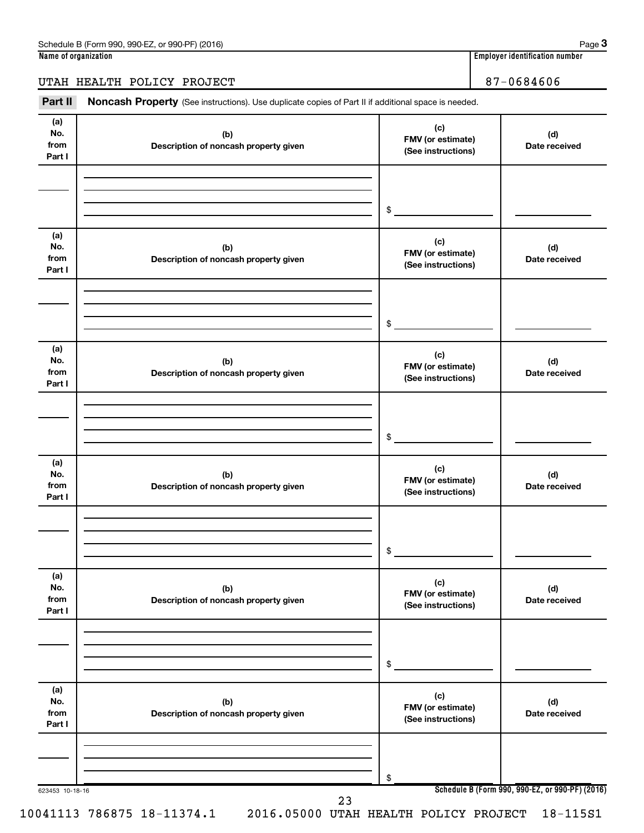**3**

### UTAH HEALTH POLICY PROJECT 87-0684606

Part II Noncash Property (See instructions). Use duplicate copies of Part II if additional space is needed.

| (a)<br>No.<br>from<br>Part I | (b)<br>Description of noncash property given | (c)<br>FMV (or estimate)<br>(See instructions) | (d)<br>Date received                            |
|------------------------------|----------------------------------------------|------------------------------------------------|-------------------------------------------------|
|                              |                                              | \$                                             |                                                 |
|                              |                                              |                                                |                                                 |
| (a)<br>No.<br>from<br>Part I | (b)<br>Description of noncash property given | (c)<br>FMV (or estimate)<br>(See instructions) | (d)<br>Date received                            |
|                              |                                              |                                                |                                                 |
|                              |                                              |                                                |                                                 |
|                              |                                              | \$                                             |                                                 |
|                              |                                              |                                                |                                                 |
| (a)<br>No.<br>from<br>Part I | (b)<br>Description of noncash property given | (c)<br>FMV (or estimate)<br>(See instructions) | (d)<br>Date received                            |
|                              |                                              |                                                |                                                 |
|                              |                                              |                                                |                                                 |
|                              |                                              | \$                                             |                                                 |
|                              |                                              |                                                |                                                 |
| (a)<br>No.<br>from<br>Part I | (b)<br>Description of noncash property given | (c)<br>FMV (or estimate)<br>(See instructions) | (d)<br>Date received                            |
|                              |                                              |                                                |                                                 |
|                              |                                              |                                                |                                                 |
|                              |                                              |                                                |                                                 |
|                              |                                              | \$                                             |                                                 |
| (a)                          |                                              | (c)                                            |                                                 |
| No.<br>from                  | (b)<br>Description of noncash property given | FMV (or estimate)                              | (d)<br>Date received                            |
| Part I                       |                                              | (See instructions)                             |                                                 |
|                              |                                              |                                                |                                                 |
|                              |                                              |                                                |                                                 |
|                              |                                              | \$                                             |                                                 |
| (a)                          |                                              |                                                |                                                 |
| No.                          | (b)                                          | (c)<br>FMV (or estimate)                       | (d)                                             |
| from<br>Part I               | Description of noncash property given        | (See instructions)                             | Date received                                   |
|                              |                                              |                                                |                                                 |
|                              |                                              |                                                |                                                 |
|                              |                                              |                                                |                                                 |
|                              |                                              | \$                                             | Schedule B (Form 990, 990-EZ, or 990-PF) (2016) |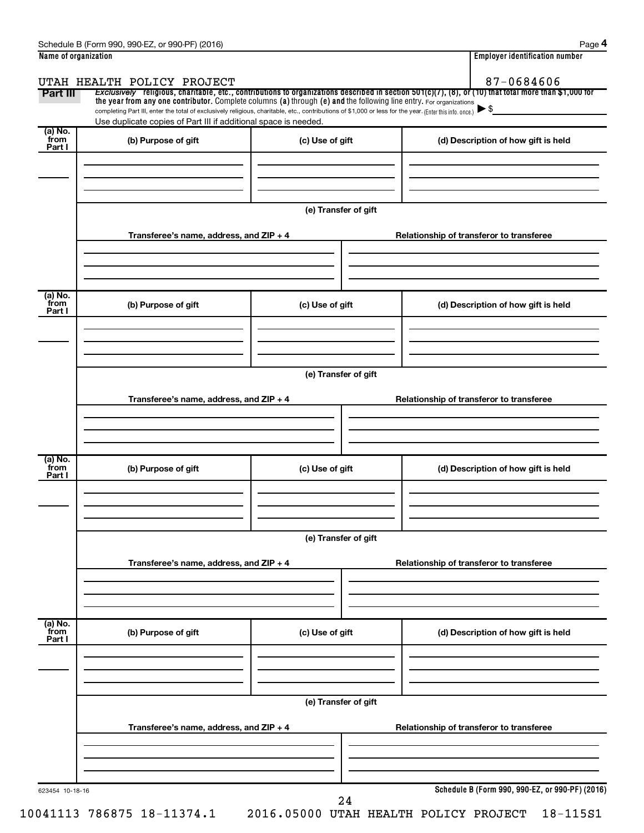| Name of organization      |                                                                                                                                                                                                                             | <b>Employer identification number</b> |                                                                                                                                                       |
|---------------------------|-----------------------------------------------------------------------------------------------------------------------------------------------------------------------------------------------------------------------------|---------------------------------------|-------------------------------------------------------------------------------------------------------------------------------------------------------|
|                           | UTAH HEALTH POLICY PROJECT                                                                                                                                                                                                  |                                       | 87-0684606                                                                                                                                            |
| Part III                  | the year from any one contributor. Complete columns (a) through (e) and the following line entry. For organizations                                                                                                         |                                       | Exclusively religious, charitable, etc., contributions to organizations described in section 501(c)(7), (8), or (10) that total more than \$1,000 for |
|                           | completing Part III, enter the total of exclusively religious, charitable, etc., contributions of \$1,000 or less for the year. (Enter this info. once.)<br>Use duplicate copies of Part III if additional space is needed. |                                       | $\blacktriangleright$ \$                                                                                                                              |
| (a) No.<br>from<br>Part I | (b) Purpose of gift                                                                                                                                                                                                         | (c) Use of gift                       | (d) Description of how gift is held                                                                                                                   |
|                           |                                                                                                                                                                                                                             | (e) Transfer of gift                  |                                                                                                                                                       |
|                           | Transferee's name, address, and ZIP + 4                                                                                                                                                                                     |                                       | Relationship of transferor to transferee                                                                                                              |
| (a) No.<br>from<br>Part I | (b) Purpose of gift                                                                                                                                                                                                         | (c) Use of gift                       | (d) Description of how gift is held                                                                                                                   |
|                           | Transferee's name, address, and ZIP + 4                                                                                                                                                                                     | (e) Transfer of gift                  | Relationship of transferor to transferee                                                                                                              |
| (a) No.<br>from<br>Part I | (b) Purpose of gift                                                                                                                                                                                                         | (c) Use of gift                       | (d) Description of how gift is held                                                                                                                   |
|                           | Transferee's name, address, and ZIP + 4                                                                                                                                                                                     | (e) Transfer of gift                  | Relationship of transferor to transferee                                                                                                              |
| (a) No.<br>from<br>Part I | (b) Purpose of gift                                                                                                                                                                                                         | (c) Use of gift                       | (d) Description of how gift is held                                                                                                                   |
|                           | Transferee's name, address, and ZIP + 4                                                                                                                                                                                     | (e) Transfer of gift                  | Relationship of transferor to transferee                                                                                                              |
| 623454 10-18-16           |                                                                                                                                                                                                                             |                                       | Schedule B (Form 990, 990-EZ, or 990-PF) (2016)                                                                                                       |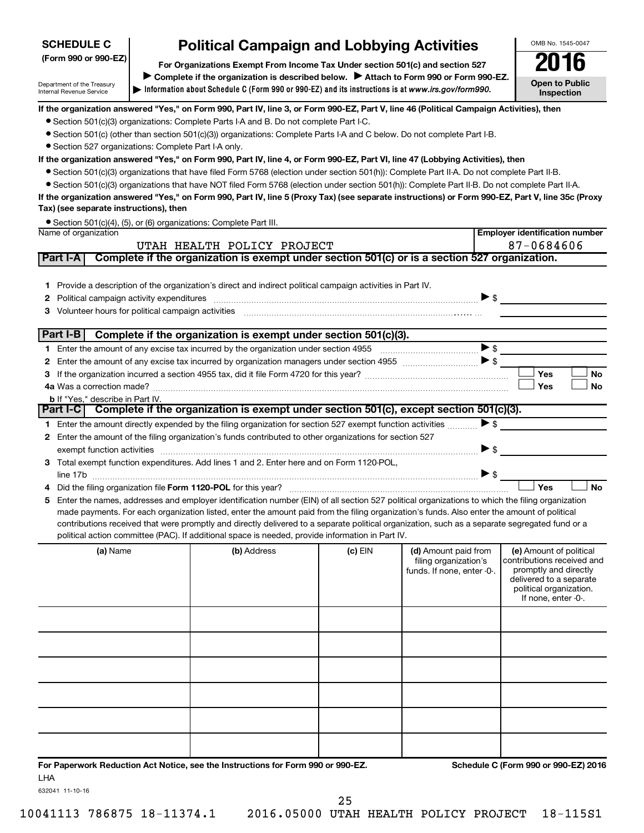# **SCHEDULE C**

Department of the Treasury Internal Revenue Service

# **Political Campaign and Lobbying Activities**<br>Drganizations Exempt From Income Tax Under section 501(c) and section 527 **2016**

**Information about Schedule C (Form 990 or 990-EZ) and its instructions is at |**  *www.irs.gov/form990.* **(Form 990 or 990-EZ) For Organizations Exempt From Income Tax Under section 501(c) and section 527** Complete if the organization is described below. > Attach to Form 990 or Form 990-EZ. OMB No. 1545-0047 **Open to Public Inspection**

**Employer identification number**

#### **If the organization answered "Yes," on Form 990, Part IV, line 3, or Form 990-EZ, Part V, line 46 (Political Campaign Activities), then**

- Section 501(c)(3) organizations: Complete Parts I-A and B. Do not complete Part I-C.
- Section 501(c) (other than section 501(c)(3)) organizations: Complete Parts I-A and C below. Do not complete Part I-B.
- Section 527 organizations: Complete Part I-A only.

#### **If the organization answered "Yes," on Form 990, Part IV, line 4, or Form 990-EZ, Part VI, line 47 (Lobbying Activities), then**

- Section 501(c)(3) organizations that have filed Form 5768 (election under section 501(h)): Complete Part II-A. Do not complete Part II-B.
- Section 501(c)(3) organizations that have NOT filed Form 5768 (election under section 501(h)): Complete Part II-B. Do not complete Part II-A.

**If the organization answered "Yes," on Form 990, Part IV, line 5 (Proxy Tax) (see separate instructions) or Form 990-EZ, Part V, line 35c (Proxy Tax) (see separate instructions), then**

|                      | ● Section 501(c)(4), (5), or (6) organizations: Complete Part III. |
|----------------------|--------------------------------------------------------------------|
| Name of organization |                                                                    |

|   | UTAH HEALTH POLICY PROJECT                                                                                                                                                                                                                                                                                                                                                                                                                                                                                                                           |                                                                                               | 87-0684606 |                                                                             |                                                                                                                                                             |  |
|---|------------------------------------------------------------------------------------------------------------------------------------------------------------------------------------------------------------------------------------------------------------------------------------------------------------------------------------------------------------------------------------------------------------------------------------------------------------------------------------------------------------------------------------------------------|-----------------------------------------------------------------------------------------------|------------|-----------------------------------------------------------------------------|-------------------------------------------------------------------------------------------------------------------------------------------------------------|--|
|   | Part I-A                                                                                                                                                                                                                                                                                                                                                                                                                                                                                                                                             | Complete if the organization is exempt under section 501(c) or is a section 527 organization. |            |                                                                             |                                                                                                                                                             |  |
| 2 | 1 Provide a description of the organization's direct and indirect political campaign activities in Part IV.                                                                                                                                                                                                                                                                                                                                                                                                                                          |                                                                                               |            |                                                                             | $\blacktriangleright$ s                                                                                                                                     |  |
|   | Part I-B   Complete if the organization is exempt under section 501(c)(3).                                                                                                                                                                                                                                                                                                                                                                                                                                                                           |                                                                                               |            |                                                                             |                                                                                                                                                             |  |
|   |                                                                                                                                                                                                                                                                                                                                                                                                                                                                                                                                                      |                                                                                               |            |                                                                             |                                                                                                                                                             |  |
|   |                                                                                                                                                                                                                                                                                                                                                                                                                                                                                                                                                      |                                                                                               |            |                                                                             |                                                                                                                                                             |  |
|   |                                                                                                                                                                                                                                                                                                                                                                                                                                                                                                                                                      |                                                                                               |            |                                                                             | <b>Yes</b><br><b>No</b>                                                                                                                                     |  |
|   |                                                                                                                                                                                                                                                                                                                                                                                                                                                                                                                                                      |                                                                                               |            |                                                                             | Yes<br><b>No</b>                                                                                                                                            |  |
|   | <b>b</b> If "Yes," describe in Part IV.<br>Part I-C Complete if the organization is exempt under section 501(c), except section 501(c)(3).                                                                                                                                                                                                                                                                                                                                                                                                           |                                                                                               |            |                                                                             |                                                                                                                                                             |  |
|   |                                                                                                                                                                                                                                                                                                                                                                                                                                                                                                                                                      |                                                                                               |            |                                                                             |                                                                                                                                                             |  |
|   | 1 Enter the amount directly expended by the filing organization for section 527 exempt function activities                                                                                                                                                                                                                                                                                                                                                                                                                                           |                                                                                               |            | $\blacktriangleright$ \$                                                    |                                                                                                                                                             |  |
|   | 2 Enter the amount of the filing organization's funds contributed to other organizations for section 527                                                                                                                                                                                                                                                                                                                                                                                                                                             |                                                                                               |            |                                                                             |                                                                                                                                                             |  |
|   | exempt function activities encourance and activities exempt function activities encourance and activities                                                                                                                                                                                                                                                                                                                                                                                                                                            |                                                                                               |            | $\triangleright$ \$                                                         |                                                                                                                                                             |  |
|   | 3 Total exempt function expenditures. Add lines 1 and 2. Enter here and on Form 1120-POL,<br>line 17b                                                                                                                                                                                                                                                                                                                                                                                                                                                |                                                                                               |            |                                                                             |                                                                                                                                                             |  |
|   | Did the filing organization file Form 1120-POL for this year?                                                                                                                                                                                                                                                                                                                                                                                                                                                                                        |                                                                                               |            |                                                                             | <b>No</b><br>Yes                                                                                                                                            |  |
| 5 |                                                                                                                                                                                                                                                                                                                                                                                                                                                                                                                                                      |                                                                                               |            |                                                                             |                                                                                                                                                             |  |
|   | Enter the names, addresses and employer identification number (EIN) of all section 527 political organizations to which the filing organization<br>made payments. For each organization listed, enter the amount paid from the filing organization's funds. Also enter the amount of political<br>contributions received that were promptly and directly delivered to a separate political organization, such as a separate segregated fund or a<br>political action committee (PAC). If additional space is needed, provide information in Part IV. |                                                                                               |            |                                                                             |                                                                                                                                                             |  |
|   |                                                                                                                                                                                                                                                                                                                                                                                                                                                                                                                                                      |                                                                                               |            |                                                                             |                                                                                                                                                             |  |
|   | (a) Name                                                                                                                                                                                                                                                                                                                                                                                                                                                                                                                                             | (b) Address                                                                                   | $(c)$ EIN  | (d) Amount paid from<br>filing organization's<br>funds. If none, enter -0-. | (e) Amount of political<br>contributions received and<br>promptly and directly<br>delivered to a separate<br>political organization.<br>If none, enter -0-. |  |
|   |                                                                                                                                                                                                                                                                                                                                                                                                                                                                                                                                                      |                                                                                               |            |                                                                             |                                                                                                                                                             |  |
|   |                                                                                                                                                                                                                                                                                                                                                                                                                                                                                                                                                      |                                                                                               |            |                                                                             |                                                                                                                                                             |  |
|   |                                                                                                                                                                                                                                                                                                                                                                                                                                                                                                                                                      |                                                                                               |            |                                                                             |                                                                                                                                                             |  |

632041 11-10-16

LHA

**For Paperwork Reduction Act Notice, see the Instructions for Form 990 or 990-EZ. Schedule C (Form 990 or 990-EZ) 2016**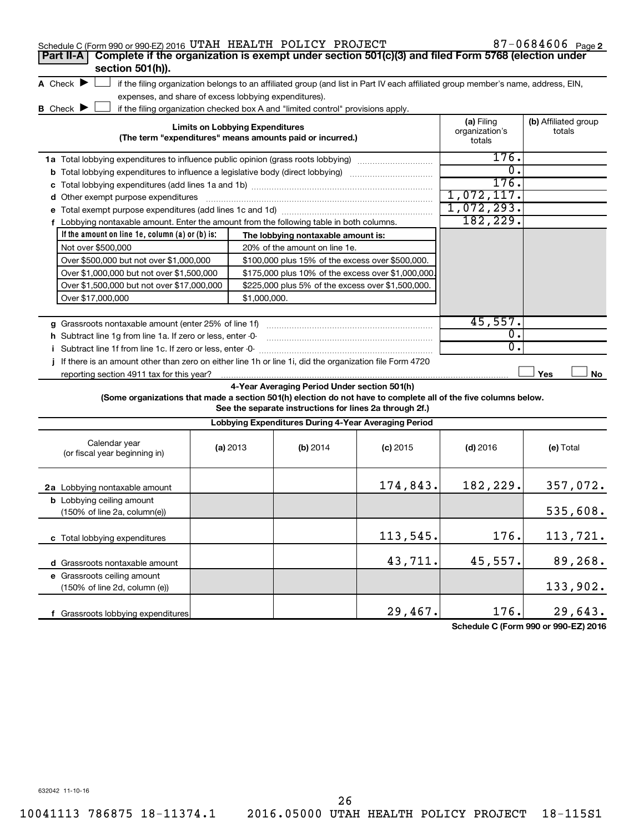| Schedule C (Form 990 or 990-EZ) 2016 UTAH HEALTH POLICY PROJECT                                                 |                                                                                                           |                                        |                                                                                  |                                                                                                                                   |                                        | 87-0684606 $Page 2$            |
|-----------------------------------------------------------------------------------------------------------------|-----------------------------------------------------------------------------------------------------------|----------------------------------------|----------------------------------------------------------------------------------|-----------------------------------------------------------------------------------------------------------------------------------|----------------------------------------|--------------------------------|
| Complete if the organization is exempt under section 501(c)(3) and filed Form 5768 (election under<br>Part II-A |                                                                                                           |                                        |                                                                                  |                                                                                                                                   |                                        |                                |
| section 501(h)).                                                                                                |                                                                                                           |                                        |                                                                                  |                                                                                                                                   |                                        |                                |
| A Check $\blacktriangleright$                                                                                   |                                                                                                           |                                        |                                                                                  | if the filing organization belongs to an affiliated group (and list in Part IV each affiliated group member's name, address, EIN, |                                        |                                |
| expenses, and share of excess lobbying expenditures).                                                           |                                                                                                           |                                        |                                                                                  |                                                                                                                                   |                                        |                                |
| <b>B</b> Check <b>D</b>                                                                                         |                                                                                                           |                                        | if the filing organization checked box A and "limited control" provisions apply. |                                                                                                                                   |                                        |                                |
|                                                                                                                 |                                                                                                           | <b>Limits on Lobbying Expenditures</b> | (The term "expenditures" means amounts paid or incurred.)                        |                                                                                                                                   | (a) Filing<br>organization's<br>totals | (b) Affiliated group<br>totals |
| 1a Total lobbying expenditures to influence public opinion (grass roots lobbying)                               |                                                                                                           |                                        |                                                                                  |                                                                                                                                   | 176.                                   |                                |
|                                                                                                                 | <b>b</b> Total lobbying expenditures to influence a legislative body (direct lobbying) <i>manumumumum</i> |                                        |                                                                                  |                                                                                                                                   |                                        |                                |
| c                                                                                                               |                                                                                                           |                                        |                                                                                  |                                                                                                                                   | 176.                                   |                                |
| d Other exempt purpose expenditures                                                                             |                                                                                                           |                                        |                                                                                  |                                                                                                                                   | 1,072,117.                             |                                |
|                                                                                                                 |                                                                                                           |                                        |                                                                                  |                                                                                                                                   | 1,072,293.                             |                                |
| f Lobbying nontaxable amount. Enter the amount from the following table in both columns.                        |                                                                                                           |                                        |                                                                                  |                                                                                                                                   | 182,229.                               |                                |
| If the amount on line 1e, column $(a)$ or $(b)$ is:                                                             |                                                                                                           |                                        | The lobbying nontaxable amount is:                                               |                                                                                                                                   |                                        |                                |
| Not over \$500,000                                                                                              |                                                                                                           |                                        | 20% of the amount on line 1e.                                                    |                                                                                                                                   |                                        |                                |
| Over \$500,000 but not over \$1,000,000                                                                         |                                                                                                           |                                        | \$100,000 plus 15% of the excess over \$500,000.                                 |                                                                                                                                   |                                        |                                |
| Over \$1,000,000 but not over \$1,500,000                                                                       |                                                                                                           |                                        | \$175,000 plus 10% of the excess over \$1,000,000                                |                                                                                                                                   |                                        |                                |
| Over \$1,500,000 but not over \$17,000,000                                                                      |                                                                                                           |                                        | \$225,000 plus 5% of the excess over \$1,500,000.                                |                                                                                                                                   |                                        |                                |
| Over \$17,000,000                                                                                               |                                                                                                           | \$1,000,000.                           |                                                                                  |                                                                                                                                   |                                        |                                |
|                                                                                                                 |                                                                                                           |                                        |                                                                                  |                                                                                                                                   |                                        |                                |
| g Grassroots nontaxable amount (enter 25% of line 1f)                                                           |                                                                                                           |                                        |                                                                                  |                                                                                                                                   | 45,557.                                |                                |
| h Subtract line 1g from line 1a. If zero or less, enter -0-                                                     |                                                                                                           |                                        |                                                                                  |                                                                                                                                   | 0.                                     |                                |
|                                                                                                                 |                                                                                                           |                                        |                                                                                  |                                                                                                                                   | 0.                                     |                                |
| If there is an amount other than zero on either line 1h or line 1i, did the organization file Form 4720         |                                                                                                           |                                        |                                                                                  |                                                                                                                                   |                                        |                                |
| reporting section 4911 tax for this year?                                                                       |                                                                                                           |                                        |                                                                                  |                                                                                                                                   |                                        | Yes<br>No                      |
|                                                                                                                 |                                                                                                           |                                        | 4-Year Averaging Period Under section 501(h)                                     |                                                                                                                                   |                                        |                                |
| (Some organizations that made a section 501(h) election do not have to complete all of the five columns below.  |                                                                                                           |                                        | See the separate instructions for lines 2a through 2f.)                          |                                                                                                                                   |                                        |                                |
|                                                                                                                 |                                                                                                           |                                        | Lobbying Expenditures During 4-Year Averaging Period                             |                                                                                                                                   |                                        |                                |
| Calendar year<br>(or fiscal year beginning in)                                                                  |                                                                                                           | (a) 2013                               | (b) 2014                                                                         | $(c)$ 2015                                                                                                                        | $(d)$ 2016                             | (e) Total                      |
| 2a Lobbying nontaxable amount                                                                                   |                                                                                                           |                                        |                                                                                  | 174,843.                                                                                                                          | 182,229.                               | 357,072.                       |
| <b>b</b> Lobbying ceiling amount                                                                                |                                                                                                           |                                        |                                                                                  |                                                                                                                                   |                                        |                                |
| (150% of line 2a, column(e))                                                                                    |                                                                                                           |                                        |                                                                                  |                                                                                                                                   |                                        | 535,608.                       |
| c Total lobbying expenditures                                                                                   |                                                                                                           |                                        |                                                                                  | 113,545.                                                                                                                          | 176.                                   | 113,721.                       |
| d Grassroots nontaxable amount                                                                                  |                                                                                                           |                                        |                                                                                  | 43,711.                                                                                                                           | 45,557.                                | 89,268.                        |
| e Grassroots ceiling amount                                                                                     |                                                                                                           |                                        |                                                                                  |                                                                                                                                   |                                        |                                |
| (150% of line 2d, column (e))                                                                                   |                                                                                                           |                                        |                                                                                  |                                                                                                                                   |                                        | 133,902.                       |
| f Grassroots lobbying expenditures                                                                              |                                                                                                           |                                        |                                                                                  | 29,467.                                                                                                                           | 176.                                   | 29,643.                        |

**Schedule C (Form 990 or 990-EZ) 2016**

632042 11-10-16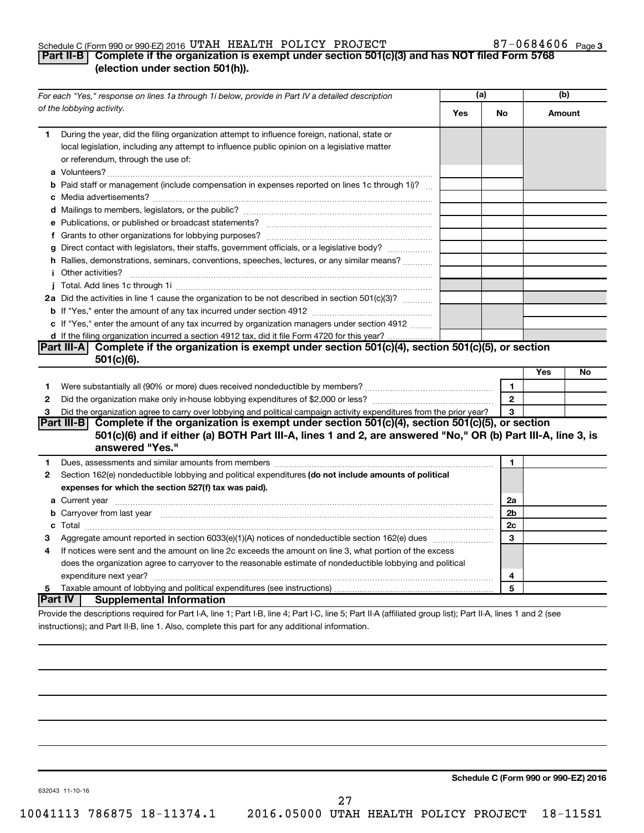#### Schedule C (Form 990 or 990-EZ) 2016 UTAH HEALTH POLICY PROJECT  $87-0684606$  Page

### 87-0684606 Page 3

### **Part II-B Complete if the organization is exempt under section 501(c)(3) and has NOT filed Form 5768 (election under section 501(h)).**

|              | For each "Yes," response on lines 1a through 1i below, provide in Part IV a detailed description                                                                                                                                            | (a) |              | (b)    |    |
|--------------|---------------------------------------------------------------------------------------------------------------------------------------------------------------------------------------------------------------------------------------------|-----|--------------|--------|----|
|              | of the lobbying activity.                                                                                                                                                                                                                   | Yes | No           | Amount |    |
| 1            | During the year, did the filing organization attempt to influence foreign, national, state or<br>local legislation, including any attempt to influence public opinion on a legislative matter<br>or referendum, through the use of:         |     |              |        |    |
|              | <b>b</b> Paid staff or management (include compensation in expenses reported on lines 1c through 1i)?                                                                                                                                       |     |              |        |    |
|              |                                                                                                                                                                                                                                             |     |              |        |    |
|              |                                                                                                                                                                                                                                             |     |              |        |    |
|              |                                                                                                                                                                                                                                             |     |              |        |    |
|              | g Direct contact with legislators, their staffs, government officials, or a legislative body?                                                                                                                                               |     |              |        |    |
|              | h Rallies, demonstrations, seminars, conventions, speeches, lectures, or any similar means?                                                                                                                                                 |     |              |        |    |
|              | <i>i</i> Other activities?                                                                                                                                                                                                                  |     |              |        |    |
|              |                                                                                                                                                                                                                                             |     |              |        |    |
|              | 2a Did the activities in line 1 cause the organization to be not described in section 501(c)(3)?                                                                                                                                            |     |              |        |    |
|              |                                                                                                                                                                                                                                             |     |              |        |    |
|              | c If "Yes," enter the amount of any tax incurred by organization managers under section 4912                                                                                                                                                |     |              |        |    |
|              | d If the filing organization incurred a section 4912 tax, did it file Form 4720 for this year?                                                                                                                                              |     |              |        |    |
|              | Part III-A Complete if the organization is exempt under section 501(c)(4), section 501(c)(5), or section                                                                                                                                    |     |              |        |    |
|              | 501(c)(6).                                                                                                                                                                                                                                  |     |              |        |    |
|              |                                                                                                                                                                                                                                             |     |              | Yes    | No |
| 1            |                                                                                                                                                                                                                                             |     | 1            |        |    |
| $\mathbf{2}$ |                                                                                                                                                                                                                                             |     | $\mathbf{2}$ |        |    |
| 3            | Did the organization agree to carry over lobbying and political campaign activity expenditures from the prior year?                                                                                                                         |     | 3            |        |    |
|              | Part III-B Complete if the organization is exempt under section 501(c)(4), section 501(c)(5), or section<br>501(c)(6) and if either (a) BOTH Part III-A, lines 1 and 2, are answered "No," OR (b) Part III-A, line 3, is<br>answered "Yes." |     |              |        |    |
| 1.           | Dues, assessments and similar amounts from members [111] [12] matter and state and similar amounts and similar                                                                                                                              |     | 1            |        |    |
| 2            | Section 162(e) nondeductible lobbying and political expenditures (do not include amounts of political                                                                                                                                       |     |              |        |    |
|              | expenses for which the section 527(f) tax was paid).                                                                                                                                                                                        |     |              |        |    |
|              |                                                                                                                                                                                                                                             |     | 2a           |        |    |
|              | b Carryover from last year manufactured and content to content the content of the content of the content of the content of the content of the content of the content of the content of the content of the content of the conte              |     | 2b           |        |    |
|              |                                                                                                                                                                                                                                             |     | 2c           |        |    |
| 3            |                                                                                                                                                                                                                                             |     | 3            |        |    |
| 4            | If notices were sent and the amount on line 2c exceeds the amount on line 3, what portion of the excess                                                                                                                                     |     |              |        |    |
|              | does the organization agree to carryover to the reasonable estimate of nondeductible lobbying and political                                                                                                                                 |     |              |        |    |
|              |                                                                                                                                                                                                                                             |     | 4            |        |    |
| 5            |                                                                                                                                                                                                                                             |     | 5            |        |    |
|              | <b>Part IV</b><br><b>Supplemental Information</b>                                                                                                                                                                                           |     |              |        |    |
|              | Provide the descriptions required for Part I-A, line 1; Part I-B, line 4; Part I-C, line 5; Part II-A (affiliated group list); Part II-A, lines 1 and 2 (see                                                                                |     |              |        |    |

instructions); and Part II-B, line 1. Also, complete this part for any additional information.

**Schedule C (Form 990 or 990-EZ) 2016**

632043 11-10-16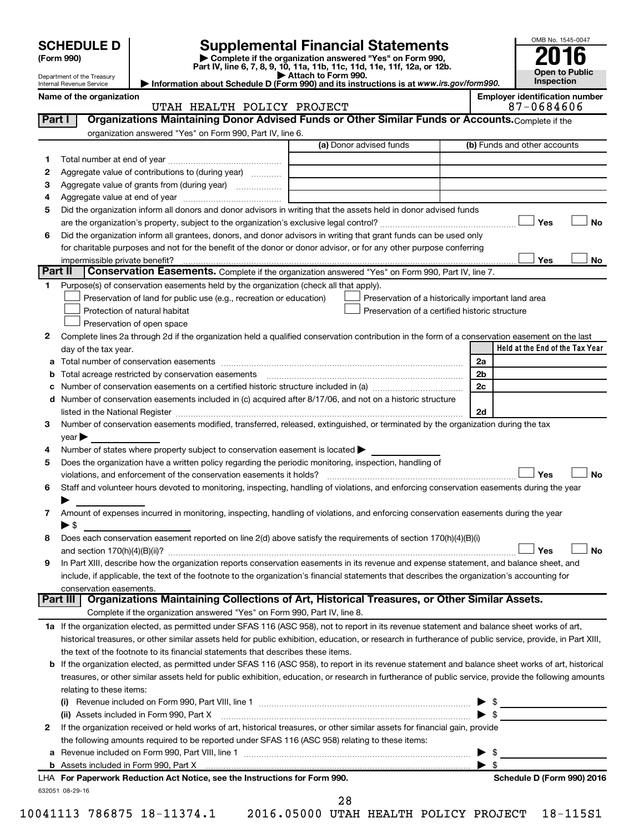| <b>SCHEDULE D</b> |
|-------------------|
|                   |

Department of the Treasury Internal Revenue Service

# **SCHEDULE D Supplemental Financial Statements**<br> **Form 990 2016**<br> **Part IV** line 6.7.8.9.10, 11a, 11b, 11d, 11d, 11d, 11d, 11d, 12a, 0r, 12b

**(Form 990) | Complete if the organization answered "Yes" on Form 990, Part IV, line 6, 7, 8, 9, 10, 11a, 11b, 11c, 11d, 11e, 11f, 12a, or 12b.**

**| Attach to Form 990. | Information about Schedule D (Form 990) and its instructions is at**  *www.irs.gov/form990.*



| Organizations Maintaining Donor Advised Funds or Other Similar Funds or Accounts. Complete if the<br>Part I<br>organization answered "Yes" on Form 990, Part IV, line 6.<br>(a) Donor advised funds<br>(b) Funds and other accounts<br>1<br>Aggregate value of contributions to (during year)<br>2<br>Aggregate value of grants from (during year)<br>з<br>4<br>Did the organization inform all donors and donor advisors in writing that the assets held in donor advised funds<br>5<br>Yes<br>Did the organization inform all grantees, donors, and donor advisors in writing that grant funds can be used only<br>6<br>for charitable purposes and not for the benefit of the donor or donor advisor, or for any other purpose conferring<br>Yes<br>impermissible private benefit?<br>Part II<br>Conservation Easements. Complete if the organization answered "Yes" on Form 990, Part IV, line 7.<br>Purpose(s) of conservation easements held by the organization (check all that apply).<br>1<br>Preservation of land for public use (e.g., recreation or education)<br>Preservation of a historically important land area<br>Protection of natural habitat<br>Preservation of a certified historic structure<br>Preservation of open space<br>2<br>Complete lines 2a through 2d if the organization held a qualified conservation contribution in the form of a conservation easement on the last<br>day of the tax year.<br>2a<br>а<br>Total acreage restricted by conservation easements manufactured acreage restricted by conservation easements<br>2 <sub>b</sub><br>2c<br>Number of conservation easements on a certified historic structure included in (a) manufacture included in (a)<br>с<br>Number of conservation easements included in (c) acquired after 8/17/06, and not on a historic structure<br>d<br>2d<br>Number of conservation easements modified, transferred, released, extinguished, or terminated by the organization during the tax<br>3<br>year<br>Number of states where property subject to conservation easement is located ><br>4<br>Does the organization have a written policy regarding the periodic monitoring, inspection, handling of<br>5<br>Yes<br>violations, and enforcement of the conservation easements it holds?<br>Staff and volunteer hours devoted to monitoring, inspecting, handling of violations, and enforcing conservation easements during the year<br>6<br>Amount of expenses incurred in monitoring, inspecting, handling of violations, and enforcing conservation easements during the year<br>7<br>▶ \$<br>Does each conservation easement reported on line 2(d) above satisfy the requirements of section 170(h)(4)(B)(i)<br>8 | Name of the organization<br>UTAH HEALTH POLICY PROJECT | <b>Employer identification number</b><br>87-0684606 |
|-----------------------------------------------------------------------------------------------------------------------------------------------------------------------------------------------------------------------------------------------------------------------------------------------------------------------------------------------------------------------------------------------------------------------------------------------------------------------------------------------------------------------------------------------------------------------------------------------------------------------------------------------------------------------------------------------------------------------------------------------------------------------------------------------------------------------------------------------------------------------------------------------------------------------------------------------------------------------------------------------------------------------------------------------------------------------------------------------------------------------------------------------------------------------------------------------------------------------------------------------------------------------------------------------------------------------------------------------------------------------------------------------------------------------------------------------------------------------------------------------------------------------------------------------------------------------------------------------------------------------------------------------------------------------------------------------------------------------------------------------------------------------------------------------------------------------------------------------------------------------------------------------------------------------------------------------------------------------------------------------------------------------------------------------------------------------------------------------------------------------------------------------------------------------------------------------------------------------------------------------------------------------------------------------------------------------------------------------------------------------------------------------------------------------------------------------------------------------------------------------------------------------------------------------------------------------------------------------------------------------------------------------------------------------------------------------------|--------------------------------------------------------|-----------------------------------------------------|
|                                                                                                                                                                                                                                                                                                                                                                                                                                                                                                                                                                                                                                                                                                                                                                                                                                                                                                                                                                                                                                                                                                                                                                                                                                                                                                                                                                                                                                                                                                                                                                                                                                                                                                                                                                                                                                                                                                                                                                                                                                                                                                                                                                                                                                                                                                                                                                                                                                                                                                                                                                                                                                                                                                     |                                                        |                                                     |
|                                                                                                                                                                                                                                                                                                                                                                                                                                                                                                                                                                                                                                                                                                                                                                                                                                                                                                                                                                                                                                                                                                                                                                                                                                                                                                                                                                                                                                                                                                                                                                                                                                                                                                                                                                                                                                                                                                                                                                                                                                                                                                                                                                                                                                                                                                                                                                                                                                                                                                                                                                                                                                                                                                     |                                                        |                                                     |
|                                                                                                                                                                                                                                                                                                                                                                                                                                                                                                                                                                                                                                                                                                                                                                                                                                                                                                                                                                                                                                                                                                                                                                                                                                                                                                                                                                                                                                                                                                                                                                                                                                                                                                                                                                                                                                                                                                                                                                                                                                                                                                                                                                                                                                                                                                                                                                                                                                                                                                                                                                                                                                                                                                     |                                                        |                                                     |
|                                                                                                                                                                                                                                                                                                                                                                                                                                                                                                                                                                                                                                                                                                                                                                                                                                                                                                                                                                                                                                                                                                                                                                                                                                                                                                                                                                                                                                                                                                                                                                                                                                                                                                                                                                                                                                                                                                                                                                                                                                                                                                                                                                                                                                                                                                                                                                                                                                                                                                                                                                                                                                                                                                     |                                                        |                                                     |
|                                                                                                                                                                                                                                                                                                                                                                                                                                                                                                                                                                                                                                                                                                                                                                                                                                                                                                                                                                                                                                                                                                                                                                                                                                                                                                                                                                                                                                                                                                                                                                                                                                                                                                                                                                                                                                                                                                                                                                                                                                                                                                                                                                                                                                                                                                                                                                                                                                                                                                                                                                                                                                                                                                     |                                                        |                                                     |
|                                                                                                                                                                                                                                                                                                                                                                                                                                                                                                                                                                                                                                                                                                                                                                                                                                                                                                                                                                                                                                                                                                                                                                                                                                                                                                                                                                                                                                                                                                                                                                                                                                                                                                                                                                                                                                                                                                                                                                                                                                                                                                                                                                                                                                                                                                                                                                                                                                                                                                                                                                                                                                                                                                     |                                                        |                                                     |
|                                                                                                                                                                                                                                                                                                                                                                                                                                                                                                                                                                                                                                                                                                                                                                                                                                                                                                                                                                                                                                                                                                                                                                                                                                                                                                                                                                                                                                                                                                                                                                                                                                                                                                                                                                                                                                                                                                                                                                                                                                                                                                                                                                                                                                                                                                                                                                                                                                                                                                                                                                                                                                                                                                     |                                                        |                                                     |
|                                                                                                                                                                                                                                                                                                                                                                                                                                                                                                                                                                                                                                                                                                                                                                                                                                                                                                                                                                                                                                                                                                                                                                                                                                                                                                                                                                                                                                                                                                                                                                                                                                                                                                                                                                                                                                                                                                                                                                                                                                                                                                                                                                                                                                                                                                                                                                                                                                                                                                                                                                                                                                                                                                     |                                                        |                                                     |
|                                                                                                                                                                                                                                                                                                                                                                                                                                                                                                                                                                                                                                                                                                                                                                                                                                                                                                                                                                                                                                                                                                                                                                                                                                                                                                                                                                                                                                                                                                                                                                                                                                                                                                                                                                                                                                                                                                                                                                                                                                                                                                                                                                                                                                                                                                                                                                                                                                                                                                                                                                                                                                                                                                     |                                                        | No                                                  |
|                                                                                                                                                                                                                                                                                                                                                                                                                                                                                                                                                                                                                                                                                                                                                                                                                                                                                                                                                                                                                                                                                                                                                                                                                                                                                                                                                                                                                                                                                                                                                                                                                                                                                                                                                                                                                                                                                                                                                                                                                                                                                                                                                                                                                                                                                                                                                                                                                                                                                                                                                                                                                                                                                                     |                                                        |                                                     |
|                                                                                                                                                                                                                                                                                                                                                                                                                                                                                                                                                                                                                                                                                                                                                                                                                                                                                                                                                                                                                                                                                                                                                                                                                                                                                                                                                                                                                                                                                                                                                                                                                                                                                                                                                                                                                                                                                                                                                                                                                                                                                                                                                                                                                                                                                                                                                                                                                                                                                                                                                                                                                                                                                                     |                                                        |                                                     |
|                                                                                                                                                                                                                                                                                                                                                                                                                                                                                                                                                                                                                                                                                                                                                                                                                                                                                                                                                                                                                                                                                                                                                                                                                                                                                                                                                                                                                                                                                                                                                                                                                                                                                                                                                                                                                                                                                                                                                                                                                                                                                                                                                                                                                                                                                                                                                                                                                                                                                                                                                                                                                                                                                                     |                                                        | No                                                  |
|                                                                                                                                                                                                                                                                                                                                                                                                                                                                                                                                                                                                                                                                                                                                                                                                                                                                                                                                                                                                                                                                                                                                                                                                                                                                                                                                                                                                                                                                                                                                                                                                                                                                                                                                                                                                                                                                                                                                                                                                                                                                                                                                                                                                                                                                                                                                                                                                                                                                                                                                                                                                                                                                                                     |                                                        |                                                     |
|                                                                                                                                                                                                                                                                                                                                                                                                                                                                                                                                                                                                                                                                                                                                                                                                                                                                                                                                                                                                                                                                                                                                                                                                                                                                                                                                                                                                                                                                                                                                                                                                                                                                                                                                                                                                                                                                                                                                                                                                                                                                                                                                                                                                                                                                                                                                                                                                                                                                                                                                                                                                                                                                                                     |                                                        |                                                     |
|                                                                                                                                                                                                                                                                                                                                                                                                                                                                                                                                                                                                                                                                                                                                                                                                                                                                                                                                                                                                                                                                                                                                                                                                                                                                                                                                                                                                                                                                                                                                                                                                                                                                                                                                                                                                                                                                                                                                                                                                                                                                                                                                                                                                                                                                                                                                                                                                                                                                                                                                                                                                                                                                                                     |                                                        |                                                     |
|                                                                                                                                                                                                                                                                                                                                                                                                                                                                                                                                                                                                                                                                                                                                                                                                                                                                                                                                                                                                                                                                                                                                                                                                                                                                                                                                                                                                                                                                                                                                                                                                                                                                                                                                                                                                                                                                                                                                                                                                                                                                                                                                                                                                                                                                                                                                                                                                                                                                                                                                                                                                                                                                                                     |                                                        |                                                     |
|                                                                                                                                                                                                                                                                                                                                                                                                                                                                                                                                                                                                                                                                                                                                                                                                                                                                                                                                                                                                                                                                                                                                                                                                                                                                                                                                                                                                                                                                                                                                                                                                                                                                                                                                                                                                                                                                                                                                                                                                                                                                                                                                                                                                                                                                                                                                                                                                                                                                                                                                                                                                                                                                                                     |                                                        |                                                     |
|                                                                                                                                                                                                                                                                                                                                                                                                                                                                                                                                                                                                                                                                                                                                                                                                                                                                                                                                                                                                                                                                                                                                                                                                                                                                                                                                                                                                                                                                                                                                                                                                                                                                                                                                                                                                                                                                                                                                                                                                                                                                                                                                                                                                                                                                                                                                                                                                                                                                                                                                                                                                                                                                                                     |                                                        |                                                     |
|                                                                                                                                                                                                                                                                                                                                                                                                                                                                                                                                                                                                                                                                                                                                                                                                                                                                                                                                                                                                                                                                                                                                                                                                                                                                                                                                                                                                                                                                                                                                                                                                                                                                                                                                                                                                                                                                                                                                                                                                                                                                                                                                                                                                                                                                                                                                                                                                                                                                                                                                                                                                                                                                                                     |                                                        | Held at the End of the Tax Year                     |
|                                                                                                                                                                                                                                                                                                                                                                                                                                                                                                                                                                                                                                                                                                                                                                                                                                                                                                                                                                                                                                                                                                                                                                                                                                                                                                                                                                                                                                                                                                                                                                                                                                                                                                                                                                                                                                                                                                                                                                                                                                                                                                                                                                                                                                                                                                                                                                                                                                                                                                                                                                                                                                                                                                     |                                                        |                                                     |
|                                                                                                                                                                                                                                                                                                                                                                                                                                                                                                                                                                                                                                                                                                                                                                                                                                                                                                                                                                                                                                                                                                                                                                                                                                                                                                                                                                                                                                                                                                                                                                                                                                                                                                                                                                                                                                                                                                                                                                                                                                                                                                                                                                                                                                                                                                                                                                                                                                                                                                                                                                                                                                                                                                     |                                                        |                                                     |
|                                                                                                                                                                                                                                                                                                                                                                                                                                                                                                                                                                                                                                                                                                                                                                                                                                                                                                                                                                                                                                                                                                                                                                                                                                                                                                                                                                                                                                                                                                                                                                                                                                                                                                                                                                                                                                                                                                                                                                                                                                                                                                                                                                                                                                                                                                                                                                                                                                                                                                                                                                                                                                                                                                     |                                                        |                                                     |
|                                                                                                                                                                                                                                                                                                                                                                                                                                                                                                                                                                                                                                                                                                                                                                                                                                                                                                                                                                                                                                                                                                                                                                                                                                                                                                                                                                                                                                                                                                                                                                                                                                                                                                                                                                                                                                                                                                                                                                                                                                                                                                                                                                                                                                                                                                                                                                                                                                                                                                                                                                                                                                                                                                     |                                                        |                                                     |
|                                                                                                                                                                                                                                                                                                                                                                                                                                                                                                                                                                                                                                                                                                                                                                                                                                                                                                                                                                                                                                                                                                                                                                                                                                                                                                                                                                                                                                                                                                                                                                                                                                                                                                                                                                                                                                                                                                                                                                                                                                                                                                                                                                                                                                                                                                                                                                                                                                                                                                                                                                                                                                                                                                     |                                                        |                                                     |
|                                                                                                                                                                                                                                                                                                                                                                                                                                                                                                                                                                                                                                                                                                                                                                                                                                                                                                                                                                                                                                                                                                                                                                                                                                                                                                                                                                                                                                                                                                                                                                                                                                                                                                                                                                                                                                                                                                                                                                                                                                                                                                                                                                                                                                                                                                                                                                                                                                                                                                                                                                                                                                                                                                     |                                                        |                                                     |
|                                                                                                                                                                                                                                                                                                                                                                                                                                                                                                                                                                                                                                                                                                                                                                                                                                                                                                                                                                                                                                                                                                                                                                                                                                                                                                                                                                                                                                                                                                                                                                                                                                                                                                                                                                                                                                                                                                                                                                                                                                                                                                                                                                                                                                                                                                                                                                                                                                                                                                                                                                                                                                                                                                     |                                                        |                                                     |
|                                                                                                                                                                                                                                                                                                                                                                                                                                                                                                                                                                                                                                                                                                                                                                                                                                                                                                                                                                                                                                                                                                                                                                                                                                                                                                                                                                                                                                                                                                                                                                                                                                                                                                                                                                                                                                                                                                                                                                                                                                                                                                                                                                                                                                                                                                                                                                                                                                                                                                                                                                                                                                                                                                     |                                                        |                                                     |
|                                                                                                                                                                                                                                                                                                                                                                                                                                                                                                                                                                                                                                                                                                                                                                                                                                                                                                                                                                                                                                                                                                                                                                                                                                                                                                                                                                                                                                                                                                                                                                                                                                                                                                                                                                                                                                                                                                                                                                                                                                                                                                                                                                                                                                                                                                                                                                                                                                                                                                                                                                                                                                                                                                     |                                                        |                                                     |
|                                                                                                                                                                                                                                                                                                                                                                                                                                                                                                                                                                                                                                                                                                                                                                                                                                                                                                                                                                                                                                                                                                                                                                                                                                                                                                                                                                                                                                                                                                                                                                                                                                                                                                                                                                                                                                                                                                                                                                                                                                                                                                                                                                                                                                                                                                                                                                                                                                                                                                                                                                                                                                                                                                     |                                                        | No                                                  |
|                                                                                                                                                                                                                                                                                                                                                                                                                                                                                                                                                                                                                                                                                                                                                                                                                                                                                                                                                                                                                                                                                                                                                                                                                                                                                                                                                                                                                                                                                                                                                                                                                                                                                                                                                                                                                                                                                                                                                                                                                                                                                                                                                                                                                                                                                                                                                                                                                                                                                                                                                                                                                                                                                                     |                                                        |                                                     |
|                                                                                                                                                                                                                                                                                                                                                                                                                                                                                                                                                                                                                                                                                                                                                                                                                                                                                                                                                                                                                                                                                                                                                                                                                                                                                                                                                                                                                                                                                                                                                                                                                                                                                                                                                                                                                                                                                                                                                                                                                                                                                                                                                                                                                                                                                                                                                                                                                                                                                                                                                                                                                                                                                                     |                                                        |                                                     |
|                                                                                                                                                                                                                                                                                                                                                                                                                                                                                                                                                                                                                                                                                                                                                                                                                                                                                                                                                                                                                                                                                                                                                                                                                                                                                                                                                                                                                                                                                                                                                                                                                                                                                                                                                                                                                                                                                                                                                                                                                                                                                                                                                                                                                                                                                                                                                                                                                                                                                                                                                                                                                                                                                                     |                                                        |                                                     |
|                                                                                                                                                                                                                                                                                                                                                                                                                                                                                                                                                                                                                                                                                                                                                                                                                                                                                                                                                                                                                                                                                                                                                                                                                                                                                                                                                                                                                                                                                                                                                                                                                                                                                                                                                                                                                                                                                                                                                                                                                                                                                                                                                                                                                                                                                                                                                                                                                                                                                                                                                                                                                                                                                                     |                                                        |                                                     |
|                                                                                                                                                                                                                                                                                                                                                                                                                                                                                                                                                                                                                                                                                                                                                                                                                                                                                                                                                                                                                                                                                                                                                                                                                                                                                                                                                                                                                                                                                                                                                                                                                                                                                                                                                                                                                                                                                                                                                                                                                                                                                                                                                                                                                                                                                                                                                                                                                                                                                                                                                                                                                                                                                                     |                                                        |                                                     |
|                                                                                                                                                                                                                                                                                                                                                                                                                                                                                                                                                                                                                                                                                                                                                                                                                                                                                                                                                                                                                                                                                                                                                                                                                                                                                                                                                                                                                                                                                                                                                                                                                                                                                                                                                                                                                                                                                                                                                                                                                                                                                                                                                                                                                                                                                                                                                                                                                                                                                                                                                                                                                                                                                                     |                                                        | Yes<br>No                                           |
| In Part XIII, describe how the organization reports conservation easements in its revenue and expense statement, and balance sheet, and                                                                                                                                                                                                                                                                                                                                                                                                                                                                                                                                                                                                                                                                                                                                                                                                                                                                                                                                                                                                                                                                                                                                                                                                                                                                                                                                                                                                                                                                                                                                                                                                                                                                                                                                                                                                                                                                                                                                                                                                                                                                                                                                                                                                                                                                                                                                                                                                                                                                                                                                                             |                                                        |                                                     |
| include, if applicable, the text of the footnote to the organization's financial statements that describes the organization's accounting for                                                                                                                                                                                                                                                                                                                                                                                                                                                                                                                                                                                                                                                                                                                                                                                                                                                                                                                                                                                                                                                                                                                                                                                                                                                                                                                                                                                                                                                                                                                                                                                                                                                                                                                                                                                                                                                                                                                                                                                                                                                                                                                                                                                                                                                                                                                                                                                                                                                                                                                                                        |                                                        |                                                     |
| conservation easements.<br>Organizations Maintaining Collections of Art, Historical Treasures, or Other Similar Assets.                                                                                                                                                                                                                                                                                                                                                                                                                                                                                                                                                                                                                                                                                                                                                                                                                                                                                                                                                                                                                                                                                                                                                                                                                                                                                                                                                                                                                                                                                                                                                                                                                                                                                                                                                                                                                                                                                                                                                                                                                                                                                                                                                                                                                                                                                                                                                                                                                                                                                                                                                                             |                                                        |                                                     |
| Part III                                                                                                                                                                                                                                                                                                                                                                                                                                                                                                                                                                                                                                                                                                                                                                                                                                                                                                                                                                                                                                                                                                                                                                                                                                                                                                                                                                                                                                                                                                                                                                                                                                                                                                                                                                                                                                                                                                                                                                                                                                                                                                                                                                                                                                                                                                                                                                                                                                                                                                                                                                                                                                                                                            |                                                        |                                                     |
| Complete if the organization answered "Yes" on Form 990, Part IV, line 8.                                                                                                                                                                                                                                                                                                                                                                                                                                                                                                                                                                                                                                                                                                                                                                                                                                                                                                                                                                                                                                                                                                                                                                                                                                                                                                                                                                                                                                                                                                                                                                                                                                                                                                                                                                                                                                                                                                                                                                                                                                                                                                                                                                                                                                                                                                                                                                                                                                                                                                                                                                                                                           |                                                        |                                                     |
| 1a If the organization elected, as permitted under SFAS 116 (ASC 958), not to report in its revenue statement and balance sheet works of art,                                                                                                                                                                                                                                                                                                                                                                                                                                                                                                                                                                                                                                                                                                                                                                                                                                                                                                                                                                                                                                                                                                                                                                                                                                                                                                                                                                                                                                                                                                                                                                                                                                                                                                                                                                                                                                                                                                                                                                                                                                                                                                                                                                                                                                                                                                                                                                                                                                                                                                                                                       |                                                        |                                                     |
| historical treasures, or other similar assets held for public exhibition, education, or research in furtherance of public service, provide, in Part XIII,                                                                                                                                                                                                                                                                                                                                                                                                                                                                                                                                                                                                                                                                                                                                                                                                                                                                                                                                                                                                                                                                                                                                                                                                                                                                                                                                                                                                                                                                                                                                                                                                                                                                                                                                                                                                                                                                                                                                                                                                                                                                                                                                                                                                                                                                                                                                                                                                                                                                                                                                           |                                                        |                                                     |
| the text of the footnote to its financial statements that describes these items.                                                                                                                                                                                                                                                                                                                                                                                                                                                                                                                                                                                                                                                                                                                                                                                                                                                                                                                                                                                                                                                                                                                                                                                                                                                                                                                                                                                                                                                                                                                                                                                                                                                                                                                                                                                                                                                                                                                                                                                                                                                                                                                                                                                                                                                                                                                                                                                                                                                                                                                                                                                                                    |                                                        |                                                     |
| If the organization elected, as permitted under SFAS 116 (ASC 958), to report in its revenue statement and balance sheet works of art, historical<br>b                                                                                                                                                                                                                                                                                                                                                                                                                                                                                                                                                                                                                                                                                                                                                                                                                                                                                                                                                                                                                                                                                                                                                                                                                                                                                                                                                                                                                                                                                                                                                                                                                                                                                                                                                                                                                                                                                                                                                                                                                                                                                                                                                                                                                                                                                                                                                                                                                                                                                                                                              |                                                        |                                                     |
| treasures, or other similar assets held for public exhibition, education, or research in furtherance of public service, provide the following amounts<br>relating to these items:                                                                                                                                                                                                                                                                                                                                                                                                                                                                                                                                                                                                                                                                                                                                                                                                                                                                                                                                                                                                                                                                                                                                                                                                                                                                                                                                                                                                                                                                                                                                                                                                                                                                                                                                                                                                                                                                                                                                                                                                                                                                                                                                                                                                                                                                                                                                                                                                                                                                                                                   |                                                        |                                                     |
|                                                                                                                                                                                                                                                                                                                                                                                                                                                                                                                                                                                                                                                                                                                                                                                                                                                                                                                                                                                                                                                                                                                                                                                                                                                                                                                                                                                                                                                                                                                                                                                                                                                                                                                                                                                                                                                                                                                                                                                                                                                                                                                                                                                                                                                                                                                                                                                                                                                                                                                                                                                                                                                                                                     |                                                        |                                                     |
| ▶<br>$\blacktriangleright$ \$<br>(ii) Assets included in Form 990, Part X                                                                                                                                                                                                                                                                                                                                                                                                                                                                                                                                                                                                                                                                                                                                                                                                                                                                                                                                                                                                                                                                                                                                                                                                                                                                                                                                                                                                                                                                                                                                                                                                                                                                                                                                                                                                                                                                                                                                                                                                                                                                                                                                                                                                                                                                                                                                                                                                                                                                                                                                                                                                                           |                                                        | $\frac{1}{2}$                                       |
| If the organization received or held works of art, historical treasures, or other similar assets for financial gain, provide<br>2                                                                                                                                                                                                                                                                                                                                                                                                                                                                                                                                                                                                                                                                                                                                                                                                                                                                                                                                                                                                                                                                                                                                                                                                                                                                                                                                                                                                                                                                                                                                                                                                                                                                                                                                                                                                                                                                                                                                                                                                                                                                                                                                                                                                                                                                                                                                                                                                                                                                                                                                                                   |                                                        |                                                     |
|                                                                                                                                                                                                                                                                                                                                                                                                                                                                                                                                                                                                                                                                                                                                                                                                                                                                                                                                                                                                                                                                                                                                                                                                                                                                                                                                                                                                                                                                                                                                                                                                                                                                                                                                                                                                                                                                                                                                                                                                                                                                                                                                                                                                                                                                                                                                                                                                                                                                                                                                                                                                                                                                                                     |                                                        |                                                     |
| the following amounts required to be reported under SFAS 116 (ASC 958) relating to these items:<br>\$                                                                                                                                                                                                                                                                                                                                                                                                                                                                                                                                                                                                                                                                                                                                                                                                                                                                                                                                                                                                                                                                                                                                                                                                                                                                                                                                                                                                                                                                                                                                                                                                                                                                                                                                                                                                                                                                                                                                                                                                                                                                                                                                                                                                                                                                                                                                                                                                                                                                                                                                                                                               |                                                        |                                                     |
| ▶<br>а<br>$\blacktriangleright$ s                                                                                                                                                                                                                                                                                                                                                                                                                                                                                                                                                                                                                                                                                                                                                                                                                                                                                                                                                                                                                                                                                                                                                                                                                                                                                                                                                                                                                                                                                                                                                                                                                                                                                                                                                                                                                                                                                                                                                                                                                                                                                                                                                                                                                                                                                                                                                                                                                                                                                                                                                                                                                                                                   |                                                        |                                                     |
| LHA For Paperwork Reduction Act Notice, see the Instructions for Form 990.                                                                                                                                                                                                                                                                                                                                                                                                                                                                                                                                                                                                                                                                                                                                                                                                                                                                                                                                                                                                                                                                                                                                                                                                                                                                                                                                                                                                                                                                                                                                                                                                                                                                                                                                                                                                                                                                                                                                                                                                                                                                                                                                                                                                                                                                                                                                                                                                                                                                                                                                                                                                                          |                                                        | Schedule D (Form 990) 2016                          |

28

632051 08-29-16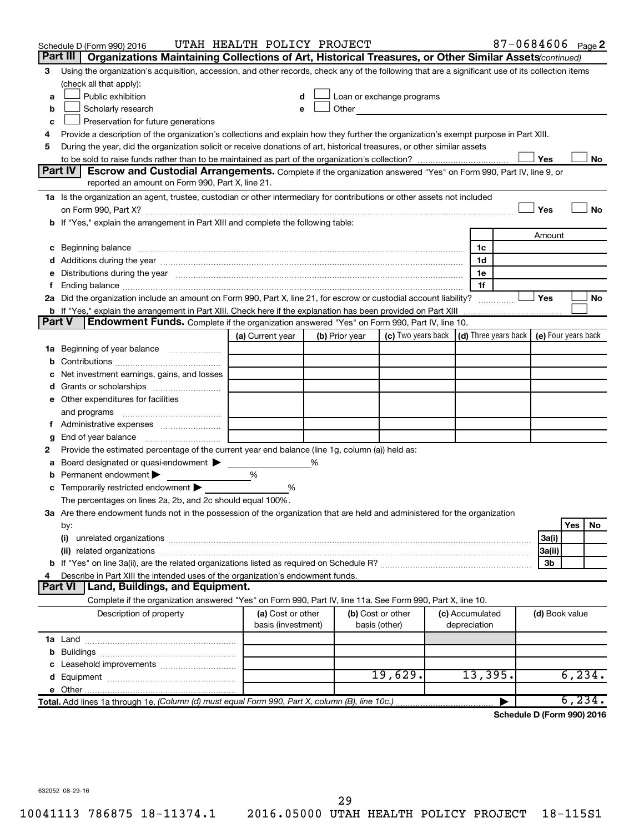|               | Schedule D (Form 990) 2016                                                                                                                                                   | UTAH HEALTH POLICY PROJECT              |   |                |                                                                                                                                                                                                                               |                                 | 87-0684606 Page 2 |                            |     |         |
|---------------|------------------------------------------------------------------------------------------------------------------------------------------------------------------------------|-----------------------------------------|---|----------------|-------------------------------------------------------------------------------------------------------------------------------------------------------------------------------------------------------------------------------|---------------------------------|-------------------|----------------------------|-----|---------|
|               | Part III  <br>Organizations Maintaining Collections of Art, Historical Treasures, or Other Similar Assets (continued)                                                        |                                         |   |                |                                                                                                                                                                                                                               |                                 |                   |                            |     |         |
| З             | Using the organization's acquisition, accession, and other records, check any of the following that are a significant use of its collection items<br>(check all that apply): |                                         |   |                |                                                                                                                                                                                                                               |                                 |                   |                            |     |         |
| a             | Public exhibition                                                                                                                                                            | d                                       |   |                | Loan or exchange programs                                                                                                                                                                                                     |                                 |                   |                            |     |         |
| b             | Scholarly research                                                                                                                                                           | e                                       |   |                | Other and the contract of the contract of the contract of the contract of the contract of the contract of the contract of the contract of the contract of the contract of the contract of the contract of the contract of the |                                 |                   |                            |     |         |
| c             | Preservation for future generations                                                                                                                                          |                                         |   |                |                                                                                                                                                                                                                               |                                 |                   |                            |     |         |
| 4             | Provide a description of the organization's collections and explain how they further the organization's exempt purpose in Part XIII.                                         |                                         |   |                |                                                                                                                                                                                                                               |                                 |                   |                            |     |         |
| 5             | During the year, did the organization solicit or receive donations of art, historical treasures, or other similar assets                                                     |                                         |   |                |                                                                                                                                                                                                                               |                                 |                   |                            |     |         |
|               |                                                                                                                                                                              |                                         |   |                |                                                                                                                                                                                                                               |                                 |                   | Yes                        |     | No      |
|               | <b>Part IV</b><br><b>Escrow and Custodial Arrangements.</b> Complete if the organization answered "Yes" on Form 990, Part IV, line 9, or                                     |                                         |   |                |                                                                                                                                                                                                                               |                                 |                   |                            |     |         |
|               | reported an amount on Form 990, Part X, line 21.                                                                                                                             |                                         |   |                |                                                                                                                                                                                                                               |                                 |                   |                            |     |         |
|               | 1a Is the organization an agent, trustee, custodian or other intermediary for contributions or other assets not included                                                     |                                         |   |                |                                                                                                                                                                                                                               |                                 |                   |                            |     |         |
|               |                                                                                                                                                                              |                                         |   |                |                                                                                                                                                                                                                               |                                 |                   | Yes                        |     | No      |
|               | b If "Yes," explain the arrangement in Part XIII and complete the following table:                                                                                           |                                         |   |                |                                                                                                                                                                                                                               |                                 |                   |                            |     |         |
|               |                                                                                                                                                                              |                                         |   |                |                                                                                                                                                                                                                               |                                 |                   | Amount                     |     |         |
|               |                                                                                                                                                                              |                                         |   |                |                                                                                                                                                                                                                               | 1c                              |                   |                            |     |         |
|               |                                                                                                                                                                              |                                         |   |                |                                                                                                                                                                                                                               | 1d                              |                   |                            |     |         |
| е             | Distributions during the year manufactured and an account of the state of the state of the state of the state o                                                              |                                         |   |                |                                                                                                                                                                                                                               | 1e                              |                   |                            |     |         |
| Ť.            |                                                                                                                                                                              |                                         |   |                |                                                                                                                                                                                                                               | 1f                              |                   |                            |     |         |
|               | 2a Did the organization include an amount on Form 990, Part X, line 21, for escrow or custodial account liability?                                                           |                                         |   |                |                                                                                                                                                                                                                               |                                 |                   | Yes                        |     | No      |
|               | b If "Yes," explain the arrangement in Part XIII. Check here if the explanation has been provided on Part XIII                                                               |                                         |   |                |                                                                                                                                                                                                                               |                                 |                   |                            |     |         |
| <b>Part V</b> | <b>Endowment Funds.</b> Complete if the organization answered "Yes" on Form 990, Part IV, line 10.                                                                           |                                         |   |                |                                                                                                                                                                                                                               |                                 |                   |                            |     |         |
|               |                                                                                                                                                                              | (a) Current year                        |   | (b) Prior year | (c) Two years back $\vert$ (d) Three years back $\vert$ (e) Four years back                                                                                                                                                   |                                 |                   |                            |     |         |
|               | 1a Beginning of year balance                                                                                                                                                 |                                         |   |                |                                                                                                                                                                                                                               |                                 |                   |                            |     |         |
| b             |                                                                                                                                                                              |                                         |   |                |                                                                                                                                                                                                                               |                                 |                   |                            |     |         |
|               | Net investment earnings, gains, and losses                                                                                                                                   |                                         |   |                |                                                                                                                                                                                                                               |                                 |                   |                            |     |         |
| d             |                                                                                                                                                                              |                                         |   |                |                                                                                                                                                                                                                               |                                 |                   |                            |     |         |
|               | e Other expenditures for facilities                                                                                                                                          |                                         |   |                |                                                                                                                                                                                                                               |                                 |                   |                            |     |         |
|               | and programs                                                                                                                                                                 |                                         |   |                |                                                                                                                                                                                                                               |                                 |                   |                            |     |         |
|               | f Administrative expenses                                                                                                                                                    |                                         |   |                |                                                                                                                                                                                                                               |                                 |                   |                            |     |         |
| g             |                                                                                                                                                                              |                                         |   |                |                                                                                                                                                                                                                               |                                 |                   |                            |     |         |
| 2             | Provide the estimated percentage of the current year end balance (line 1g, column (a)) held as:                                                                              |                                         |   |                |                                                                                                                                                                                                                               |                                 |                   |                            |     |         |
| а             | Board designated or quasi-endowment >                                                                                                                                        |                                         | % |                |                                                                                                                                                                                                                               |                                 |                   |                            |     |         |
| b             | Permanent endowment                                                                                                                                                          | %                                       |   |                |                                                                                                                                                                                                                               |                                 |                   |                            |     |         |
| С             | Temporarily restricted endowment >                                                                                                                                           | %                                       |   |                |                                                                                                                                                                                                                               |                                 |                   |                            |     |         |
|               | The percentages on lines 2a, 2b, and 2c should equal 100%.                                                                                                                   |                                         |   |                |                                                                                                                                                                                                                               |                                 |                   |                            |     |         |
|               | 3a Are there endowment funds not in the possession of the organization that are held and administered for the organization                                                   |                                         |   |                |                                                                                                                                                                                                                               |                                 |                   |                            |     |         |
|               | by:                                                                                                                                                                          |                                         |   |                |                                                                                                                                                                                                                               |                                 |                   |                            | Yes | No      |
|               | (i)                                                                                                                                                                          |                                         |   |                |                                                                                                                                                                                                                               |                                 |                   | 3a(i)                      |     |         |
|               |                                                                                                                                                                              |                                         |   |                |                                                                                                                                                                                                                               |                                 |                   | 3a(ii)                     |     |         |
|               |                                                                                                                                                                              |                                         |   |                |                                                                                                                                                                                                                               |                                 |                   | 3b                         |     |         |
| 4             | Describe in Part XIII the intended uses of the organization's endowment funds.<br><b>Part VI</b><br>Land, Buildings, and Equipment.                                          |                                         |   |                |                                                                                                                                                                                                                               |                                 |                   |                            |     |         |
|               |                                                                                                                                                                              |                                         |   |                |                                                                                                                                                                                                                               |                                 |                   |                            |     |         |
|               | Complete if the organization answered "Yes" on Form 990, Part IV, line 11a. See Form 990, Part X, line 10.                                                                   |                                         |   |                |                                                                                                                                                                                                                               |                                 |                   |                            |     |         |
|               | Description of property                                                                                                                                                      | (a) Cost or other<br>basis (investment) |   |                | (b) Cost or other                                                                                                                                                                                                             | (c) Accumulated<br>depreciation |                   | (d) Book value             |     |         |
|               |                                                                                                                                                                              |                                         |   |                | basis (other)                                                                                                                                                                                                                 |                                 |                   |                            |     |         |
|               |                                                                                                                                                                              |                                         |   |                |                                                                                                                                                                                                                               |                                 |                   |                            |     |         |
|               |                                                                                                                                                                              |                                         |   |                |                                                                                                                                                                                                                               |                                 |                   |                            |     |         |
|               |                                                                                                                                                                              |                                         |   |                | 19,629.                                                                                                                                                                                                                       |                                 | 13,395.           |                            |     | 6, 234. |
|               |                                                                                                                                                                              |                                         |   |                |                                                                                                                                                                                                                               |                                 |                   |                            |     |         |
|               | Total. Add lines 1a through 1e. (Column (d) must equal Form 990, Part X, column (B), line 10c.)                                                                              |                                         |   |                |                                                                                                                                                                                                                               |                                 |                   |                            |     | 6, 234. |
|               |                                                                                                                                                                              |                                         |   |                |                                                                                                                                                                                                                               |                                 |                   |                            |     |         |
|               |                                                                                                                                                                              |                                         |   |                |                                                                                                                                                                                                                               |                                 |                   | Schedule D (Form 990) 2016 |     |         |

632052 08-29-16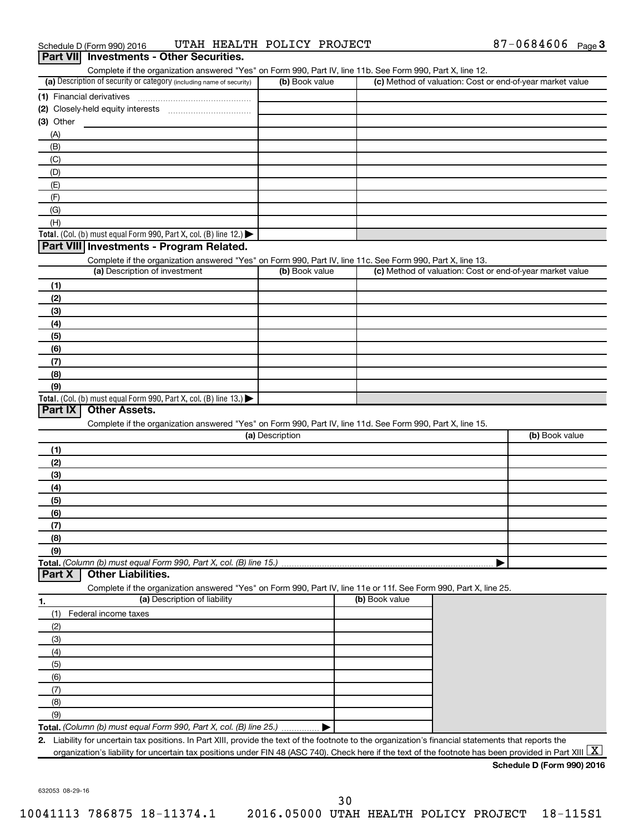| Schedule D (Form 990) 2016                      |  | UTAH HEALTH POLICY PROJECT | 87-0684606 $_{Page}$ 3 |  |
|-------------------------------------------------|--|----------------------------|------------------------|--|
| <b>Part VII</b> Investments - Other Securities. |  |                            |                        |  |

|                                                                                                                                                                                                                               |                 | Complete if the organization answered "Yes" on Form 990, Part IV, line 11b. See Form 990, Part X, line 12. |                                                           |
|-------------------------------------------------------------------------------------------------------------------------------------------------------------------------------------------------------------------------------|-----------------|------------------------------------------------------------------------------------------------------------|-----------------------------------------------------------|
| (a) Description of security or category (including name of security)                                                                                                                                                          | (b) Book value  |                                                                                                            | (c) Method of valuation: Cost or end-of-year market value |
|                                                                                                                                                                                                                               |                 |                                                                                                            |                                                           |
|                                                                                                                                                                                                                               |                 |                                                                                                            |                                                           |
| $(3)$ Other                                                                                                                                                                                                                   |                 |                                                                                                            |                                                           |
| (A)                                                                                                                                                                                                                           |                 |                                                                                                            |                                                           |
| (B)                                                                                                                                                                                                                           |                 |                                                                                                            |                                                           |
| (C)                                                                                                                                                                                                                           |                 |                                                                                                            |                                                           |
| (D)                                                                                                                                                                                                                           |                 |                                                                                                            |                                                           |
| (E)                                                                                                                                                                                                                           |                 |                                                                                                            |                                                           |
|                                                                                                                                                                                                                               |                 |                                                                                                            |                                                           |
| (F)                                                                                                                                                                                                                           |                 |                                                                                                            |                                                           |
| (G)                                                                                                                                                                                                                           |                 |                                                                                                            |                                                           |
| (H)                                                                                                                                                                                                                           |                 |                                                                                                            |                                                           |
| Total. (Col. (b) must equal Form 990, Part X, col. (B) line 12.)                                                                                                                                                              |                 |                                                                                                            |                                                           |
| Part VIII Investments - Program Related.                                                                                                                                                                                      |                 |                                                                                                            |                                                           |
| Complete if the organization answered "Yes" on Form 990, Part IV, line 11c. See Form 990, Part X, line 13.                                                                                                                    |                 |                                                                                                            |                                                           |
| (a) Description of investment                                                                                                                                                                                                 | (b) Book value  |                                                                                                            | (c) Method of valuation: Cost or end-of-year market value |
| (1)                                                                                                                                                                                                                           |                 |                                                                                                            |                                                           |
| (2)                                                                                                                                                                                                                           |                 |                                                                                                            |                                                           |
| (3)                                                                                                                                                                                                                           |                 |                                                                                                            |                                                           |
| (4)                                                                                                                                                                                                                           |                 |                                                                                                            |                                                           |
| (5)                                                                                                                                                                                                                           |                 |                                                                                                            |                                                           |
| (6)                                                                                                                                                                                                                           |                 |                                                                                                            |                                                           |
| (7)                                                                                                                                                                                                                           |                 |                                                                                                            |                                                           |
| (8)                                                                                                                                                                                                                           |                 |                                                                                                            |                                                           |
|                                                                                                                                                                                                                               |                 |                                                                                                            |                                                           |
| (9)<br>Total. (Col. (b) must equal Form 990, Part X, col. (B) line 13.)                                                                                                                                                       |                 |                                                                                                            |                                                           |
| Complete if the organization answered "Yes" on Form 990, Part IV, line 11d. See Form 990, Part X, line 15.                                                                                                                    | (a) Description |                                                                                                            | (b) Book value                                            |
|                                                                                                                                                                                                                               |                 |                                                                                                            |                                                           |
| (1)                                                                                                                                                                                                                           |                 |                                                                                                            |                                                           |
| (2)                                                                                                                                                                                                                           |                 |                                                                                                            |                                                           |
| (3)                                                                                                                                                                                                                           |                 |                                                                                                            |                                                           |
| (4)                                                                                                                                                                                                                           |                 |                                                                                                            |                                                           |
| (5)                                                                                                                                                                                                                           |                 |                                                                                                            |                                                           |
| (6)                                                                                                                                                                                                                           |                 |                                                                                                            |                                                           |
| (7)                                                                                                                                                                                                                           |                 |                                                                                                            |                                                           |
| (8)                                                                                                                                                                                                                           |                 |                                                                                                            |                                                           |
| (9)                                                                                                                                                                                                                           |                 |                                                                                                            |                                                           |
| Total. (Column (b) must equal Form 990, Part X, col. (B) line 15.)                                                                                                                                                            |                 |                                                                                                            |                                                           |
|                                                                                                                                                                                                                               |                 |                                                                                                            |                                                           |
| <b>Other Liabilities.</b>                                                                                                                                                                                                     |                 |                                                                                                            |                                                           |
|                                                                                                                                                                                                                               |                 |                                                                                                            |                                                           |
| Complete if the organization answered "Yes" on Form 990, Part IV, line 11e or 11f. See Form 990, Part X, line 25.                                                                                                             |                 |                                                                                                            |                                                           |
| (a) Description of liability                                                                                                                                                                                                  |                 | (b) Book value                                                                                             |                                                           |
| Federal income taxes<br>(1)                                                                                                                                                                                                   |                 |                                                                                                            |                                                           |
| (2)                                                                                                                                                                                                                           |                 |                                                                                                            |                                                           |
| (3)                                                                                                                                                                                                                           |                 |                                                                                                            |                                                           |
| (4)                                                                                                                                                                                                                           |                 |                                                                                                            |                                                           |
| (5)                                                                                                                                                                                                                           |                 |                                                                                                            |                                                           |
| (6)                                                                                                                                                                                                                           |                 |                                                                                                            |                                                           |
| (7)                                                                                                                                                                                                                           |                 |                                                                                                            |                                                           |
| (8)                                                                                                                                                                                                                           |                 |                                                                                                            |                                                           |
| Part X<br>1.<br>(9)                                                                                                                                                                                                           |                 |                                                                                                            |                                                           |
|                                                                                                                                                                                                                               |                 |                                                                                                            |                                                           |
| Total. (Column (b) must equal Form 990, Part X, col. (B) line 25.)<br>Liability for uncertain tax positions. In Part XIII, provide the text of the footnote to the organization's financial statements that reports the<br>2. |                 |                                                                                                            |                                                           |

632053 08-29-16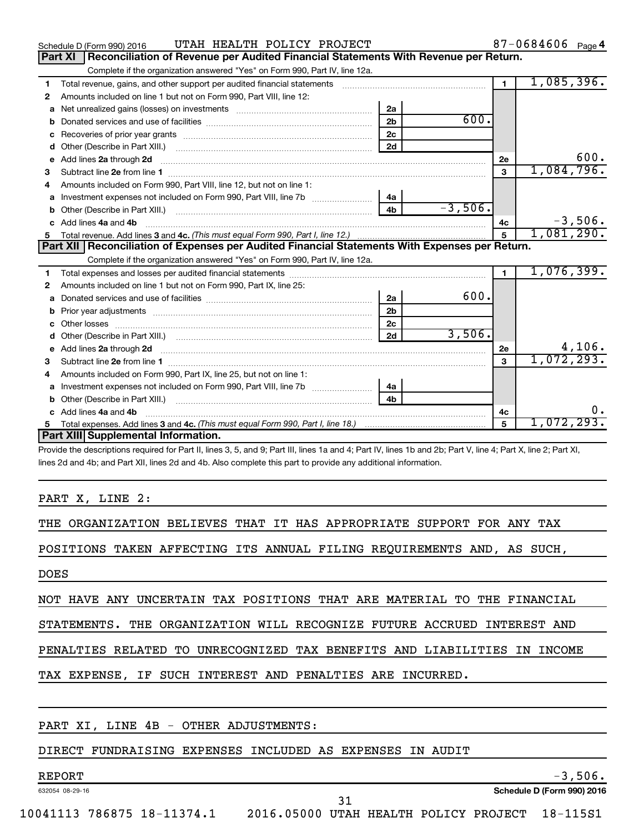|   | UTAH HEALTH POLICY PROJECT<br>Schedule D (Form 990) 2016                                                                   |                |           |                         | $87 - 0684606$ Page 4 |
|---|----------------------------------------------------------------------------------------------------------------------------|----------------|-----------|-------------------------|-----------------------|
|   | Part XI<br>Reconciliation of Revenue per Audited Financial Statements With Revenue per Return.                             |                |           |                         |                       |
|   | Complete if the organization answered "Yes" on Form 990, Part IV, line 12a.                                                |                |           |                         |                       |
| 1 | Total revenue, gains, and other support per audited financial statements                                                   |                |           | $\mathbf 1$             | 1,085,396.            |
| 2 | Amounts included on line 1 but not on Form 990, Part VIII, line 12:                                                        |                |           |                         |                       |
| a |                                                                                                                            | 2a             |           |                         |                       |
|   |                                                                                                                            | 2 <sub>b</sub> | 600.      |                         |                       |
| с |                                                                                                                            | 2 <sub>c</sub> |           |                         |                       |
| d | Other (Describe in Part XIII.) <b>Construction Contract Construction</b> Chemistry Chemistry Chemistry Chemistry Chemistry | 2d             |           |                         |                       |
| е | Add lines 2a through 2d                                                                                                    |                |           | 2е                      | 600.                  |
| 3 |                                                                                                                            |                |           | 3                       | 1,084,796.            |
| 4 | Amounts included on Form 990, Part VIII, line 12, but not on line 1:                                                       |                |           |                         |                       |
| a |                                                                                                                            | 4а             |           |                         |                       |
| b |                                                                                                                            | 4 <sub>h</sub> | $-3,506.$ |                         |                       |
| c | Add lines 4a and 4b                                                                                                        |                |           | 4c                      | $-3,506.$             |
|   |                                                                                                                            |                |           | 5                       | 1,081,290.            |
|   |                                                                                                                            |                |           |                         |                       |
|   | Part XII   Reconciliation of Expenses per Audited Financial Statements With Expenses per Return.                           |                |           |                         |                       |
|   | Complete if the organization answered "Yes" on Form 990, Part IV, line 12a.                                                |                |           |                         |                       |
| 1 |                                                                                                                            |                |           | $\blacksquare$          | 1,076,399.            |
| 2 | Amounts included on line 1 but not on Form 990, Part IX, line 25:                                                          |                |           |                         |                       |
| a |                                                                                                                            | 2a             | 600.      |                         |                       |
| b |                                                                                                                            | 2 <sub>b</sub> |           |                         |                       |
|   |                                                                                                                            | 2 <sub>c</sub> |           |                         |                       |
| d |                                                                                                                            | 2d             | 3,506.    |                         |                       |
| е |                                                                                                                            |                |           | 2е                      | 4,106.                |
| 3 | Subtract line 2e from line 1 <b>manufacture in the contract of the 2e</b> from line 1                                      |                |           | $\overline{\mathbf{3}}$ | 1,072,293.            |
| 4 | Amounts included on Form 990, Part IX, line 25, but not on line 1:                                                         |                |           |                         |                       |
| a |                                                                                                                            | 4a             |           |                         |                       |
| b |                                                                                                                            | 4 <sub>b</sub> |           |                         |                       |
| c | Add lines 4a and 4b                                                                                                        |                |           | 4c                      | $0$ .                 |
| 5 | Part XIII Supplemental Information.                                                                                        |                |           | 5                       | 1,072,293.            |

Provide the descriptions required for Part II, lines 3, 5, and 9; Part III, lines 1a and 4; Part IV, lines 1b and 2b; Part V, line 4; Part X, line 2; Part XI, lines 2d and 4b; and Part XII, lines 2d and 4b. Also complete this part to provide any additional information.

#### PART X, LINE 2:

THE ORGANIZATION BELIEVES THAT IT HAS APPROPRIATE SUPPORT FOR ANY TAX

POSITIONS TAKEN AFFECTING ITS ANNUAL FILING REQUIREMENTS AND, AS SUCH,

DOES

NOT HAVE ANY UNCERTAIN TAX POSITIONS THAT ARE MATERIAL TO THE FINANCIAL

STATEMENTS. THE ORGANIZATION WILL RECOGNIZE FUTURE ACCRUED INTEREST AND

PENALTIES RELATED TO UNRECOGNIZED TAX BENEFITS AND LIABILITIES IN INCOME

TAX EXPENSE, IF SUCH INTEREST AND PENALTIES ARE INCURRED.

#### PART XI, LINE 4B - OTHER ADJUSTMENTS:

#### DIRECT FUNDRAISING EXPENSES INCLUDED AS EXPENSES IN AUDIT

632054 08-29-16

 $REPORT$  -3,506.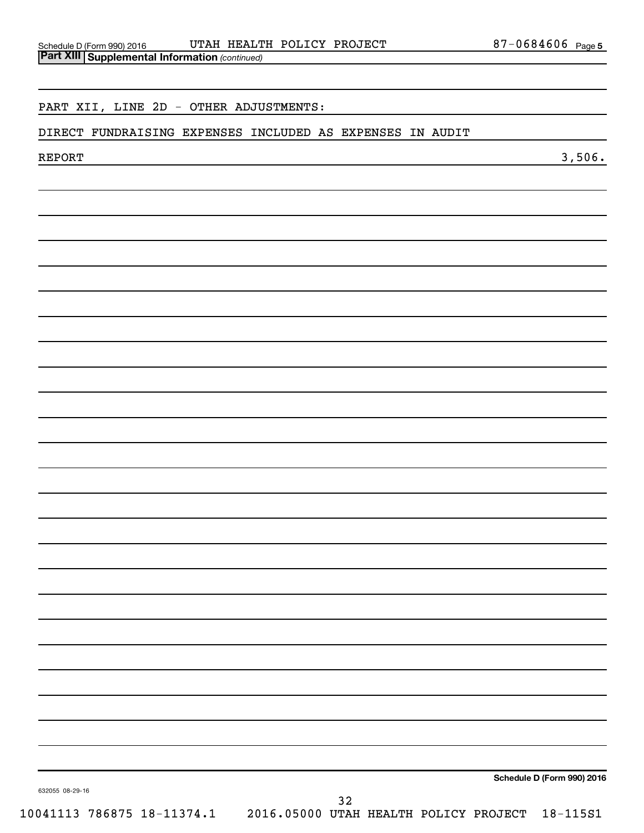#### PART XII, LINE 2D - OTHER ADJUSTMENTS:

#### DIRECT FUNDRAISING EXPENSES INCLUDED AS EXPENSES IN AUDIT

 $\rm{REPORT}$  3,506.

**Schedule D (Form 990) 2016**

632055 08-29-16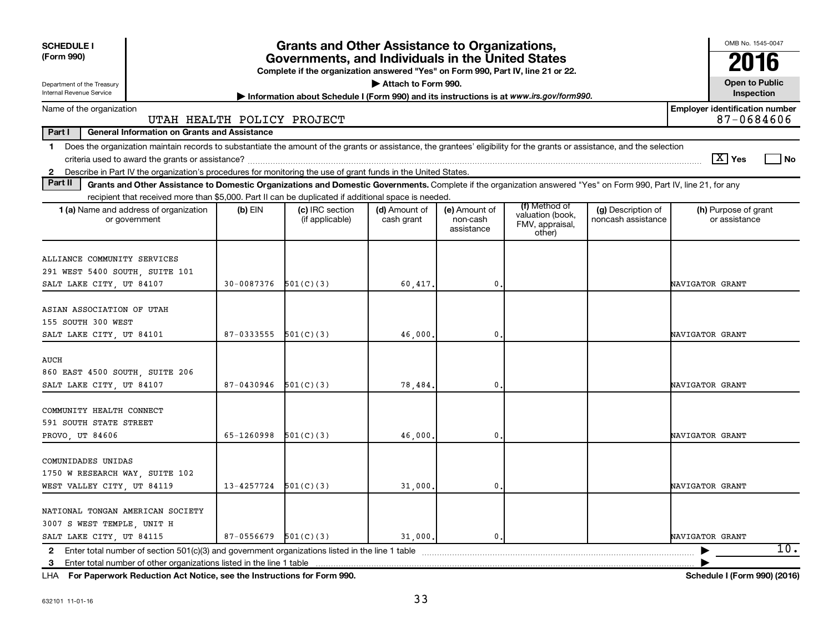| <b>SCHEDULE I</b>                                                                                                                                                                                                                                                                                              |                          | <b>Grants and Other Assistance to Organizations,</b>                                                                                  |                             |                                         |                                                                |                                          | OMB No. 1545-0047                                   |
|----------------------------------------------------------------------------------------------------------------------------------------------------------------------------------------------------------------------------------------------------------------------------------------------------------------|--------------------------|---------------------------------------------------------------------------------------------------------------------------------------|-----------------------------|-----------------------------------------|----------------------------------------------------------------|------------------------------------------|-----------------------------------------------------|
| (Form 990)                                                                                                                                                                                                                                                                                                     |                          | Governments, and Individuals in the United States<br>Complete if the organization answered "Yes" on Form 990, Part IV, line 21 or 22. |                             |                                         |                                                                |                                          | 2016                                                |
| Department of the Treasury<br>Internal Revenue Service                                                                                                                                                                                                                                                         |                          | Information about Schedule I (Form 990) and its instructions is at www.irs.gov/form990.                                               | Attach to Form 990.         |                                         |                                                                |                                          | <b>Open to Public</b><br>Inspection                 |
| Name of the organization<br>UTAH HEALTH POLICY PROJECT                                                                                                                                                                                                                                                         |                          |                                                                                                                                       |                             |                                         |                                                                |                                          | <b>Employer identification number</b><br>87-0684606 |
| <b>General Information on Grants and Assistance</b><br>Part I                                                                                                                                                                                                                                                  |                          |                                                                                                                                       |                             |                                         |                                                                |                                          |                                                     |
| Does the organization maintain records to substantiate the amount of the grants or assistance, the grantees' eligibility for the grants or assistance, and the selection<br>1.                                                                                                                                 |                          |                                                                                                                                       |                             |                                         |                                                                |                                          | $\lfloor X \rfloor$ Yes<br>l No                     |
| Describe in Part IV the organization's procedures for monitoring the use of grant funds in the United States.<br>$\mathbf{2}$<br>Part II<br>Grants and Other Assistance to Domestic Organizations and Domestic Governments. Complete if the organization answered "Yes" on Form 990, Part IV, line 21, for any |                          |                                                                                                                                       |                             |                                         |                                                                |                                          |                                                     |
| recipient that received more than \$5,000. Part II can be duplicated if additional space is needed.                                                                                                                                                                                                            |                          |                                                                                                                                       |                             |                                         |                                                                |                                          |                                                     |
| 1 (a) Name and address of organization<br>or government                                                                                                                                                                                                                                                        | (b) EIN                  | (c) IRC section<br>(if applicable)                                                                                                    | (d) Amount of<br>cash grant | (e) Amount of<br>non-cash<br>assistance | (f) Method of<br>valuation (book,<br>FMV, appraisal,<br>other) | (g) Description of<br>noncash assistance | (h) Purpose of grant<br>or assistance               |
| ALLIANCE COMMUNITY SERVICES<br>291 WEST 5400 SOUTH, SUITE 101<br>SALT LAKE CITY, UT 84107                                                                                                                                                                                                                      | $30-0087376$ $501(C)(3)$ |                                                                                                                                       | 60,417.                     | $\mathbf{0}$ .                          |                                                                |                                          | NAVIGATOR GRANT                                     |
| ASIAN ASSOCIATION OF UTAH<br>155 SOUTH 300 WEST<br>SALT LAKE CITY, UT 84101                                                                                                                                                                                                                                    | $87-0333555$ $501(C)(3)$ |                                                                                                                                       | 46,000                      | 0.                                      |                                                                |                                          | NAVIGATOR GRANT                                     |
| AUCH<br>860 EAST 4500 SOUTH SUITE 206<br>SALT LAKE CITY, UT 84107                                                                                                                                                                                                                                              | 87-0430946               | 501(C)(3)                                                                                                                             | 78,484                      | $\mathbf{0}$ .                          |                                                                |                                          | NAVIGATOR GRANT                                     |
| COMMUNITY HEALTH CONNECT<br>591 SOUTH STATE STREET<br>PROVO, UT 84606                                                                                                                                                                                                                                          | 65-1260998               | 501(C)(3)                                                                                                                             | 46,000                      | $\mathbf{0}$                            |                                                                |                                          | NAVIGATOR GRANT                                     |
| COMUNIDADES UNIDAS<br>1750 W RESEARCH WAY, SUITE 102<br>WEST VALLEY CITY, UT 84119                                                                                                                                                                                                                             | 13-4257724               | 501(C)(3)                                                                                                                             | 31,000                      | $\mathbf{0}$ .                          |                                                                |                                          | NAVIGATOR GRANT                                     |
| NATIONAL TONGAN AMERICAN SOCIETY<br>3007 S WEST TEMPLE, UNIT H<br>SALT LAKE CITY, UT 84115                                                                                                                                                                                                                     | 87-0556679               | 501(C)(3)                                                                                                                             | 31,000.                     | $\mathbf{0}$ .                          |                                                                |                                          | NAVIGATOR GRANT<br>10.                              |
|                                                                                                                                                                                                                                                                                                                |                          |                                                                                                                                       |                             |                                         |                                                                |                                          |                                                     |

**For Paperwork Reduction Act Notice, see the Instructions for Form 990. Schedule I (Form 990) (2016)** LHA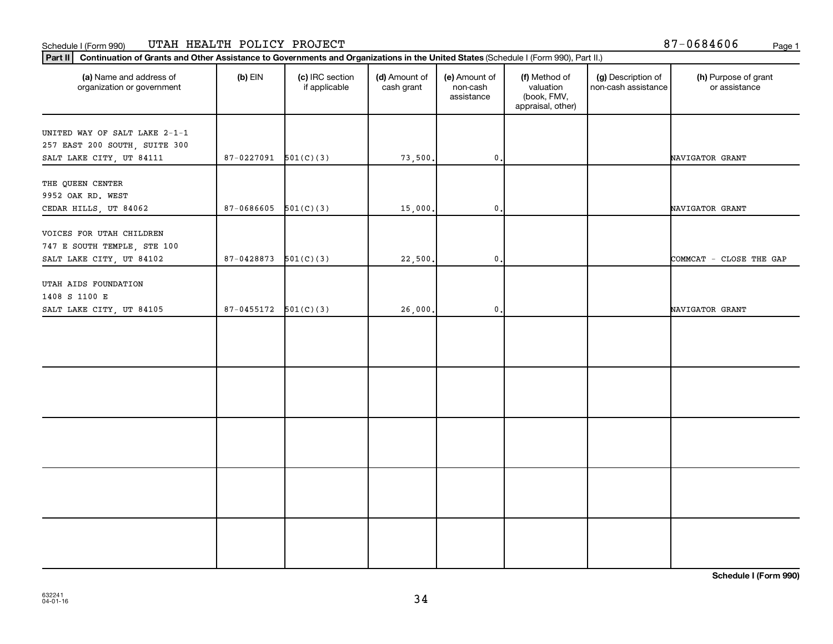#### Schedule I (Form 990) UTAH HEALTH POLICY PROJECT 87-0684606 <sub>Page 1</sub>

Part II | Continuation of Grants and Other Assistance to Governments and Organizations in the United States (Schedule I (Form 990), Part II.)

| (a) Name and address of<br>organization or government                                      | $(b)$ EIN                | (c) IRC section<br>if applicable | (d) Amount of<br>cash grant | (e) Amount of<br>non-cash<br>assistance | (f) Method of<br>valuation<br>(book, FMV,<br>appraisal, other) | (g) Description of<br>non-cash assistance | (h) Purpose of grant<br>or assistance |
|--------------------------------------------------------------------------------------------|--------------------------|----------------------------------|-----------------------------|-----------------------------------------|----------------------------------------------------------------|-------------------------------------------|---------------------------------------|
| UNITED WAY OF SALT LAKE 2-1-1<br>257 EAST 200 SOUTH, SUITE 300<br>SALT LAKE CITY, UT 84111 | 87-0227091               | 501(C)(3)                        | 73,500.                     | $\mathbf{0}$ .                          |                                                                |                                           | NAVIGATOR GRANT                       |
| THE QUEEN CENTER<br>9952 OAK RD. WEST<br>CEDAR HILLS, UT 84062                             | 87-0686605               | 501(C)(3)                        | 15,000,                     | $\mathfrak{o}$ .                        |                                                                |                                           | NAVIGATOR GRANT                       |
| VOICES FOR UTAH CHILDREN<br>747 E SOUTH TEMPLE, STE 100<br>SALT LAKE CITY, UT 84102        | 87-0428873               | 501(C)(3)                        | 22,500                      | $\mathfrak o$ .                         |                                                                |                                           | COMMCAT - CLOSE THE GAP               |
| UTAH AIDS FOUNDATION<br>1408 S 1100 E<br>SALT LAKE CITY, UT 84105                          | $87-0455172$ $501(C)(3)$ |                                  | 26,000,                     | $\mathfrak o$ .                         |                                                                |                                           | NAVIGATOR GRANT                       |
|                                                                                            |                          |                                  |                             |                                         |                                                                |                                           |                                       |
|                                                                                            |                          |                                  |                             |                                         |                                                                |                                           |                                       |
|                                                                                            |                          |                                  |                             |                                         |                                                                |                                           |                                       |
|                                                                                            |                          |                                  |                             |                                         |                                                                |                                           |                                       |
|                                                                                            |                          |                                  |                             |                                         |                                                                |                                           |                                       |

┯

**Schedule I (Form 990)**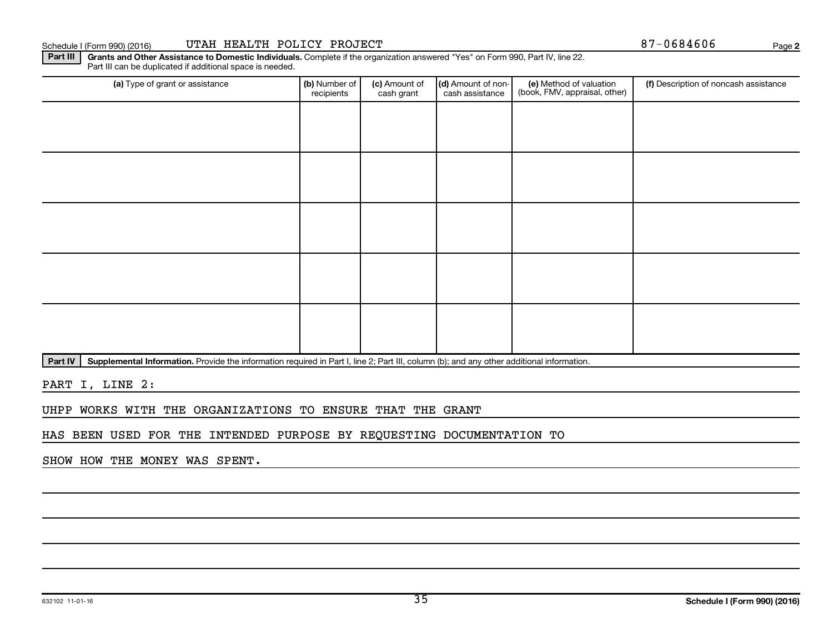632102 11-01-16

#### Schedule I (Form 990) (2016) UTAH HEALTH POLICY PROJECT 87-0684606 <sub>Page</sub>

(a) Type of grant or assistance **(b)** Number of  $|$  **(c)** Amount of  $|$  **(d)** Amount of non- $|$  **(e)** Method of valuation  $|$  **(f)** Part III can be duplicated if additional space is needed. (e) Method of valuation (book, FMV, appraisal, other) recipients (c) Amount of cash grant (d) Amount of noncash assistance (f) Description of noncash assistance

Part IV | Supplemental Information. Provide the information required in Part I, line 2; Part III, column (b); and any other additional information.

Part III | Grants and Other Assistance to Domestic Individuals. Complete if the organization answered "Yes" on Form 990, Part IV, line 22.

PART I, LINE 2:

UHPP WORKS WITH THE ORGANIZATIONS TO ENSURE THAT THE GRANT

HAS BEEN USED FOR THE INTENDED PURPOSE BY REQUESTING DOCUMENTATION TO

SHOW HOW THE MONEY WAS SPENT.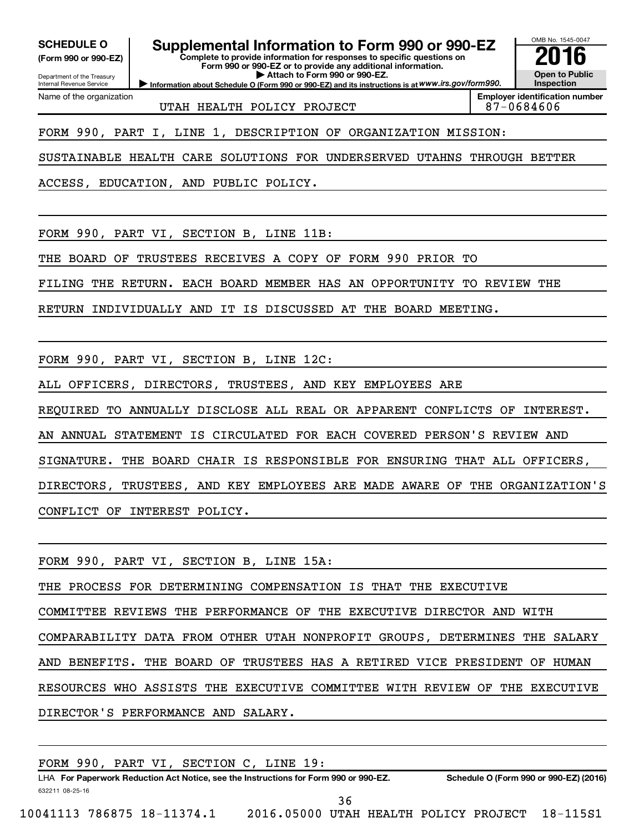**(Form 990 or 990-EZ)**

Internal Revenue Service

Department of the Treasury

Name of the organization

# **SCHEDULE O Supplemental Information to Form 990 or 990-EZ 2016**

**Complete to provide information for responses to specific questions on Form 990 or 990-EZ or to provide any additional information. | Attach to Form 990 or 990-EZ.**

**Information about Schedule O (Form 990 or 990-EZ) and its instructions is at WWW.irs.gov/form990.** 

OMB No. 1545-0047 **Open to Public Inspection**

UTAH HEALTH POLICY PROJECT 87-0684606

**Employer identification number**

FORM 990, PART I, LINE 1, DESCRIPTION OF ORGANIZATION MISSION:

SUSTAINABLE HEALTH CARE SOLUTIONS FOR UNDERSERVED UTAHNS THROUGH BETTER

ACCESS, EDUCATION, AND PUBLIC POLICY.

FORM 990, PART VI, SECTION B, LINE 11B:

THE BOARD OF TRUSTEES RECEIVES A COPY OF FORM 990 PRIOR TO

FILING THE RETURN. EACH BOARD MEMBER HAS AN OPPORTUNITY TO REVIEW THE

RETURN INDIVIDUALLY AND IT IS DISCUSSED AT THE BOARD MEETING.

FORM 990, PART VI, SECTION B, LINE 12C:

ALL OFFICERS, DIRECTORS, TRUSTEES, AND KEY EMPLOYEES ARE

REQUIRED TO ANNUALLY DISCLOSE ALL REAL OR APPARENT CONFLICTS OF INTEREST.

AN ANNUAL STATEMENT IS CIRCULATED FOR EACH COVERED PERSON'S REVIEW AND

SIGNATURE. THE BOARD CHAIR IS RESPONSIBLE FOR ENSURING THAT ALL OFFICERS,

DIRECTORS, TRUSTEES, AND KEY EMPLOYEES ARE MADE AWARE OF THE ORGANIZATION'S CONFLICT OF INTEREST POLICY.

FORM 990, PART VI, SECTION B, LINE 15A: THE PROCESS FOR DETERMINING COMPENSATION IS THAT THE EXECUTIVE COMMITTEE REVIEWS THE PERFORMANCE OF THE EXECUTIVE DIRECTOR AND WITH COMPARABILITY DATA FROM OTHER UTAH NONPROFIT GROUPS, DETERMINES THE SALARY AND BENEFITS. THE BOARD OF TRUSTEES HAS A RETIRED VICE PRESIDENT OF HUMAN RESOURCES WHO ASSISTS THE EXECUTIVE COMMITTEE WITH REVIEW OF THE EXECUTIVE DIRECTOR'S PERFORMANCE AND SALARY.

|                            |  | FORM 990, PART VI, SECTION C, LINE 19:                                               |  |     |  |                                       |                                        |
|----------------------------|--|--------------------------------------------------------------------------------------|--|-----|--|---------------------------------------|----------------------------------------|
|                            |  | LHA For Paperwork Reduction Act Notice, see the Instructions for Form 990 or 990-EZ. |  |     |  |                                       | Schedule O (Form 990 or 990-EZ) (2016) |
| 632211 08-25-16            |  |                                                                                      |  |     |  |                                       |                                        |
|                            |  |                                                                                      |  | 36. |  |                                       |                                        |
| 10041113 786875 18-11374.1 |  |                                                                                      |  |     |  | 2016.05000 UTAH HEALTH POLICY PROJECT | 18–115S1                               |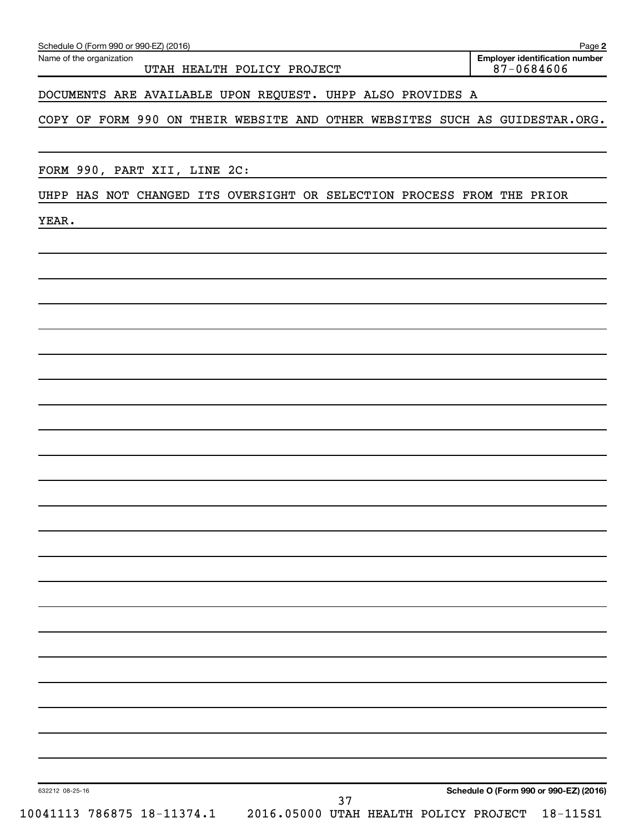| Schedule O (Form 990 or 990-EZ) (2016)<br>Page |
|------------------------------------------------|
|------------------------------------------------|

Name of the organization

#### DOCUMENTS ARE AVAILABLE UPON REQUEST. UHPP ALSO PROVIDES A

COPY OF FORM 990 ON THEIR WEBSITE AND OTHER WEBSITES SUCH AS GUIDESTAR.ORG.

FORM 990, PART XII, LINE 2C:

#### UHPP HAS NOT CHANGED ITS OVERSIGHT OR SELECTION PROCESS FROM THE PRIOR

YEAR.

**Schedule O (Form 990 or 990-EZ) (2016)**

10041113 786875 18-11374.1 2016.05000 UTAH HEALTH POLICY PROJECT 18-115S1

632212 08-25-16